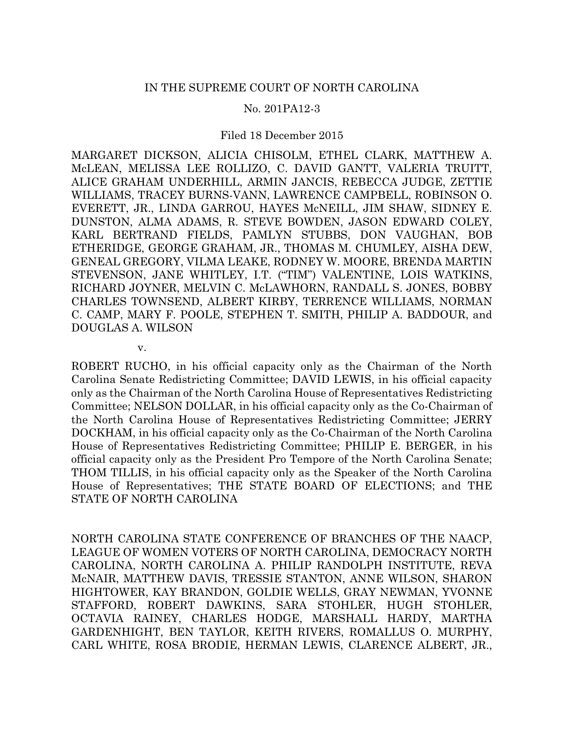# IN THE SUPREME COURT OF NORTH CAROLINA

# No. 201PA12-3

### Filed 18 December 2015

MARGARET DICKSON, ALICIA CHISOLM, ETHEL CLARK, MATTHEW A. McLEAN, MELISSA LEE ROLLIZO, C. DAVID GANTT, VALERIA TRUITT, ALICE GRAHAM UNDERHILL, ARMIN JANCIS, REBECCA JUDGE, ZETTIE WILLIAMS, TRACEY BURNS-VANN, LAWRENCE CAMPBELL, ROBINSON O. EVERETT, JR., LINDA GARROU, HAYES McNEILL, JIM SHAW, SIDNEY E. DUNSTON, ALMA ADAMS, R. STEVE BOWDEN, JASON EDWARD COLEY, KARL BERTRAND FIELDS, PAMLYN STUBBS, DON VAUGHAN, BOB ETHERIDGE, GEORGE GRAHAM, JR., THOMAS M. CHUMLEY, AISHA DEW, GENEAL GREGORY, VILMA LEAKE, RODNEY W. MOORE, BRENDA MARTIN STEVENSON, JANE WHITLEY, I.T. ("TIM") VALENTINE, LOIS WATKINS, RICHARD JOYNER, MELVIN C. McLAWHORN, RANDALL S. JONES, BOBBY CHARLES TOWNSEND, ALBERT KIRBY, TERRENCE WILLIAMS, NORMAN C. CAMP, MARY F. POOLE, STEPHEN T. SMITH, PHILIP A. BADDOUR, and DOUGLAS A. WILSON

ROBERT RUCHO, in his official capacity only as the Chairman of the North Carolina Senate Redistricting Committee; DAVID LEWIS, in his official capacity only as the Chairman of the North Carolina House of Representatives Redistricting Committee; NELSON DOLLAR, in his official capacity only as the Co-Chairman of the North Carolina House of Representatives Redistricting Committee; JERRY DOCKHAM, in his official capacity only as the Co-Chairman of the North Carolina House of Representatives Redistricting Committee; PHILIP E. BERGER, in his official capacity only as the President Pro Tempore of the North Carolina Senate; THOM TILLIS, in his official capacity only as the Speaker of the North Carolina House of Representatives; THE STATE BOARD OF ELECTIONS; and THE STATE OF NORTH CAROLINA

NORTH CAROLINA STATE CONFERENCE OF BRANCHES OF THE NAACP, LEAGUE OF WOMEN VOTERS OF NORTH CAROLINA, DEMOCRACY NORTH CAROLINA, NORTH CAROLINA A. PHILIP RANDOLPH INSTITUTE, REVA McNAIR, MATTHEW DAVIS, TRESSIE STANTON, ANNE WILSON, SHARON HIGHTOWER, KAY BRANDON, GOLDIE WELLS, GRAY NEWMAN, YVONNE STAFFORD, ROBERT DAWKINS, SARA STOHLER, HUGH STOHLER, OCTAVIA RAINEY, CHARLES HODGE, MARSHALL HARDY, MARTHA GARDENHIGHT, BEN TAYLOR, KEITH RIVERS, ROMALLUS O. MURPHY, CARL WHITE, ROSA BRODIE, HERMAN LEWIS, CLARENCE ALBERT, JR.,

v.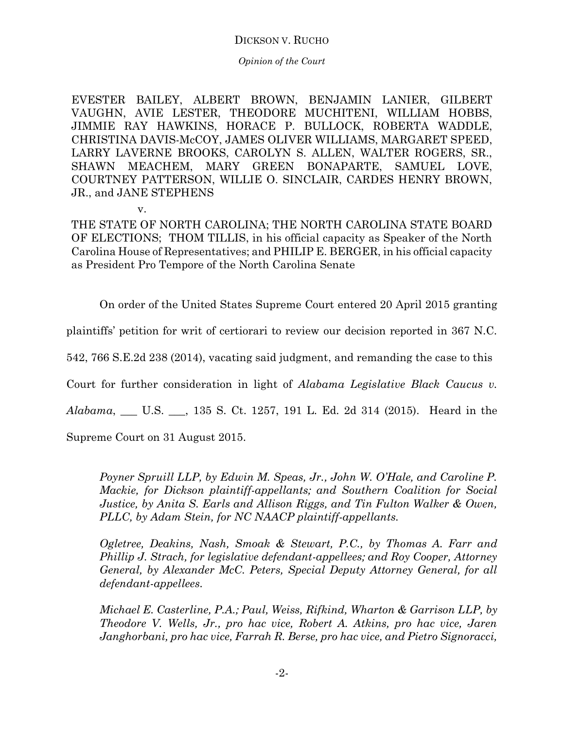*Opinion of the Court*

EVESTER BAILEY, ALBERT BROWN, BENJAMIN LANIER, GILBERT VAUGHN, AVIE LESTER, THEODORE MUCHITENI, WILLIAM HOBBS, JIMMIE RAY HAWKINS, HORACE P. BULLOCK, ROBERTA WADDLE, CHRISTINA DAVIS-McCOY, JAMES OLIVER WILLIAMS, MARGARET SPEED, LARRY LAVERNE BROOKS, CAROLYN S. ALLEN, WALTER ROGERS, SR., SHAWN MEACHEM, MARY GREEN BONAPARTE, SAMUEL LOVE, COURTNEY PATTERSON, WILLIE O. SINCLAIR, CARDES HENRY BROWN, JR., and JANE STEPHENS

v.

THE STATE OF NORTH CAROLINA; THE NORTH CAROLINA STATE BOARD OF ELECTIONS; THOM TILLIS, in his official capacity as Speaker of the North Carolina House of Representatives; and PHILIP E. BERGER, in his official capacity as President Pro Tempore of the North Carolina Senate

On order of the United States Supreme Court entered 20 April 2015 granting

plaintiffs' petition for writ of certiorari to review our decision reported in 367 N.C.

542, 766 S.E.2d 238 (2014), vacating said judgment, and remanding the case to this

Court for further consideration in light of *Alabama Legislative Black Caucus v.* 

*Alabama*, \_\_\_ U.S. \_\_\_, 135 S. Ct. 1257, 191 L. Ed. 2d 314 (2015). Heard in the

Supreme Court on 31 August 2015.

*Poyner Spruill LLP, by Edwin M. Speas, Jr., John W. O'Hale, and Caroline P. Mackie, for Dickson plaintiff-appellants; and Southern Coalition for Social Justice, by Anita S. Earls and Allison Riggs, and Tin Fulton Walker & Owen, PLLC, by Adam Stein, for NC NAACP plaintiff-appellants.*

*Ogletree, Deakins, Nash, Smoak & Stewart, P.C., by Thomas A. Farr and Phillip J. Strach, for legislative defendant-appellees; and Roy Cooper, Attorney General, by Alexander McC. Peters, Special Deputy Attorney General, for all defendant-appellees.*

*Michael E. Casterline, P.A.; Paul, Weiss, Rifkind, Wharton & Garrison LLP, by Theodore V. Wells, Jr., pro hac vice, Robert A. Atkins, pro hac vice, Jaren Janghorbani, pro hac vice, Farrah R. Berse, pro hac vice, and Pietro Signoracci,*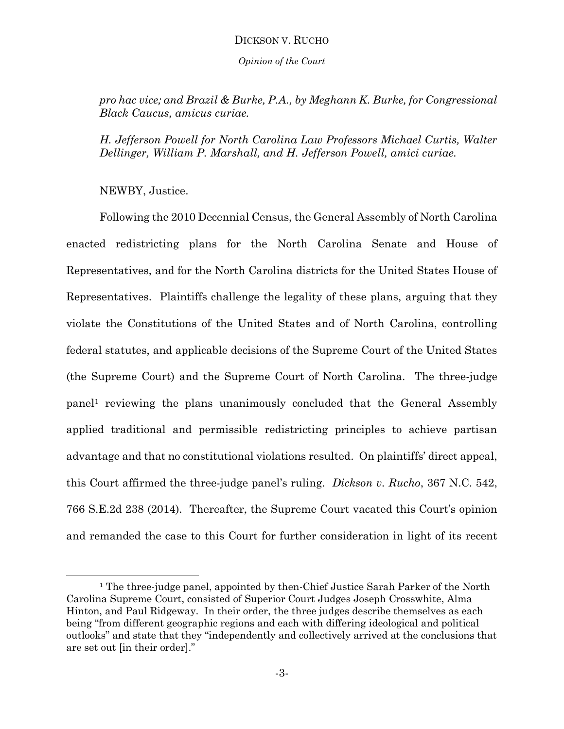*Opinion of the Court*

*pro hac vice; and Brazil & Burke, P.A., by Meghann K. Burke, for Congressional Black Caucus, amicus curiae.* 

*H. Jefferson Powell for North Carolina Law Professors Michael Curtis, Walter Dellinger, William P. Marshall, and H. Jefferson Powell, amici curiae.*

NEWBY, Justice.

 $\overline{a}$ 

Following the 2010 Decennial Census, the General Assembly of North Carolina enacted redistricting plans for the North Carolina Senate and House of Representatives, and for the North Carolina districts for the United States House of Representatives. Plaintiffs challenge the legality of these plans, arguing that they violate the Constitutions of the United States and of North Carolina, controlling federal statutes, and applicable decisions of the Supreme Court of the United States (the Supreme Court) and the Supreme Court of North Carolina. The three-judge panel<sup>1</sup> reviewing the plans unanimously concluded that the General Assembly applied traditional and permissible redistricting principles to achieve partisan advantage and that no constitutional violations resulted. On plaintiffs' direct appeal, this Court affirmed the three-judge panel's ruling. *Dickson v. Rucho*, 367 N.C. 542, 766 S.E.2d 238 (2014). Thereafter, the Supreme Court vacated this Court's opinion and remanded the case to this Court for further consideration in light of its recent

<sup>&</sup>lt;sup>1</sup> The three-judge panel, appointed by then-Chief Justice Sarah Parker of the North Carolina Supreme Court, consisted of Superior Court Judges Joseph Crosswhite, Alma Hinton, and Paul Ridgeway. In their order, the three judges describe themselves as each being "from different geographic regions and each with differing ideological and political outlooks" and state that they "independently and collectively arrived at the conclusions that are set out [in their order]."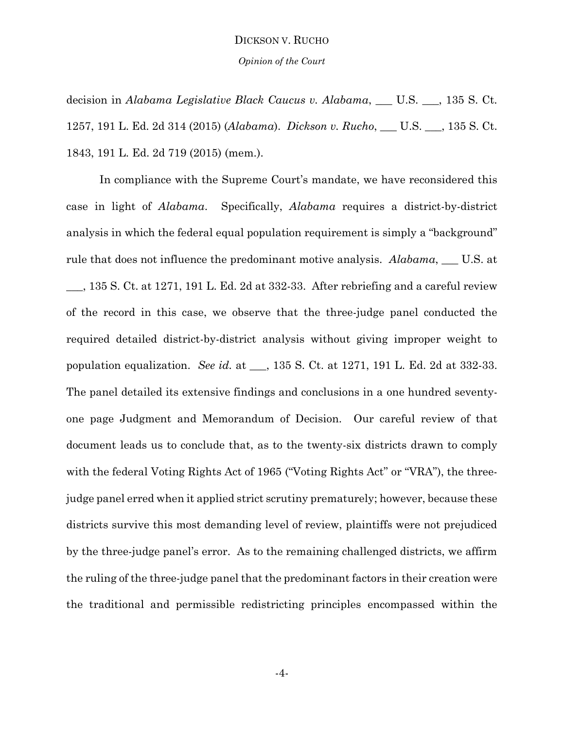# DICKSON V. RUCHO *Opinion of the Court*

decision in *Alabama Legislative Black Caucus v. Alabama*, \_\_\_ U.S. \_\_\_, 135 S. Ct. 1257, 191 L. Ed. 2d 314 (2015) (*Alabama*). *Dickson v. Rucho*, \_\_\_ U.S. \_\_\_, 135 S. Ct. 1843, 191 L. Ed. 2d 719 (2015) (mem.).

In compliance with the Supreme Court's mandate, we have reconsidered this case in light of *Alabama*. Specifically, *Alabama* requires a district-by-district analysis in which the federal equal population requirement is simply a "background" rule that does not influence the predominant motive analysis. *Alabama*, \_\_\_ U.S. at \_\_\_, 135 S. Ct. at 1271, 191 L. Ed. 2d at 332-33. After rebriefing and a careful review of the record in this case, we observe that the three-judge panel conducted the required detailed district-by-district analysis without giving improper weight to population equalization. *See id.* at \_\_\_, 135 S. Ct. at 1271, 191 L. Ed. 2d at 332-33. The panel detailed its extensive findings and conclusions in a one hundred seventyone page Judgment and Memorandum of Decision. Our careful review of that document leads us to conclude that, as to the twenty-six districts drawn to comply with the federal Voting Rights Act of 1965 ("Voting Rights Act" or "VRA"), the threejudge panel erred when it applied strict scrutiny prematurely; however, because these districts survive this most demanding level of review, plaintiffs were not prejudiced by the three-judge panel's error. As to the remaining challenged districts, we affirm the ruling of the three-judge panel that the predominant factors in their creation were the traditional and permissible redistricting principles encompassed within the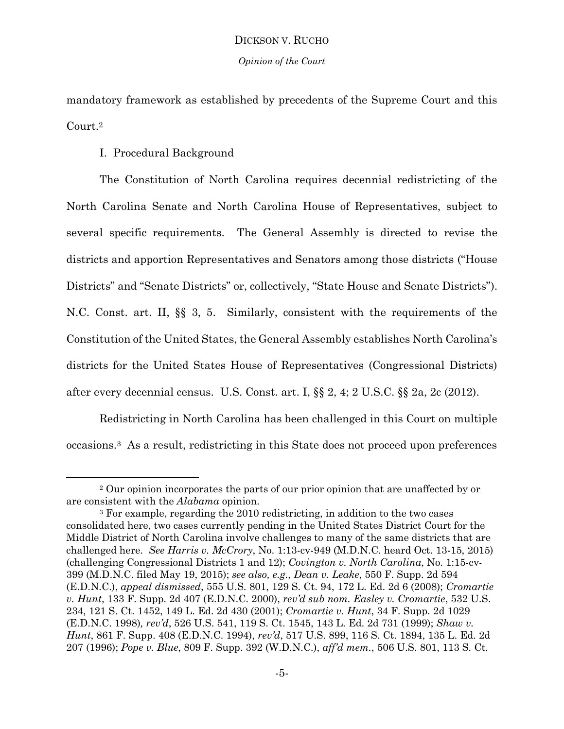# DICKSON V. RUCHO *Opinion of the Court*

mandatory framework as established by precedents of the Supreme Court and this Court. 2

I. Procedural Background

l

The Constitution of North Carolina requires decennial redistricting of the North Carolina Senate and North Carolina House of Representatives, subject to several specific requirements. The General Assembly is directed to revise the districts and apportion Representatives and Senators among those districts ("House Districts" and "Senate Districts" or, collectively, "State House and Senate Districts"). N.C. Const. art. II, §§ 3, 5. Similarly, consistent with the requirements of the Constitution of the United States, the General Assembly establishes North Carolina's districts for the United States House of Representatives (Congressional Districts) after every decennial census. U.S. Const. art. I, §§ 2, 4; 2 U.S.C. §§ 2a, 2c (2012).

Redistricting in North Carolina has been challenged in this Court on multiple occasions.3 As a result, redistricting in this State does not proceed upon preferences

<sup>&</sup>lt;sup>2</sup> Our opinion incorporates the parts of our prior opinion that are unaffected by or are consistent with the *Alabama* opinion.

<sup>3</sup> For example, regarding the 2010 redistricting, in addition to the two cases consolidated here, two cases currently pending in the United States District Court for the Middle District of North Carolina involve challenges to many of the same districts that are challenged here. *See Harris v. McCrory*, No. 1:13-cv-949 (M.D.N.C. heard Oct. 13-15, 2015) (challenging Congressional Districts 1 and 12); *Covington v. North Carolina*, No. 1:15-cv-399 (M.D.N.C. filed May 19, 2015); *see also, e.g., Dean v. Leake*, 550 F. Supp. 2d 594 (E.D.N.C.), *appeal dismissed*, 555 U.S. 801, 129 S. Ct. 94, 172 L. Ed. 2d 6 (2008); *Cromartie v. Hunt*, 133 F. Supp. 2d 407 (E.D.N.C. 2000), *rev'd sub nom. Easley v. Cromartie*, 532 U.S. 234, 121 S. Ct. 1452, 149 L. Ed. 2d 430 (2001); *Cromartie v. Hunt*, 34 F. Supp. 2d 1029 (E.D.N.C. 1998)*, rev'd*, 526 U.S. 541, 119 S. Ct. 1545, 143 L. Ed. 2d 731 (1999); *Shaw v. Hunt*, 861 F. Supp. 408 (E.D.N.C. 1994), *rev'd*, 517 U.S. 899, 116 S. Ct. 1894, 135 L. Ed. 2d 207 (1996); *Pope v. Blue*, 809 F. Supp. 392 (W.D.N.C.), *aff'd mem.*, 506 U.S. 801, 113 S. Ct.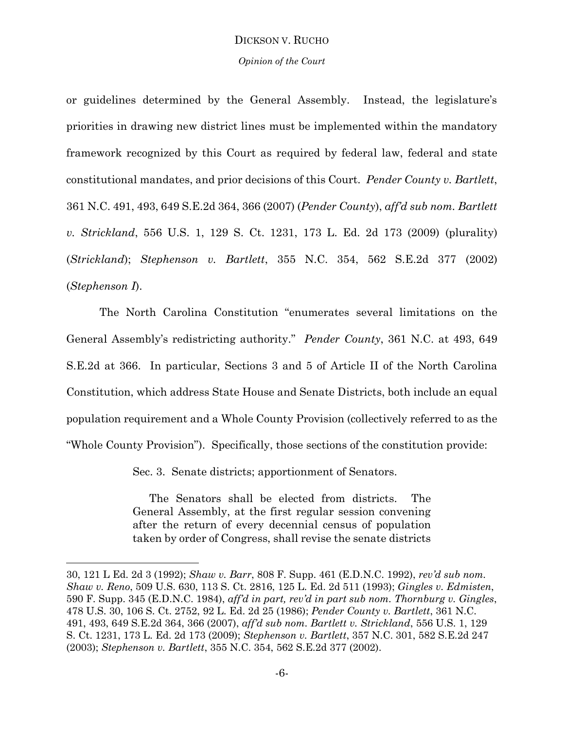### *Opinion of the Court*

or guidelines determined by the General Assembly. Instead, the legislature's priorities in drawing new district lines must be implemented within the mandatory framework recognized by this Court as required by federal law, federal and state constitutional mandates, and prior decisions of this Court. *Pender County v. Bartlett*, 361 N.C. 491, 493, 649 S.E.2d 364, 366 (2007) (*Pender County*), *aff'd sub nom. Bartlett v. Strickland*, 556 U.S. 1, 129 S. Ct. 1231, 173 L. Ed. 2d 173 (2009) (plurality) (*Strickland*); *Stephenson v. Bartlett*, 355 N.C. 354, 562 S.E.2d 377 (2002) (*Stephenson I*).

The North Carolina Constitution "enumerates several limitations on the General Assembly's redistricting authority." *Pender County*, 361 N.C. at 493, 649 S.E.2d at 366. In particular, Sections 3 and 5 of Article II of the North Carolina Constitution, which address State House and Senate Districts, both include an equal population requirement and a Whole County Provision (collectively referred to as the "Whole County Provision"). Specifically, those sections of the constitution provide:

Sec. 3. Senate districts; apportionment of Senators.

l

The Senators shall be elected from districts. The General Assembly, at the first regular session convening after the return of every decennial census of population taken by order of Congress, shall revise the senate districts

<sup>30, 121</sup> L Ed. 2d 3 (1992); *Shaw v. Barr*, 808 F. Supp. 461 (E.D.N.C. 1992), *rev'd sub nom. Shaw v. Reno*, 509 U.S. 630, 113 S. Ct. 2816, 125 L. Ed. 2d 511 (1993); *Gingles v. Edmisten*, 590 F. Supp. 345 (E.D.N.C. 1984), *aff'd in part, rev'd in part sub nom. Thornburg v. Gingles*, 478 U.S. 30, 106 S. Ct. 2752, 92 L. Ed. 2d 25 (1986); *Pender County v. Bartlett*, 361 N.C. 491, 493, 649 S.E.2d 364, 366 (2007), *aff'd sub nom. Bartlett v. Strickland*, 556 U.S. 1, 129 S. Ct. 1231, 173 L. Ed. 2d 173 (2009); *Stephenson v. Bartlett*, 357 N.C. 301, 582 S.E.2d 247 (2003); *Stephenson v. Bartlett*, 355 N.C. 354, 562 S.E.2d 377 (2002).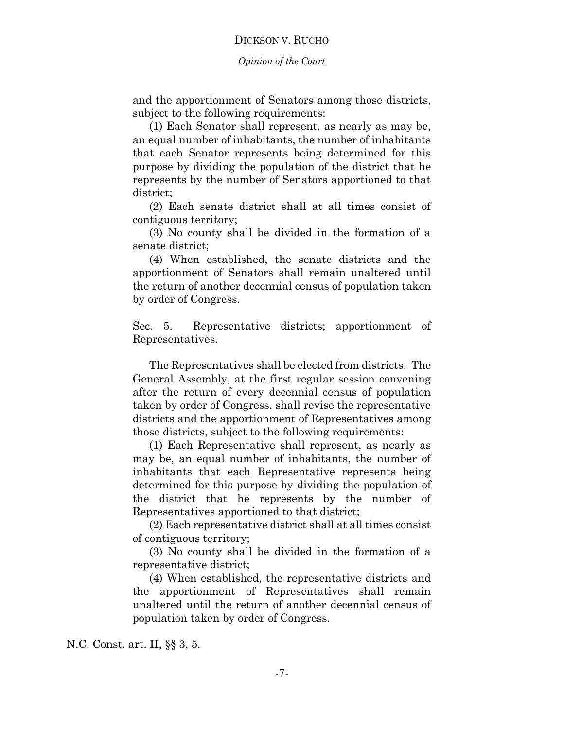*Opinion of the Court*

and the apportionment of Senators among those districts, subject to the following requirements:

(1) Each Senator shall represent, as nearly as may be, an equal number of inhabitants, the number of inhabitants that each Senator represents being determined for this purpose by dividing the population of the district that he represents by the number of Senators apportioned to that district;

(2) Each senate district shall at all times consist of contiguous territory;

(3) No county shall be divided in the formation of a senate district;

(4) When established, the senate districts and the apportionment of Senators shall remain unaltered until the return of another decennial census of population taken by order of Congress.

Sec. 5. Representative districts; apportionment of Representatives.

The Representatives shall be elected from districts. The General Assembly, at the first regular session convening after the return of every decennial census of population taken by order of Congress, shall revise the representative districts and the apportionment of Representatives among those districts, subject to the following requirements:

(1) Each Representative shall represent, as nearly as may be, an equal number of inhabitants, the number of inhabitants that each Representative represents being determined for this purpose by dividing the population of the district that he represents by the number of Representatives apportioned to that district;

(2) Each representative district shall at all times consist of contiguous territory;

(3) No county shall be divided in the formation of a representative district;

(4) When established, the representative districts and the apportionment of Representatives shall remain unaltered until the return of another decennial census of population taken by order of Congress.

N.C. Const. art. II, §§ 3, 5.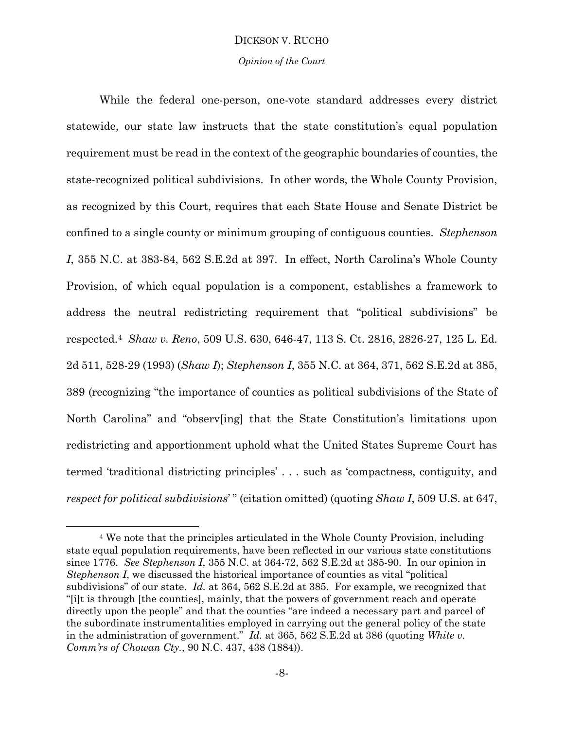*Opinion of the Court*

While the federal one-person, one-vote standard addresses every district statewide, our state law instructs that the state constitution's equal population requirement must be read in the context of the geographic boundaries of counties, the state-recognized political subdivisions. In other words, the Whole County Provision, as recognized by this Court, requires that each State House and Senate District be confined to a single county or minimum grouping of contiguous counties. *Stephenson I*, 355 N.C. at 383-84, 562 S.E.2d at 397. In effect, North Carolina's Whole County Provision, of which equal population is a component, establishes a framework to address the neutral redistricting requirement that "political subdivisions" be respected.<sup>4</sup> *Shaw v. Reno*, 509 U.S. 630, 646-47, 113 S. Ct. 2816, 2826-27, 125 L. Ed. 2d 511, 528-29 (1993) (*Shaw I*); *Stephenson I*, 355 N.C. at 364, 371, 562 S.E.2d at 385, 389 (recognizing "the importance of counties as political subdivisions of the State of North Carolina" and "observ[ing] that the State Constitution's limitations upon redistricting and apportionment uphold what the United States Supreme Court has termed 'traditional districting principles' . . . such as 'compactness, contiguity, and *respect for political subdivisions*'" (citation omitted) (quoting *Shaw I*, 509 U.S. at 647,

l

<sup>4</sup> We note that the principles articulated in the Whole County Provision, including state equal population requirements, have been reflected in our various state constitutions since 1776. *See Stephenson I*, 355 N.C. at 364-72, 562 S.E.2d at 385-90. In our opinion in *Stephenson I*, we discussed the historical importance of counties as vital "political subdivisions" of our state. *Id.* at 364, 562 S.E.2d at 385. For example, we recognized that "[i]t is through [the counties], mainly, that the powers of government reach and operate directly upon the people" and that the counties "are indeed a necessary part and parcel of the subordinate instrumentalities employed in carrying out the general policy of the state in the administration of government." *Id.* at 365, 562 S.E.2d at 386 (quoting *White v. Comm'rs of Chowan Cty.*, 90 N.C. 437, 438 (1884)).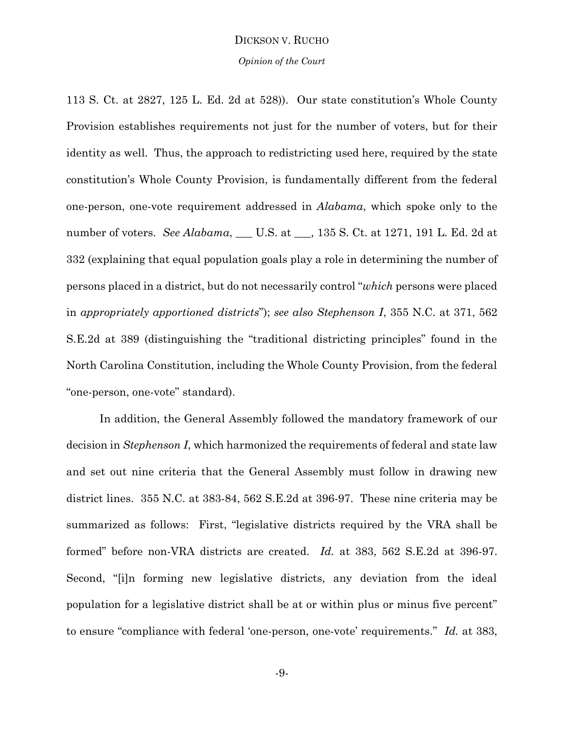*Opinion of the Court*

113 S. Ct. at 2827, 125 L. Ed. 2d at 528)). Our state constitution's Whole County Provision establishes requirements not just for the number of voters, but for their identity as well. Thus, the approach to redistricting used here, required by the state constitution's Whole County Provision, is fundamentally different from the federal one-person, one-vote requirement addressed in *Alabama*, which spoke only to the number of voters. *See Alabama*, \_\_\_ U.S. at \_\_\_, 135 S. Ct. at 1271, 191 L. Ed. 2d at 332 (explaining that equal population goals play a role in determining the number of persons placed in a district, but do not necessarily control "*which* persons were placed in *appropriately apportioned districts*"); *see also Stephenson I*, 355 N.C. at 371, 562 S.E.2d at 389 (distinguishing the "traditional districting principles" found in the North Carolina Constitution, including the Whole County Provision, from the federal "one-person, one-vote" standard).

In addition, the General Assembly followed the mandatory framework of our decision in *Stephenson I*, which harmonized the requirements of federal and state law and set out nine criteria that the General Assembly must follow in drawing new district lines. 355 N.C. at 383-84, 562 S.E.2d at 396-97. These nine criteria may be summarized as follows: First, "legislative districts required by the VRA shall be formed" before non-VRA districts are created. *Id.* at 383, 562 S.E.2d at 396-97. Second, "[i]n forming new legislative districts, any deviation from the ideal population for a legislative district shall be at or within plus or minus five percent" to ensure "compliance with federal 'one-person, one-vote' requirements." *Id.* at 383,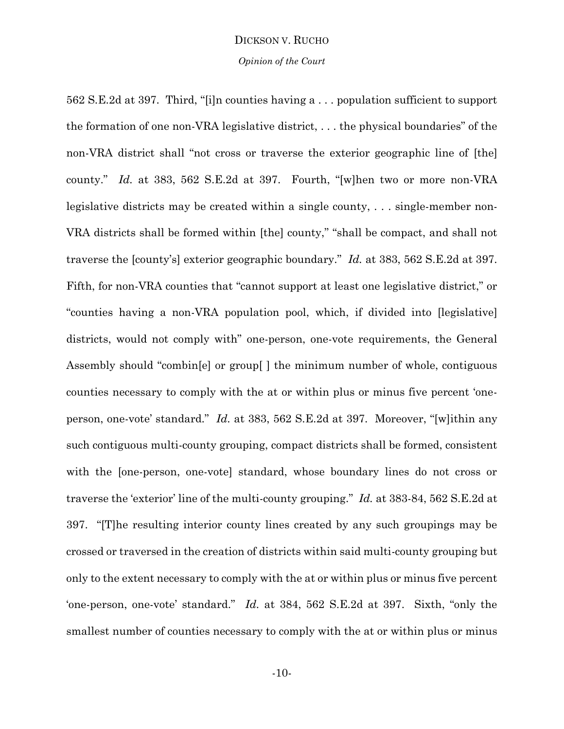### *Opinion of the Court*

562 S.E.2d at 397. Third, "[i]n counties having a . . . population sufficient to support the formation of one non-VRA legislative district, . . . the physical boundaries" of the non-VRA district shall "not cross or traverse the exterior geographic line of [the] county." *Id.* at 383, 562 S.E.2d at 397. Fourth, "[w]hen two or more non-VRA legislative districts may be created within a single county, . . . single-member non-VRA districts shall be formed within [the] county," "shall be compact, and shall not traverse the [county's] exterior geographic boundary." *Id.* at 383, 562 S.E.2d at 397. Fifth, for non-VRA counties that "cannot support at least one legislative district," or "counties having a non-VRA population pool, which, if divided into [legislative] districts, would not comply with" one-person, one-vote requirements, the General Assembly should "combin[e] or group[ ] the minimum number of whole, contiguous counties necessary to comply with the at or within plus or minus five percent 'oneperson, one-vote' standard." *Id.* at 383, 562 S.E.2d at 397. Moreover, "[w]ithin any such contiguous multi-county grouping, compact districts shall be formed, consistent with the [one-person, one-vote] standard, whose boundary lines do not cross or traverse the 'exterior' line of the multi-county grouping." *Id.* at 383-84, 562 S.E.2d at 397. "[T]he resulting interior county lines created by any such groupings may be crossed or traversed in the creation of districts within said multi-county grouping but only to the extent necessary to comply with the at or within plus or minus five percent 'one-person, one-vote' standard." *Id.* at 384, 562 S.E.2d at 397. Sixth, "only the smallest number of counties necessary to comply with the at or within plus or minus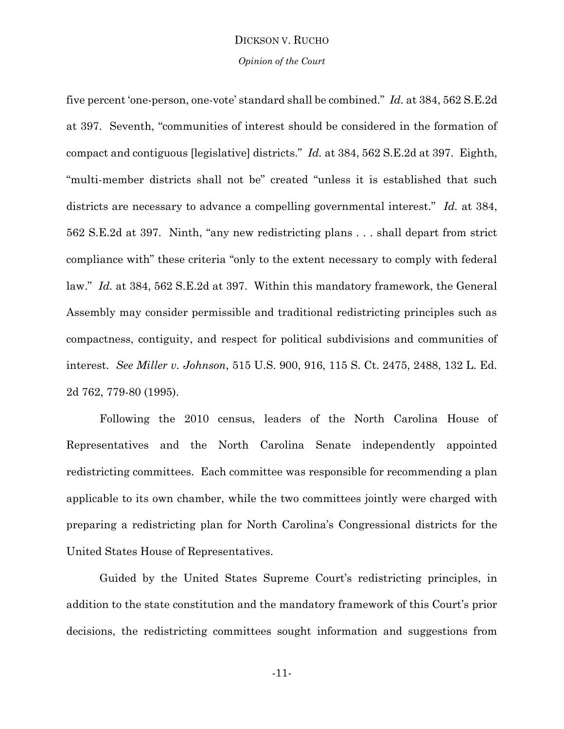### *Opinion of the Court*

five percent 'one-person, one-vote' standard shall be combined." *Id.* at 384, 562 S.E.2d at 397. Seventh, "communities of interest should be considered in the formation of compact and contiguous [legislative] districts." *Id.* at 384, 562 S.E.2d at 397. Eighth, "multi-member districts shall not be" created "unless it is established that such districts are necessary to advance a compelling governmental interest." *Id.* at 384, 562 S.E.2d at 397. Ninth, "any new redistricting plans . . . shall depart from strict compliance with" these criteria "only to the extent necessary to comply with federal law." *Id.* at 384, 562 S.E.2d at 397. Within this mandatory framework, the General Assembly may consider permissible and traditional redistricting principles such as compactness, contiguity, and respect for political subdivisions and communities of interest. *See Miller v. Johnson*, 515 U.S. 900, 916, 115 S. Ct. 2475, 2488, 132 L. Ed. 2d 762, 779-80 (1995).

Following the 2010 census, leaders of the North Carolina House of Representatives and the North Carolina Senate independently appointed redistricting committees. Each committee was responsible for recommending a plan applicable to its own chamber, while the two committees jointly were charged with preparing a redistricting plan for North Carolina's Congressional districts for the United States House of Representatives.

Guided by the United States Supreme Court's redistricting principles, in addition to the state constitution and the mandatory framework of this Court's prior decisions, the redistricting committees sought information and suggestions from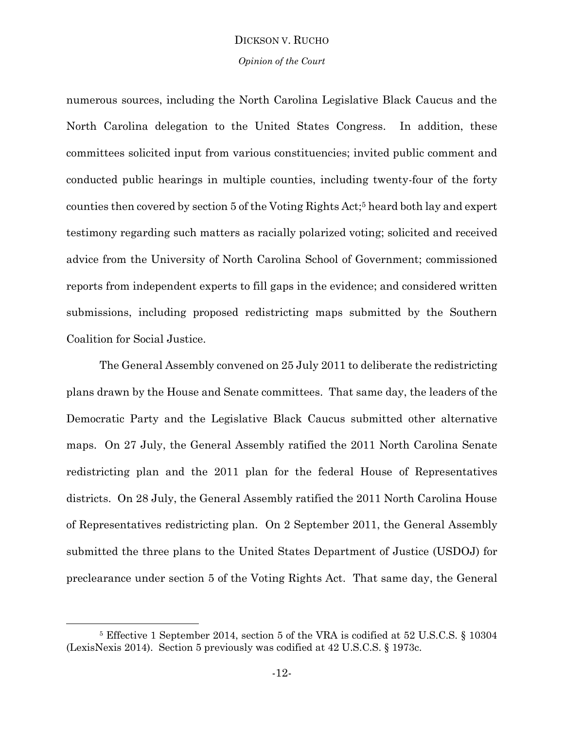*Opinion of the Court*

numerous sources, including the North Carolina Legislative Black Caucus and the North Carolina delegation to the United States Congress. In addition, these committees solicited input from various constituencies; invited public comment and conducted public hearings in multiple counties, including twenty-four of the forty counties then covered by section 5 of the Voting Rights Act; <sup>5</sup> heard both lay and expert testimony regarding such matters as racially polarized voting; solicited and received advice from the University of North Carolina School of Government; commissioned reports from independent experts to fill gaps in the evidence; and considered written submissions, including proposed redistricting maps submitted by the Southern Coalition for Social Justice.

The General Assembly convened on 25 July 2011 to deliberate the redistricting plans drawn by the House and Senate committees. That same day, the leaders of the Democratic Party and the Legislative Black Caucus submitted other alternative maps. On 27 July, the General Assembly ratified the 2011 North Carolina Senate redistricting plan and the 2011 plan for the federal House of Representatives districts. On 28 July, the General Assembly ratified the 2011 North Carolina House of Representatives redistricting plan. On 2 September 2011, the General Assembly submitted the three plans to the United States Department of Justice (USDOJ) for preclearance under section 5 of the Voting Rights Act. That same day, the General

 $\overline{a}$ 

<sup>5</sup> Effective 1 September 2014, section 5 of the VRA is codified at 52 U.S.C.S. § 10304 (LexisNexis 2014). Section 5 previously was codified at 42 U.S.C.S. § 1973c.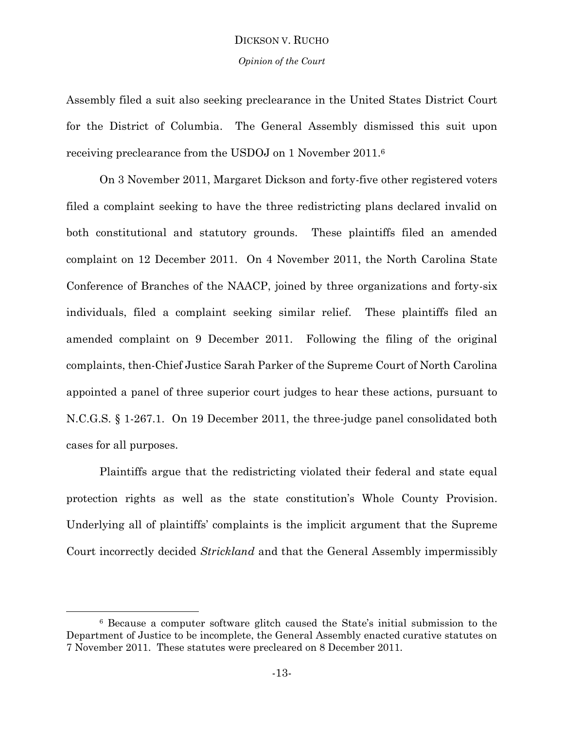# DICKSON V. RUCHO *Opinion of the Court*

Assembly filed a suit also seeking preclearance in the United States District Court for the District of Columbia. The General Assembly dismissed this suit upon receiving preclearance from the USDOJ on 1 November 2011.<sup>6</sup>

On 3 November 2011, Margaret Dickson and forty-five other registered voters filed a complaint seeking to have the three redistricting plans declared invalid on both constitutional and statutory grounds. These plaintiffs filed an amended complaint on 12 December 2011. On 4 November 2011, the North Carolina State Conference of Branches of the NAACP, joined by three organizations and forty-six individuals, filed a complaint seeking similar relief. These plaintiffs filed an amended complaint on 9 December 2011. Following the filing of the original complaints, then-Chief Justice Sarah Parker of the Supreme Court of North Carolina appointed a panel of three superior court judges to hear these actions, pursuant to N.C.G.S. § 1-267.1. On 19 December 2011, the three-judge panel consolidated both cases for all purposes.

Plaintiffs argue that the redistricting violated their federal and state equal protection rights as well as the state constitution's Whole County Provision. Underlying all of plaintiffs' complaints is the implicit argument that the Supreme Court incorrectly decided *Strickland* and that the General Assembly impermissibly

l

<sup>6</sup> Because a computer software glitch caused the State's initial submission to the Department of Justice to be incomplete, the General Assembly enacted curative statutes on 7 November 2011. These statutes were precleared on 8 December 2011.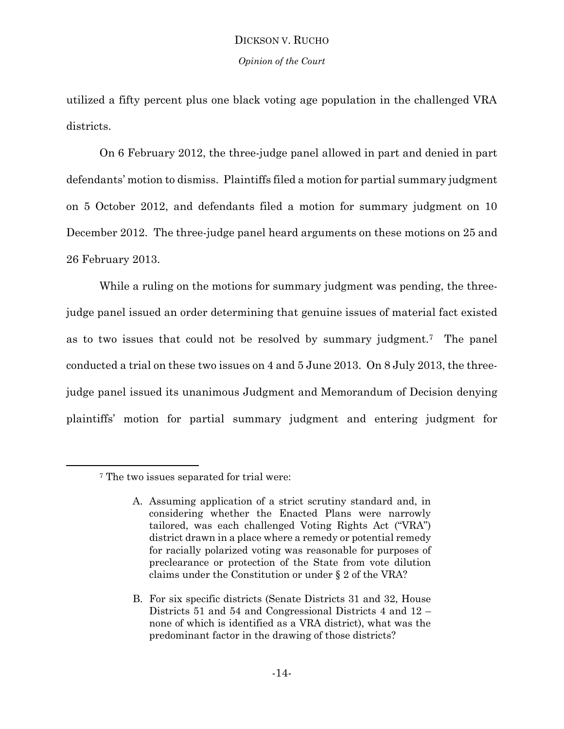utilized a fifty percent plus one black voting age population in the challenged VRA districts.

On 6 February 2012, the three-judge panel allowed in part and denied in part defendants' motion to dismiss. Plaintiffs filed a motion for partial summary judgment on 5 October 2012, and defendants filed a motion for summary judgment on 10 December 2012. The three-judge panel heard arguments on these motions on 25 and 26 February 2013.

While a ruling on the motions for summary judgment was pending, the threejudge panel issued an order determining that genuine issues of material fact existed as to two issues that could not be resolved by summary judgment.7 The panel conducted a trial on these two issues on 4 and 5 June 2013. On 8 July 2013, the threejudge panel issued its unanimous Judgment and Memorandum of Decision denying plaintiffs' motion for partial summary judgment and entering judgment for

l

<sup>7</sup> The two issues separated for trial were:

A. Assuming application of a strict scrutiny standard and, in considering whether the Enacted Plans were narrowly tailored, was each challenged Voting Rights Act ("VRA") district drawn in a place where a remedy or potential remedy for racially polarized voting was reasonable for purposes of preclearance or protection of the State from vote dilution claims under the Constitution or under § 2 of the VRA?

B. For six specific districts (Senate Districts 31 and 32, House Districts 51 and 54 and Congressional Districts 4 and 12 – none of which is identified as a VRA district), what was the predominant factor in the drawing of those districts?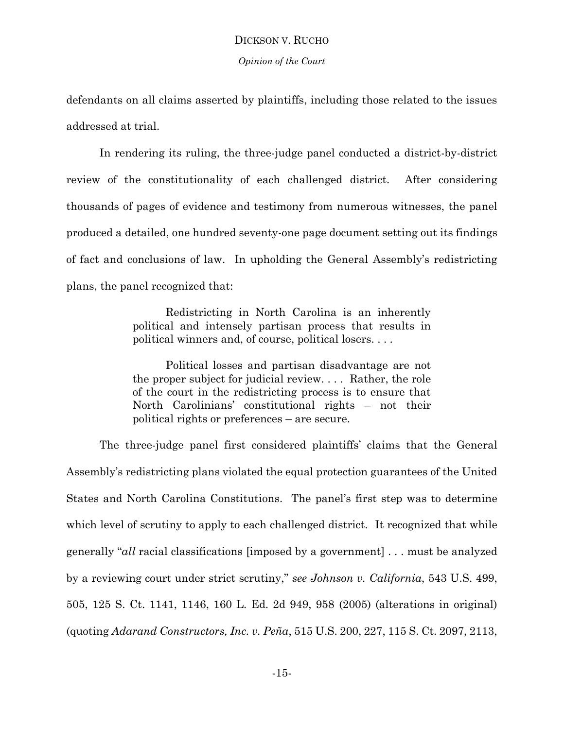defendants on all claims asserted by plaintiffs, including those related to the issues addressed at trial.

In rendering its ruling, the three-judge panel conducted a district-by-district review of the constitutionality of each challenged district. After considering thousands of pages of evidence and testimony from numerous witnesses, the panel produced a detailed, one hundred seventy-one page document setting out its findings of fact and conclusions of law. In upholding the General Assembly's redistricting plans, the panel recognized that:

> Redistricting in North Carolina is an inherently political and intensely partisan process that results in political winners and, of course, political losers. . . .

> Political losses and partisan disadvantage are not the proper subject for judicial review. . . . Rather, the role of the court in the redistricting process is to ensure that North Carolinians' constitutional rights – not their political rights or preferences – are secure.

The three-judge panel first considered plaintiffs' claims that the General Assembly's redistricting plans violated the equal protection guarantees of the United States and North Carolina Constitutions. The panel's first step was to determine which level of scrutiny to apply to each challenged district. It recognized that while generally "*all* racial classifications [imposed by a government] . . . must be analyzed by a reviewing court under strict scrutiny," *see Johnson v. California*, 543 U.S. 499, 505, 125 S. Ct. 1141, 1146, 160 L. Ed. 2d 949, 958 (2005) (alterations in original) (quoting *Adarand Constructors, Inc. v. Peña*, 515 U.S. 200, 227, 115 S. Ct. 2097, 2113,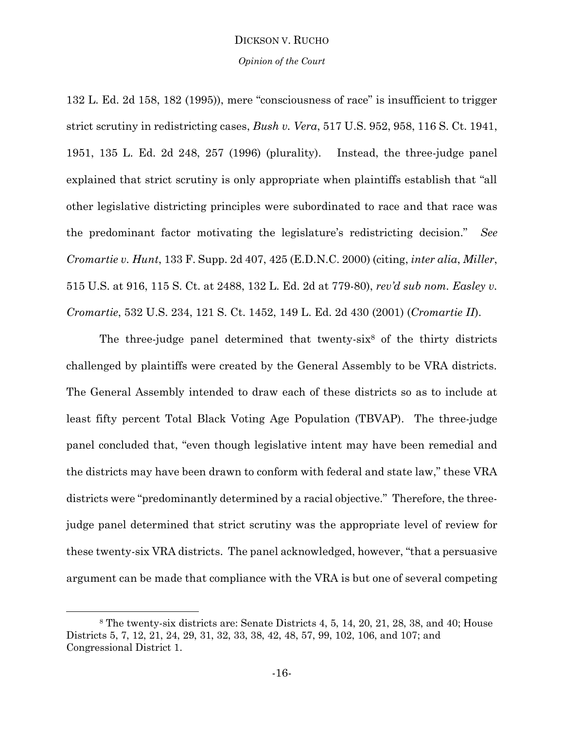#### *Opinion of the Court*

132 L. Ed. 2d 158, 182 (1995)), mere "consciousness of race" is insufficient to trigger strict scrutiny in redistricting cases, *Bush v. Vera*, 517 U.S. 952, 958, 116 S. Ct. 1941, 1951, 135 L. Ed. 2d 248, 257 (1996) (plurality). Instead, the three-judge panel explained that strict scrutiny is only appropriate when plaintiffs establish that "all other legislative districting principles were subordinated to race and that race was the predominant factor motivating the legislature's redistricting decision." *See Cromartie v. Hunt*, 133 F. Supp. 2d 407, 425 (E.D.N.C. 2000) (citing, *inter alia*, *Miller*, 515 U.S. at 916, 115 S. Ct. at 2488, 132 L. Ed. 2d at 779-80), *rev'd sub nom. Easley v. Cromartie*, 532 U.S. 234, 121 S. Ct. 1452, 149 L. Ed. 2d 430 (2001) (*Cromartie II*).

The three-judge panel determined that twenty-six<sup>8</sup> of the thirty districts challenged by plaintiffs were created by the General Assembly to be VRA districts. The General Assembly intended to draw each of these districts so as to include at least fifty percent Total Black Voting Age Population (TBVAP). The three-judge panel concluded that, "even though legislative intent may have been remedial and the districts may have been drawn to conform with federal and state law," these VRA districts were "predominantly determined by a racial objective." Therefore, the threejudge panel determined that strict scrutiny was the appropriate level of review for these twenty-six VRA districts. The panel acknowledged, however, "that a persuasive argument can be made that compliance with the VRA is but one of several competing

l

<sup>8</sup> The twenty-six districts are: Senate Districts 4, 5, 14, 20, 21, 28, 38, and 40; House Districts 5, 7, 12, 21, 24, 29, 31, 32, 33, 38, 42, 48, 57, 99, 102, 106, and 107; and Congressional District 1.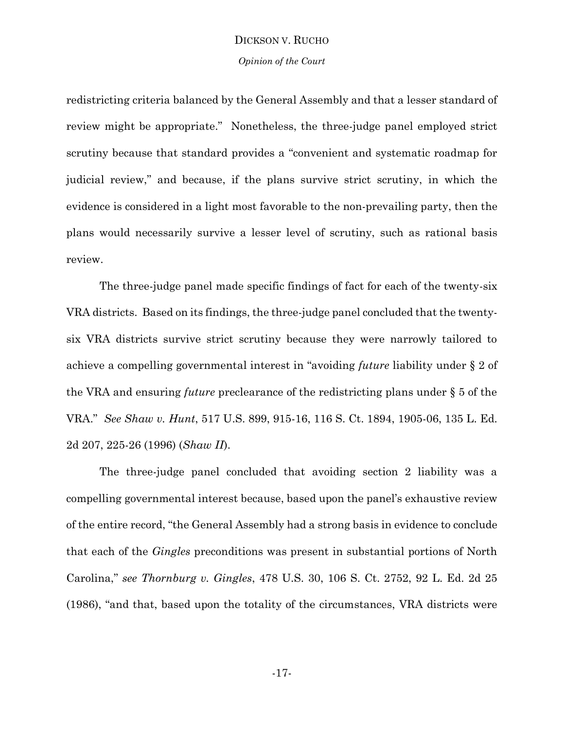### *Opinion of the Court*

redistricting criteria balanced by the General Assembly and that a lesser standard of review might be appropriate." Nonetheless, the three-judge panel employed strict scrutiny because that standard provides a "convenient and systematic roadmap for judicial review," and because, if the plans survive strict scrutiny, in which the evidence is considered in a light most favorable to the non-prevailing party, then the plans would necessarily survive a lesser level of scrutiny, such as rational basis review.

The three-judge panel made specific findings of fact for each of the twenty-six VRA districts. Based on its findings, the three-judge panel concluded that the twentysix VRA districts survive strict scrutiny because they were narrowly tailored to achieve a compelling governmental interest in "avoiding *future* liability under § 2 of the VRA and ensuring *future* preclearance of the redistricting plans under § 5 of the VRA." *See Shaw v. Hunt*, 517 U.S. 899, 915-16, 116 S. Ct. 1894, 1905-06, 135 L. Ed. 2d 207, 225-26 (1996) (*Shaw II*).

The three-judge panel concluded that avoiding section 2 liability was a compelling governmental interest because, based upon the panel's exhaustive review of the entire record, "the General Assembly had a strong basis in evidence to conclude that each of the *Gingles* preconditions was present in substantial portions of North Carolina," *see Thornburg v. Gingles*, 478 U.S. 30, 106 S. Ct. 2752, 92 L. Ed. 2d 25 (1986), "and that, based upon the totality of the circumstances, VRA districts were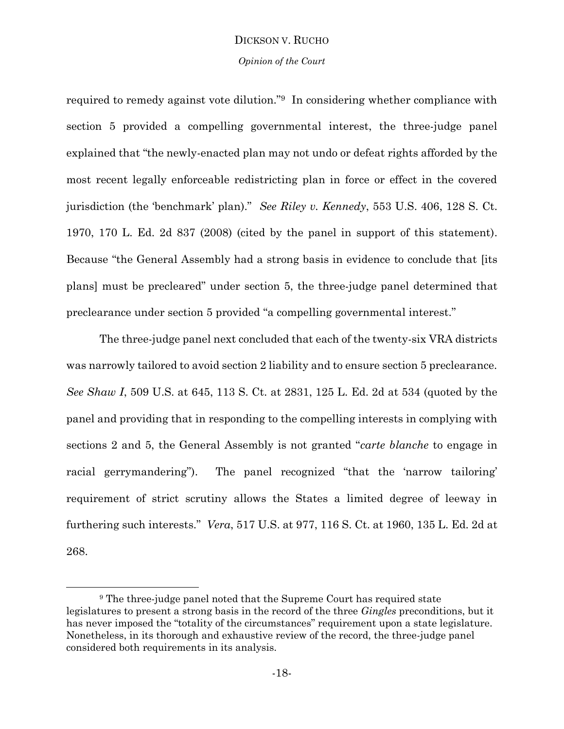### *Opinion of the Court*

required to remedy against vote dilution."9 In considering whether compliance with section 5 provided a compelling governmental interest, the three-judge panel explained that "the newly-enacted plan may not undo or defeat rights afforded by the most recent legally enforceable redistricting plan in force or effect in the covered jurisdiction (the 'benchmark' plan)." *See Riley v. Kennedy*, 553 U.S. 406, 128 S. Ct. 1970, 170 L. Ed. 2d 837 (2008) (cited by the panel in support of this statement). Because "the General Assembly had a strong basis in evidence to conclude that [its plans] must be precleared" under section 5, the three-judge panel determined that preclearance under section 5 provided "a compelling governmental interest."

The three-judge panel next concluded that each of the twenty-six VRA districts was narrowly tailored to avoid section 2 liability and to ensure section 5 preclearance. *See Shaw I*, 509 U.S. at 645, 113 S. Ct. at 2831, 125 L. Ed. 2d at 534 (quoted by the panel and providing that in responding to the compelling interests in complying with sections 2 and 5, the General Assembly is not granted "*carte blanche* to engage in racial gerrymandering"). The panel recognized "that the 'narrow tailoring' requirement of strict scrutiny allows the States a limited degree of leeway in furthering such interests." *Vera*, 517 U.S. at 977, 116 S. Ct. at 1960, 135 L. Ed. 2d at 268.

l

<sup>&</sup>lt;sup>9</sup> The three-judge panel noted that the Supreme Court has required state legislatures to present a strong basis in the record of the three *Gingles* preconditions, but it has never imposed the "totality of the circumstances" requirement upon a state legislature. Nonetheless, in its thorough and exhaustive review of the record, the three-judge panel considered both requirements in its analysis.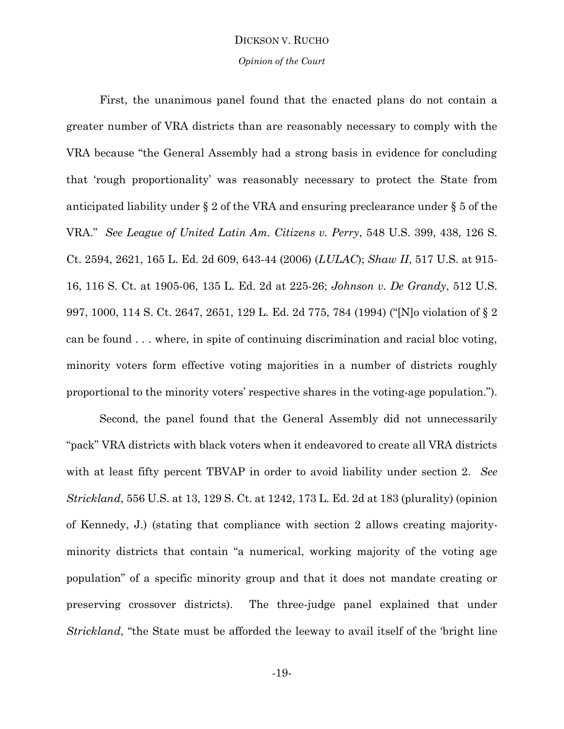### *Opinion of the Court*

First, the unanimous panel found that the enacted plans do not contain a greater number of VRA districts than are reasonably necessary to comply with the VRA because "the General Assembly had a strong basis in evidence for concluding that 'rough proportionality' was reasonably necessary to protect the State from anticipated liability under § 2 of the VRA and ensuring preclearance under § 5 of the VRA." *See League of United Latin Am. Citizens v. Perry*, 548 U.S. 399, 438, 126 S. Ct. 2594, 2621, 165 L. Ed. 2d 609, 643-44 (2006) (*LULAC*); *Shaw II*, 517 U.S. at 915- 16, 116 S. Ct. at 1905-06, 135 L. Ed. 2d at 225-26; *Johnson v. De Grandy*, 512 U.S. 997, 1000, 114 S. Ct. 2647, 2651, 129 L. Ed. 2d 775, 784 (1994) ("[N]o violation of § 2 can be found . . . where, in spite of continuing discrimination and racial bloc voting, minority voters form effective voting majorities in a number of districts roughly proportional to the minority voters' respective shares in the voting-age population.").

Second, the panel found that the General Assembly did not unnecessarily "pack" VRA districts with black voters when it endeavored to create all VRA districts with at least fifty percent TBVAP in order to avoid liability under section 2. *See Strickland*, 556 U.S. at 13, 129 S. Ct. at 1242, 173 L. Ed. 2d at 183 (plurality) (opinion of Kennedy, J.) (stating that compliance with section 2 allows creating majorityminority districts that contain "a numerical, working majority of the voting age population" of a specific minority group and that it does not mandate creating or preserving crossover districts). The three-judge panel explained that under *Strickland*, "the State must be afforded the leeway to avail itself of the 'bright line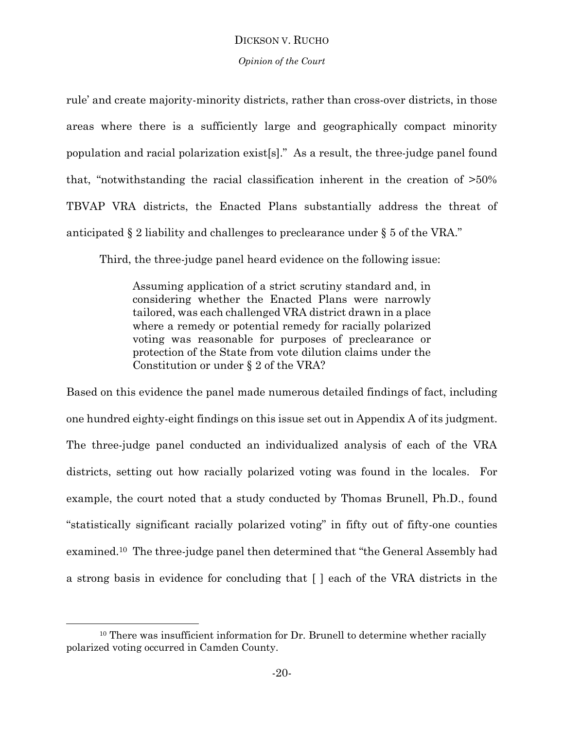*Opinion of the Court*

rule' and create majority-minority districts, rather than cross-over districts, in those areas where there is a sufficiently large and geographically compact minority population and racial polarization exist[s]." As a result, the three-judge panel found that, "notwithstanding the racial classification inherent in the creation of >50% TBVAP VRA districts, the Enacted Plans substantially address the threat of anticipated § 2 liability and challenges to preclearance under § 5 of the VRA."

Third, the three-judge panel heard evidence on the following issue:

Assuming application of a strict scrutiny standard and, in considering whether the Enacted Plans were narrowly tailored, was each challenged VRA district drawn in a place where a remedy or potential remedy for racially polarized voting was reasonable for purposes of preclearance or protection of the State from vote dilution claims under the Constitution or under § 2 of the VRA?

Based on this evidence the panel made numerous detailed findings of fact, including one hundred eighty-eight findings on this issue set out in Appendix A of its judgment. The three-judge panel conducted an individualized analysis of each of the VRA districts, setting out how racially polarized voting was found in the locales. For example, the court noted that a study conducted by Thomas Brunell, Ph.D., found "statistically significant racially polarized voting" in fifty out of fifty-one counties examined.10 The three-judge panel then determined that "the General Assembly had a strong basis in evidence for concluding that [ ] each of the VRA districts in the

 $\overline{a}$ 

 $10$  There was insufficient information for Dr. Brunell to determine whether racially polarized voting occurred in Camden County.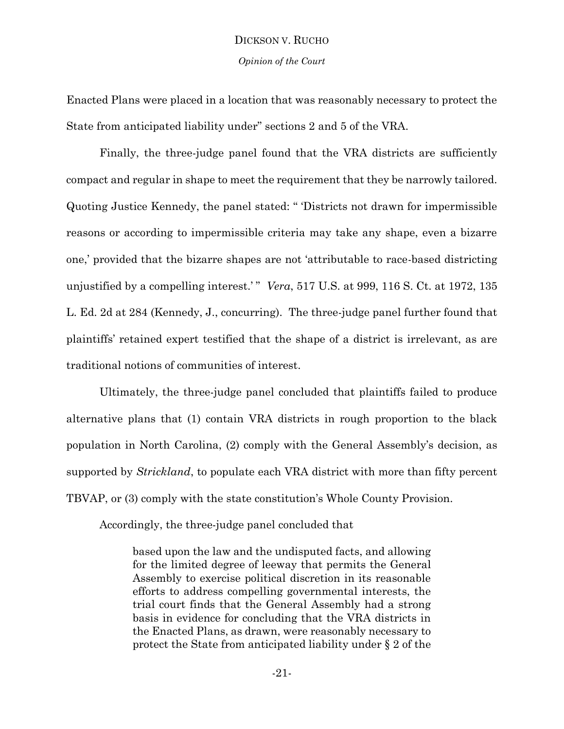Enacted Plans were placed in a location that was reasonably necessary to protect the State from anticipated liability under" sections 2 and 5 of the VRA.

Finally, the three-judge panel found that the VRA districts are sufficiently compact and regular in shape to meet the requirement that they be narrowly tailored. Quoting Justice Kennedy, the panel stated: " 'Districts not drawn for impermissible reasons or according to impermissible criteria may take any shape, even a bizarre one,' provided that the bizarre shapes are not 'attributable to race-based districting unjustified by a compelling interest.' " *Vera*, 517 U.S. at 999, 116 S. Ct. at 1972, 135 L. Ed. 2d at 284 (Kennedy, J., concurring). The three-judge panel further found that plaintiffs' retained expert testified that the shape of a district is irrelevant, as are traditional notions of communities of interest.

Ultimately, the three-judge panel concluded that plaintiffs failed to produce alternative plans that (1) contain VRA districts in rough proportion to the black population in North Carolina, (2) comply with the General Assembly's decision, as supported by *Strickland*, to populate each VRA district with more than fifty percent TBVAP, or (3) comply with the state constitution's Whole County Provision.

Accordingly, the three-judge panel concluded that

based upon the law and the undisputed facts, and allowing for the limited degree of leeway that permits the General Assembly to exercise political discretion in its reasonable efforts to address compelling governmental interests, the trial court finds that the General Assembly had a strong basis in evidence for concluding that the VRA districts in the Enacted Plans, as drawn, were reasonably necessary to protect the State from anticipated liability under § 2 of the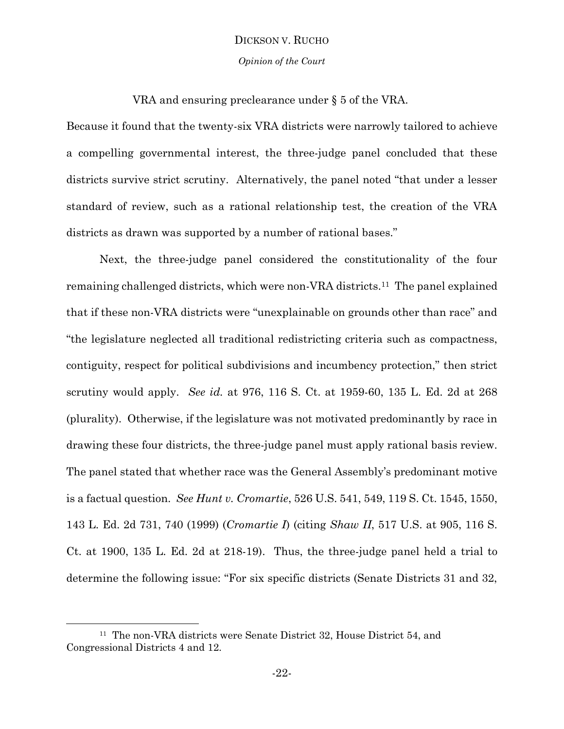*Opinion of the Court*

VRA and ensuring preclearance under § 5 of the VRA.

Because it found that the twenty-six VRA districts were narrowly tailored to achieve a compelling governmental interest, the three-judge panel concluded that these districts survive strict scrutiny. Alternatively, the panel noted "that under a lesser standard of review, such as a rational relationship test, the creation of the VRA districts as drawn was supported by a number of rational bases."

Next, the three-judge panel considered the constitutionality of the four remaining challenged districts, which were non-VRA districts.11 The panel explained that if these non-VRA districts were "unexplainable on grounds other than race" and "the legislature neglected all traditional redistricting criteria such as compactness, contiguity, respect for political subdivisions and incumbency protection," then strict scrutiny would apply. *See id.* at 976, 116 S. Ct. at 1959-60, 135 L. Ed. 2d at 268 (plurality). Otherwise, if the legislature was not motivated predominantly by race in drawing these four districts, the three-judge panel must apply rational basis review. The panel stated that whether race was the General Assembly's predominant motive is a factual question. *See Hunt v. Cromartie*, 526 U.S. 541, 549, 119 S. Ct. 1545, 1550, 143 L. Ed. 2d 731, 740 (1999) (*Cromartie I*) (citing *Shaw II*, 517 U.S. at 905, 116 S. Ct. at 1900, 135 L. Ed. 2d at 218-19). Thus, the three-judge panel held a trial to determine the following issue: "For six specific districts (Senate Districts 31 and 32,

 $\overline{a}$ 

<sup>&</sup>lt;sup>11</sup> The non-VRA districts were Senate District 32, House District 54, and Congressional Districts 4 and 12.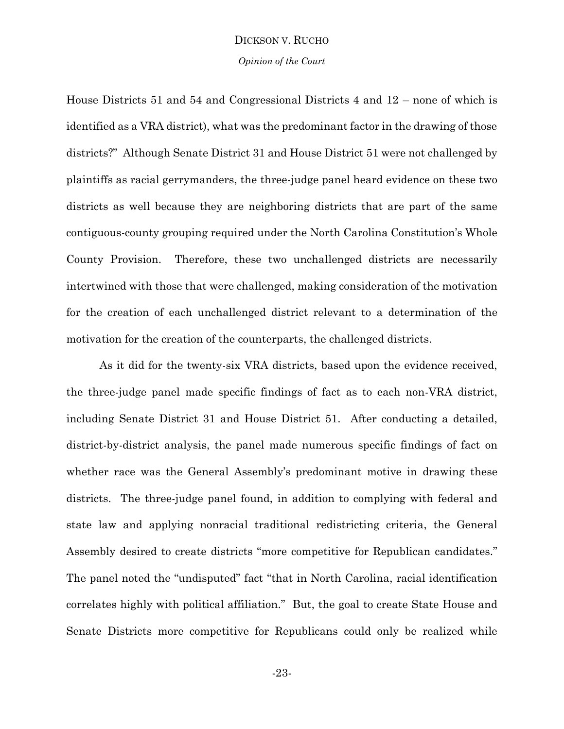*Opinion of the Court*

House Districts 51 and 54 and Congressional Districts 4 and 12 – none of which is identified as a VRA district), what was the predominant factor in the drawing of those districts?" Although Senate District 31 and House District 51 were not challenged by plaintiffs as racial gerrymanders, the three-judge panel heard evidence on these two districts as well because they are neighboring districts that are part of the same contiguous-county grouping required under the North Carolina Constitution's Whole County Provision. Therefore, these two unchallenged districts are necessarily intertwined with those that were challenged, making consideration of the motivation for the creation of each unchallenged district relevant to a determination of the motivation for the creation of the counterparts, the challenged districts.

As it did for the twenty-six VRA districts, based upon the evidence received, the three-judge panel made specific findings of fact as to each non-VRA district, including Senate District 31 and House District 51. After conducting a detailed, district-by-district analysis, the panel made numerous specific findings of fact on whether race was the General Assembly's predominant motive in drawing these districts. The three-judge panel found, in addition to complying with federal and state law and applying nonracial traditional redistricting criteria, the General Assembly desired to create districts "more competitive for Republican candidates." The panel noted the "undisputed" fact "that in North Carolina, racial identification correlates highly with political affiliation." But, the goal to create State House and Senate Districts more competitive for Republicans could only be realized while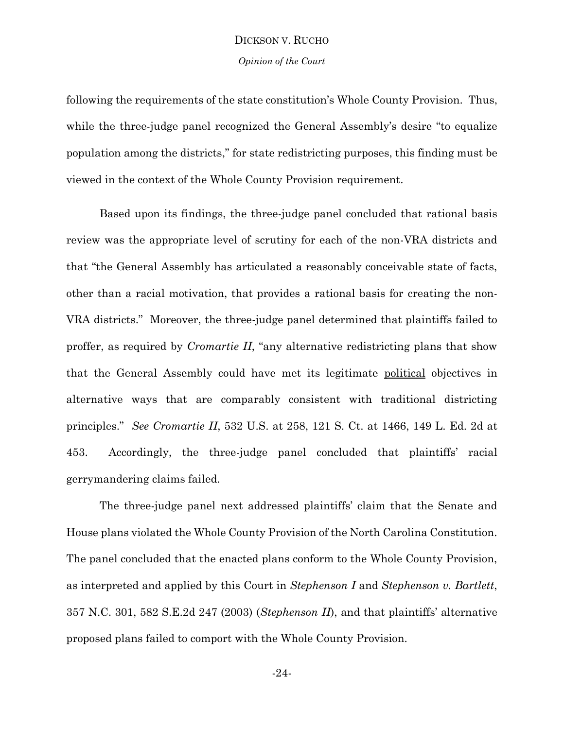*Opinion of the Court*

following the requirements of the state constitution's Whole County Provision. Thus, while the three-judge panel recognized the General Assembly's desire "to equalize" population among the districts," for state redistricting purposes, this finding must be viewed in the context of the Whole County Provision requirement.

Based upon its findings, the three-judge panel concluded that rational basis review was the appropriate level of scrutiny for each of the non-VRA districts and that "the General Assembly has articulated a reasonably conceivable state of facts, other than a racial motivation, that provides a rational basis for creating the non-VRA districts." Moreover, the three-judge panel determined that plaintiffs failed to proffer, as required by *Cromartie II*, "any alternative redistricting plans that show that the General Assembly could have met its legitimate political objectives in alternative ways that are comparably consistent with traditional districting principles." *See Cromartie II*, 532 U.S. at 258, 121 S. Ct. at 1466, 149 L. Ed. 2d at 453. Accordingly, the three-judge panel concluded that plaintiffs' racial gerrymandering claims failed.

The three-judge panel next addressed plaintiffs' claim that the Senate and House plans violated the Whole County Provision of the North Carolina Constitution. The panel concluded that the enacted plans conform to the Whole County Provision, as interpreted and applied by this Court in *Stephenson I* and *Stephenson v. Bartlett*, 357 N.C. 301, 582 S.E.2d 247 (2003) (*Stephenson II*), and that plaintiffs' alternative proposed plans failed to comport with the Whole County Provision.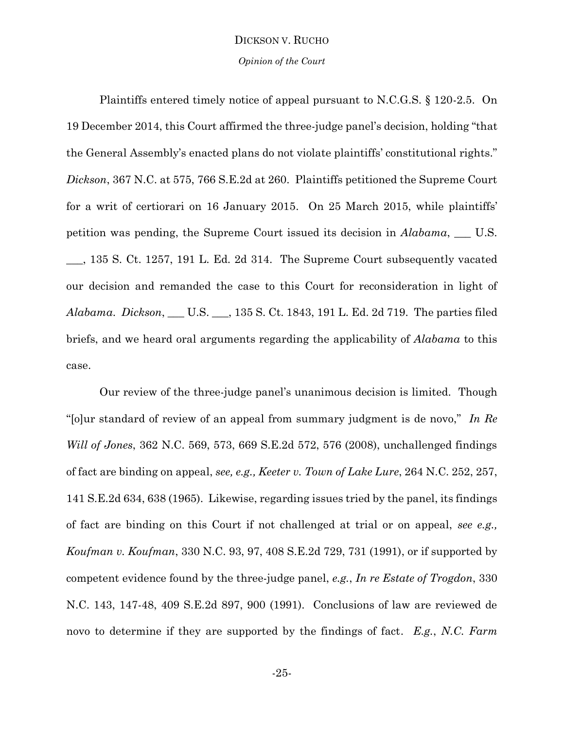### *Opinion of the Court*

Plaintiffs entered timely notice of appeal pursuant to N.C.G.S. § 120-2.5. On 19 December 2014, this Court affirmed the three-judge panel's decision, holding "that the General Assembly's enacted plans do not violate plaintiffs' constitutional rights." *Dickson*, 367 N.C. at 575, 766 S.E.2d at 260. Plaintiffs petitioned the Supreme Court for a writ of certiorari on 16 January 2015. On 25 March 2015, while plaintiffs' petition was pending, the Supreme Court issued its decision in *Alabama*, \_\_\_ U.S. \_\_\_, 135 S. Ct. 1257, 191 L. Ed. 2d 314. The Supreme Court subsequently vacated our decision and remanded the case to this Court for reconsideration in light of *Alabama*. *Dickson*, \_\_\_ U.S. \_\_\_, 135 S. Ct. 1843, 191 L. Ed. 2d 719. The parties filed briefs, and we heard oral arguments regarding the applicability of *Alabama* to this case.

Our review of the three-judge panel's unanimous decision is limited. Though "[o]ur standard of review of an appeal from summary judgment is de novo," *In Re Will of Jones*, 362 N.C. 569, 573, 669 S.E.2d 572, 576 (2008), unchallenged findings of fact are binding on appeal, *see, e.g., Keeter v. Town of Lake Lure*, 264 N.C. 252, 257, 141 S.E.2d 634, 638 (1965). Likewise, regarding issues tried by the panel, its findings of fact are binding on this Court if not challenged at trial or on appeal, *see e.g., Koufman v. Koufman*, 330 N.C. 93, 97, 408 S.E.2d 729, 731 (1991), or if supported by competent evidence found by the three-judge panel, *e.g.*, *In re Estate of Trogdon*, 330 N.C. 143, 147-48, 409 S.E.2d 897, 900 (1991). Conclusions of law are reviewed de novo to determine if they are supported by the findings of fact. *E.g.*, *N.C. Farm*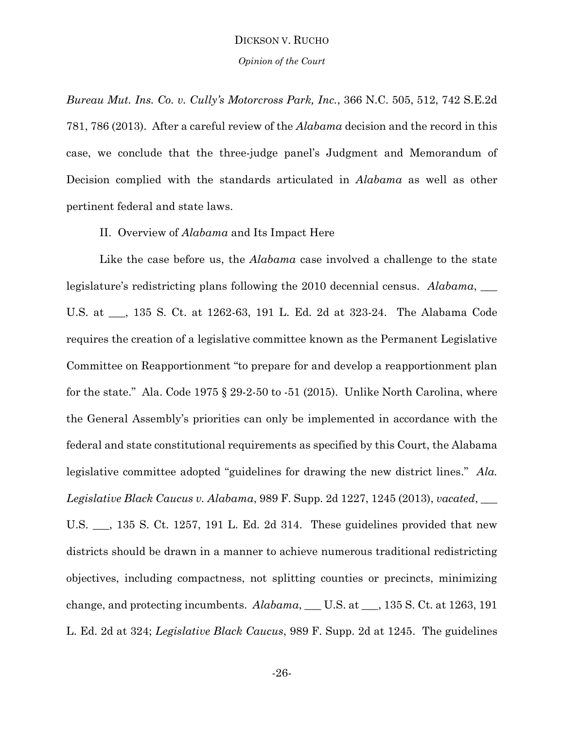*Bureau Mut. Ins. Co. v. Cully's Motorcross Park, Inc.*, 366 N.C. 505, 512, 742 S.E.2d 781, 786 (2013). After a careful review of the *Alabama* decision and the record in this case, we conclude that the three-judge panel's Judgment and Memorandum of Decision complied with the standards articulated in *Alabama* as well as other pertinent federal and state laws.

# II. Overview of *Alabama* and Its Impact Here

Like the case before us, the *Alabama* case involved a challenge to the state legislature's redistricting plans following the 2010 decennial census. *Alabama*, \_\_\_ U.S. at \_\_\_, 135 S. Ct. at 1262-63, 191 L. Ed. 2d at 323-24. The Alabama Code requires the creation of a legislative committee known as the Permanent Legislative Committee on Reapportionment "to prepare for and develop a reapportionment plan for the state." Ala. Code 1975 § 29-2-50 to -51 (2015). Unlike North Carolina, where the General Assembly's priorities can only be implemented in accordance with the federal and state constitutional requirements as specified by this Court, the Alabama legislative committee adopted "guidelines for drawing the new district lines." *Ala. Legislative Black Caucus v. Alabama*, 989 F. Supp. 2d 1227, 1245 (2013), *vacated*, \_\_\_ U.S. \_\_\_, 135 S. Ct. 1257, 191 L. Ed. 2d 314. These guidelines provided that new districts should be drawn in a manner to achieve numerous traditional redistricting objectives, including compactness, not splitting counties or precincts, minimizing change, and protecting incumbents. *Alabama*, \_\_\_ U.S. at \_\_\_, 135 S. Ct. at 1263, 191 L. Ed. 2d at 324; *Legislative Black Caucus*, 989 F. Supp. 2d at 1245. The guidelines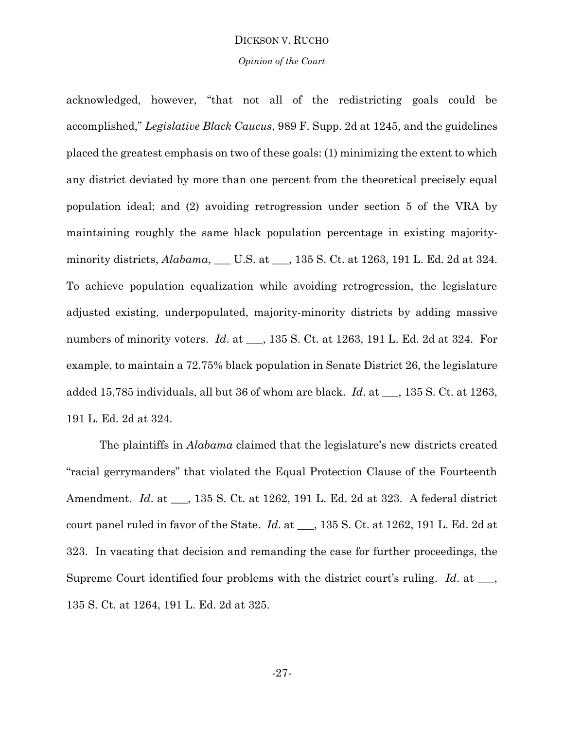*Opinion of the Court*

acknowledged, however, "that not all of the redistricting goals could be accomplished," *Legislative Black Caucus*, 989 F. Supp. 2d at 1245, and the guidelines placed the greatest emphasis on two of these goals: (1) minimizing the extent to which any district deviated by more than one percent from the theoretical precisely equal population ideal; and (2) avoiding retrogression under section 5 of the VRA by maintaining roughly the same black population percentage in existing majorityminority districts, *Alabama*, \_\_\_ U.S. at \_\_\_, 135 S. Ct. at 1263, 191 L. Ed. 2d at 324. To achieve population equalization while avoiding retrogression, the legislature adjusted existing, underpopulated, majority-minority districts by adding massive numbers of minority voters. *Id*. at \_\_\_, 135 S. Ct. at 1263, 191 L. Ed. 2d at 324. For example, to maintain a 72.75% black population in Senate District 26, the legislature added 15,785 individuals, all but 36 of whom are black. *Id*. at \_\_\_, 135 S. Ct. at 1263, 191 L. Ed. 2d at 324.

The plaintiffs in *Alabama* claimed that the legislature's new districts created "racial gerrymanders" that violated the Equal Protection Clause of the Fourteenth Amendment. *Id*. at \_\_\_, 135 S. Ct. at 1262, 191 L. Ed. 2d at 323. A federal district court panel ruled in favor of the State. *Id*. at \_\_\_, 135 S. Ct. at 1262, 191 L. Ed. 2d at 323. In vacating that decision and remanding the case for further proceedings, the Supreme Court identified four problems with the district court's ruling. *Id*. at \_\_\_, 135 S. Ct. at 1264, 191 L. Ed. 2d at 325.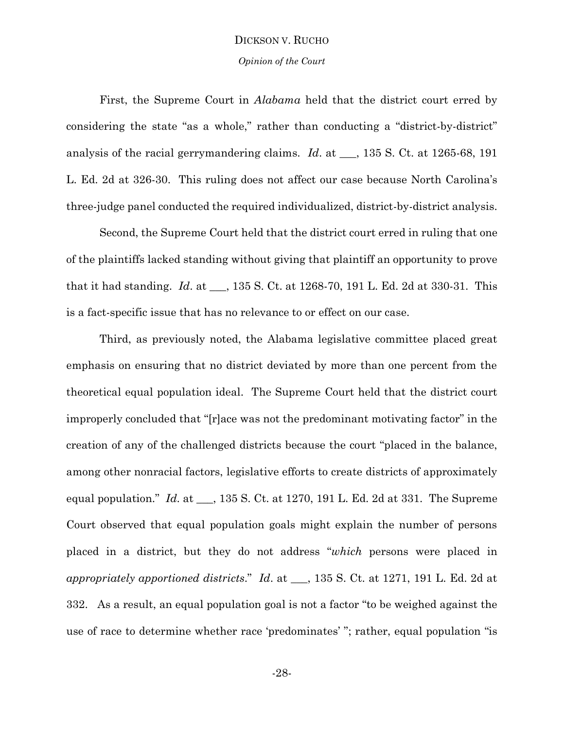#### *Opinion of the Court*

First, the Supreme Court in *Alabama* held that the district court erred by considering the state "as a whole," rather than conducting a "district-by-district" analysis of the racial gerrymandering claims. *Id*. at \_\_\_, 135 S. Ct. at 1265-68, 191 L. Ed. 2d at 326-30. This ruling does not affect our case because North Carolina's three-judge panel conducted the required individualized, district-by-district analysis.

Second, the Supreme Court held that the district court erred in ruling that one of the plaintiffs lacked standing without giving that plaintiff an opportunity to prove that it had standing. *Id*. at \_\_\_, 135 S. Ct. at 1268-70, 191 L. Ed. 2d at 330-31. This is a fact-specific issue that has no relevance to or effect on our case.

Third, as previously noted, the Alabama legislative committee placed great emphasis on ensuring that no district deviated by more than one percent from the theoretical equal population ideal. The Supreme Court held that the district court improperly concluded that "[r]ace was not the predominant motivating factor" in the creation of any of the challenged districts because the court "placed in the balance, among other nonracial factors, legislative efforts to create districts of approximately equal population." *Id*. at \_\_\_, 135 S. Ct. at 1270, 191 L. Ed. 2d at 331. The Supreme Court observed that equal population goals might explain the number of persons placed in a district, but they do not address "*which* persons were placed in *appropriately apportioned districts*." *Id*. at \_\_\_, 135 S. Ct. at 1271, 191 L. Ed. 2d at 332. As a result, an equal population goal is not a factor "to be weighed against the use of race to determine whether race 'predominates' "; rather, equal population "is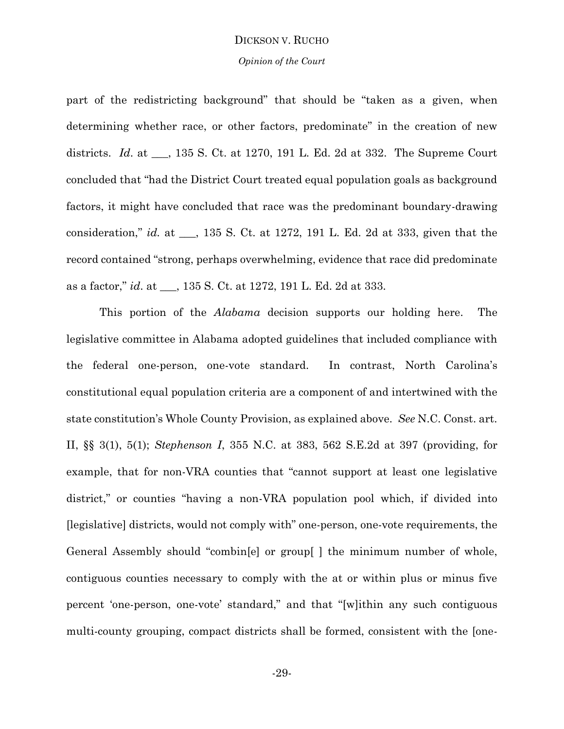#### *Opinion of the Court*

part of the redistricting background" that should be "taken as a given, when determining whether race, or other factors, predominate" in the creation of new districts. *Id*. at \_\_\_, 135 S. Ct. at 1270, 191 L. Ed. 2d at 332. The Supreme Court concluded that "had the District Court treated equal population goals as background factors, it might have concluded that race was the predominant boundary-drawing consideration," *id.* at \_\_\_, 135 S. Ct. at 1272, 191 L. Ed. 2d at 333, given that the record contained "strong, perhaps overwhelming, evidence that race did predominate as a factor," *id*. at \_\_\_, 135 S. Ct. at 1272, 191 L. Ed. 2d at 333.

This portion of the *Alabama* decision supports our holding here. The legislative committee in Alabama adopted guidelines that included compliance with the federal one-person, one-vote standard. In contrast, North Carolina's constitutional equal population criteria are a component of and intertwined with the state constitution's Whole County Provision, as explained above. *See* N.C. Const. art. II, §§ 3(1), 5(1); *Stephenson I*, 355 N.C. at 383, 562 S.E.2d at 397 (providing, for example, that for non-VRA counties that "cannot support at least one legislative district," or counties "having a non-VRA population pool which, if divided into [legislative] districts, would not comply with" one-person, one-vote requirements, the General Assembly should "combin[e] or group[ ] the minimum number of whole, contiguous counties necessary to comply with the at or within plus or minus five percent 'one-person, one-vote' standard," and that "[w]ithin any such contiguous multi-county grouping, compact districts shall be formed, consistent with the [one-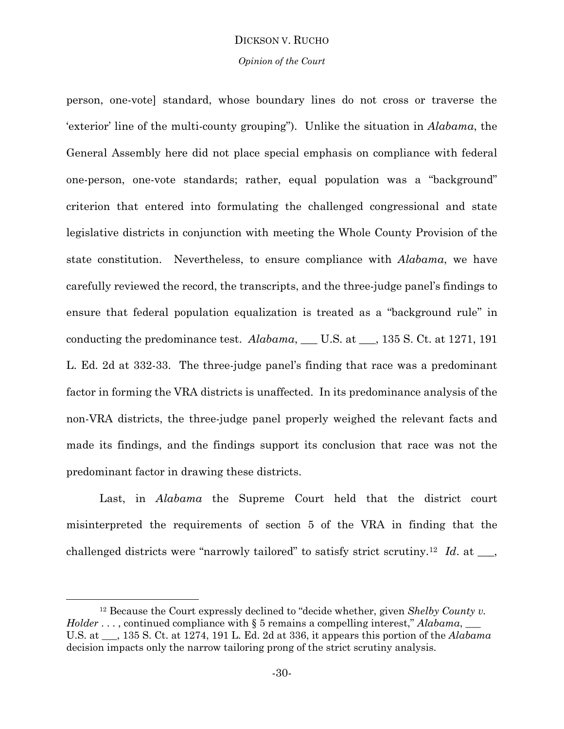### *Opinion of the Court*

person, one-vote] standard, whose boundary lines do not cross or traverse the 'exterior' line of the multi-county grouping"). Unlike the situation in *Alabama*, the General Assembly here did not place special emphasis on compliance with federal one-person, one-vote standards; rather, equal population was a "background" criterion that entered into formulating the challenged congressional and state legislative districts in conjunction with meeting the Whole County Provision of the state constitution. Nevertheless, to ensure compliance with *Alabama*, we have carefully reviewed the record, the transcripts, and the three-judge panel's findings to ensure that federal population equalization is treated as a "background rule" in conducting the predominance test. *Alabama*, \_\_\_ U.S. at \_\_\_, 135 S. Ct. at 1271, 191 L. Ed. 2d at 332-33. The three-judge panel's finding that race was a predominant factor in forming the VRA districts is unaffected. In its predominance analysis of the non-VRA districts, the three-judge panel properly weighed the relevant facts and made its findings, and the findings support its conclusion that race was not the predominant factor in drawing these districts.

Last, in *Alabama* the Supreme Court held that the district court misinterpreted the requirements of section 5 of the VRA in finding that the challenged districts were "narrowly tailored" to satisfy strict scrutiny.<sup>12</sup> *Id*. at \_\_\_,

l

<sup>12</sup> Because the Court expressly declined to "decide whether, given *Shelby County v. Holder* ..., continued compliance with § 5 remains a compelling interest," *Alabama*, U.S. at \_\_\_, 135 S. Ct. at 1274, 191 L. Ed. 2d at 336, it appears this portion of the *Alabama* decision impacts only the narrow tailoring prong of the strict scrutiny analysis.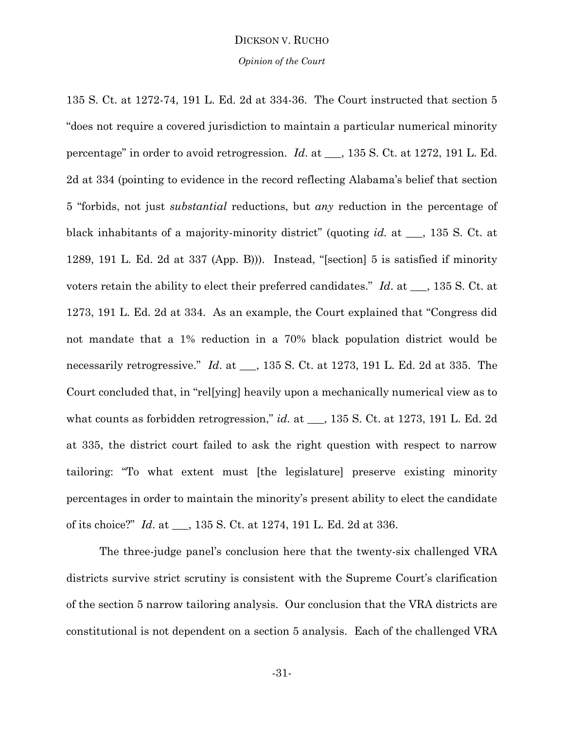*Opinion of the Court*

135 S. Ct. at 1272-74, 191 L. Ed. 2d at 334-36. The Court instructed that section 5 "does not require a covered jurisdiction to maintain a particular numerical minority percentage" in order to avoid retrogression. *Id*. at \_\_\_, 135 S. Ct. at 1272, 191 L. Ed. 2d at 334 (pointing to evidence in the record reflecting Alabama's belief that section 5 "forbids, not just *substantial* reductions, but *any* reduction in the percentage of black inhabitants of a majority-minority district" (quoting *id.* at \_\_\_, 135 S. Ct. at 1289, 191 L. Ed. 2d at 337 (App. B))). Instead, "[section] 5 is satisfied if minority voters retain the ability to elect their preferred candidates." *Id*. at \_\_\_, 135 S. Ct. at 1273, 191 L. Ed. 2d at 334. As an example, the Court explained that "Congress did not mandate that a 1% reduction in a 70% black population district would be necessarily retrogressive." *Id*. at \_\_\_, 135 S. Ct. at 1273, 191 L. Ed. 2d at 335. The Court concluded that, in "rel[ying] heavily upon a mechanically numerical view as to what counts as forbidden retrogression," *id.* at \_\_\_, 135 S. Ct. at 1273, 191 L. Ed. 2d at 335, the district court failed to ask the right question with respect to narrow tailoring: "To what extent must [the legislature] preserve existing minority percentages in order to maintain the minority's present ability to elect the candidate of its choice?" *Id*. at \_\_\_, 135 S. Ct. at 1274, 191 L. Ed. 2d at 336.

The three-judge panel's conclusion here that the twenty-six challenged VRA districts survive strict scrutiny is consistent with the Supreme Court's clarification of the section 5 narrow tailoring analysis. Our conclusion that the VRA districts are constitutional is not dependent on a section 5 analysis. Each of the challenged VRA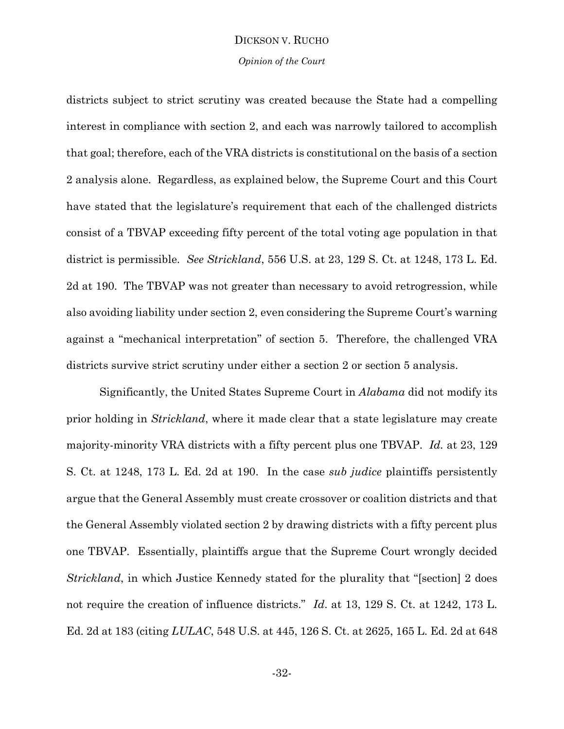### *Opinion of the Court*

districts subject to strict scrutiny was created because the State had a compelling interest in compliance with section 2, and each was narrowly tailored to accomplish that goal; therefore, each of the VRA districts is constitutional on the basis of a section 2 analysis alone. Regardless, as explained below, the Supreme Court and this Court have stated that the legislature's requirement that each of the challenged districts consist of a TBVAP exceeding fifty percent of the total voting age population in that district is permissible. *See Strickland*, 556 U.S. at 23, 129 S. Ct. at 1248, 173 L. Ed. 2d at 190. The TBVAP was not greater than necessary to avoid retrogression, while also avoiding liability under section 2, even considering the Supreme Court's warning against a "mechanical interpretation" of section 5. Therefore, the challenged VRA districts survive strict scrutiny under either a section 2 or section 5 analysis.

Significantly, the United States Supreme Court in *Alabama* did not modify its prior holding in *Strickland*, where it made clear that a state legislature may create majority-minority VRA districts with a fifty percent plus one TBVAP. *Id.* at 23, 129 S. Ct. at 1248, 173 L. Ed. 2d at 190. In the case *sub judice* plaintiffs persistently argue that the General Assembly must create crossover or coalition districts and that the General Assembly violated section 2 by drawing districts with a fifty percent plus one TBVAP. Essentially, plaintiffs argue that the Supreme Court wrongly decided *Strickland*, in which Justice Kennedy stated for the plurality that "[section] 2 does not require the creation of influence districts." *Id*. at 13, 129 S. Ct. at 1242, 173 L. Ed. 2d at 183 (citing *LULAC*, 548 U.S. at 445, 126 S. Ct. at 2625, 165 L. Ed. 2d at 648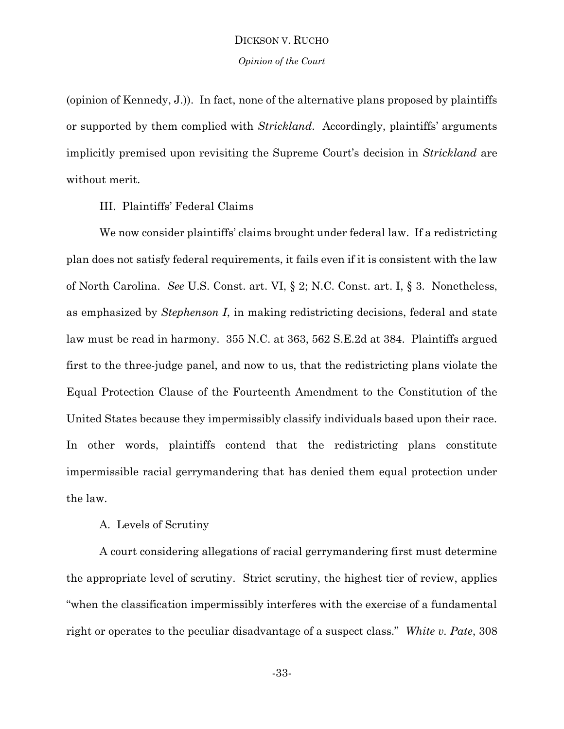(opinion of Kennedy, J.)). In fact, none of the alternative plans proposed by plaintiffs or supported by them complied with *Strickland*. Accordingly, plaintiffs' arguments implicitly premised upon revisiting the Supreme Court's decision in *Strickland* are without merit.

# III. Plaintiffs' Federal Claims

We now consider plaintiffs' claims brought under federal law. If a redistricting plan does not satisfy federal requirements, it fails even if it is consistent with the law of North Carolina. *See* U.S. Const. art. VI, § 2; N.C. Const. art. I, § 3. Nonetheless, as emphasized by *Stephenson I*, in making redistricting decisions, federal and state law must be read in harmony. 355 N.C. at 363, 562 S.E.2d at 384. Plaintiffs argued first to the three-judge panel, and now to us, that the redistricting plans violate the Equal Protection Clause of the Fourteenth Amendment to the Constitution of the United States because they impermissibly classify individuals based upon their race. In other words, plaintiffs contend that the redistricting plans constitute impermissible racial gerrymandering that has denied them equal protection under the law.

# A. Levels of Scrutiny

A court considering allegations of racial gerrymandering first must determine the appropriate level of scrutiny. Strict scrutiny, the highest tier of review, applies "when the classification impermissibly interferes with the exercise of a fundamental right or operates to the peculiar disadvantage of a suspect class." *White v. Pate*, 308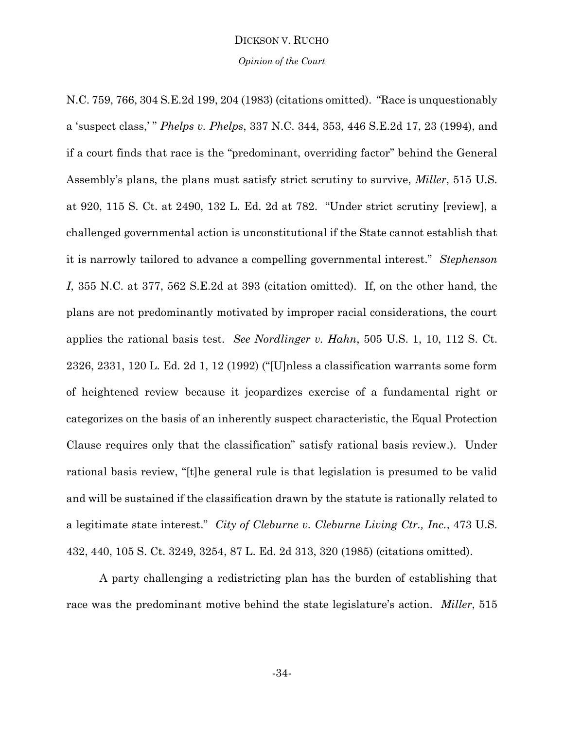### *Opinion of the Court*

N.C. 759, 766, 304 S.E.2d 199, 204 (1983) (citations omitted). "Race is unquestionably a 'suspect class,' " *Phelps v. Phelps*, 337 N.C. 344, 353, 446 S.E.2d 17, 23 (1994), and if a court finds that race is the "predominant, overriding factor" behind the General Assembly's plans, the plans must satisfy strict scrutiny to survive, *Miller*, 515 U.S. at 920, 115 S. Ct. at 2490, 132 L. Ed. 2d at 782. "Under strict scrutiny [review], a challenged governmental action is unconstitutional if the State cannot establish that it is narrowly tailored to advance a compelling governmental interest." *Stephenson I*, 355 N.C. at 377, 562 S.E.2d at 393 (citation omitted). If, on the other hand, the plans are not predominantly motivated by improper racial considerations, the court applies the rational basis test. *See Nordlinger v. Hahn*, 505 U.S. 1, 10, 112 S. Ct. 2326, 2331, 120 L. Ed. 2d 1, 12 (1992) ("[U]nless a classification warrants some form of heightened review because it jeopardizes exercise of a fundamental right or categorizes on the basis of an inherently suspect characteristic, the Equal Protection Clause requires only that the classification" satisfy rational basis review.). Under rational basis review, "[t]he general rule is that legislation is presumed to be valid and will be sustained if the classification drawn by the statute is rationally related to a legitimate state interest." *City of Cleburne v. Cleburne Living Ctr., Inc.*, 473 U.S. 432, 440, 105 S. Ct. 3249, 3254, 87 L. Ed. 2d 313, 320 (1985) (citations omitted).

A party challenging a redistricting plan has the burden of establishing that race was the predominant motive behind the state legislature's action. *Miller*, 515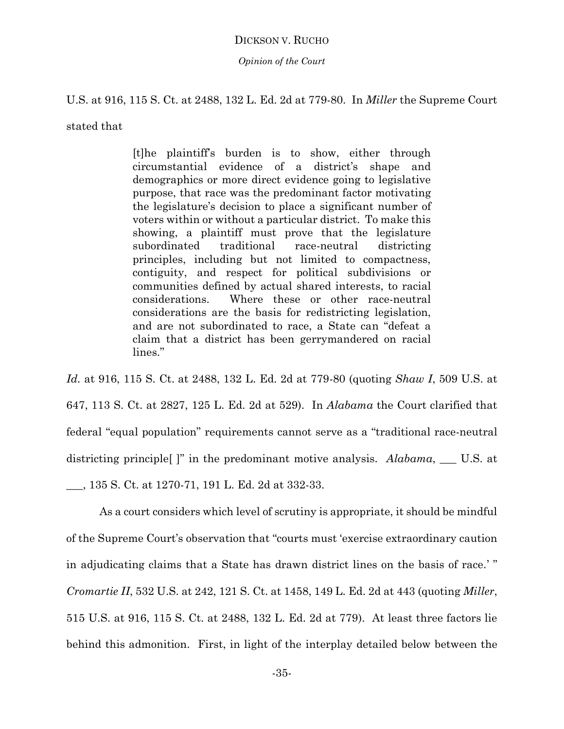*Opinion of the Court*

U.S. at 916, 115 S. Ct. at 2488, 132 L. Ed. 2d at 779-80. In *Miller* the Supreme Court

stated that

[t]he plaintiff's burden is to show, either through circumstantial evidence of a district's shape and demographics or more direct evidence going to legislative purpose, that race was the predominant factor motivating the legislature's decision to place a significant number of voters within or without a particular district. To make this showing, a plaintiff must prove that the legislature subordinated traditional race-neutral districting principles, including but not limited to compactness, contiguity, and respect for political subdivisions or communities defined by actual shared interests, to racial considerations. Where these or other race-neutral considerations are the basis for redistricting legislation, and are not subordinated to race, a State can "defeat a claim that a district has been gerrymandered on racial lines."

*Id.* at 916, 115 S. Ct. at 2488, 132 L. Ed. 2d at 779-80 (quoting *Shaw I*, 509 U.S. at 647, 113 S. Ct. at 2827, 125 L. Ed. 2d at 529). In *Alabama* the Court clarified that federal "equal population" requirements cannot serve as a "traditional race-neutral districting principle[ ]" in the predominant motive analysis. *Alabama*, \_\_\_ U.S. at

\_\_\_, 135 S. Ct. at 1270-71, 191 L. Ed. 2d at 332-33.

As a court considers which level of scrutiny is appropriate, it should be mindful of the Supreme Court's observation that "courts must 'exercise extraordinary caution in adjudicating claims that a State has drawn district lines on the basis of race.' " *Cromartie II*, 532 U.S. at 242, 121 S. Ct. at 1458, 149 L. Ed. 2d at 443 (quoting *Miller*, 515 U.S. at 916, 115 S. Ct. at 2488, 132 L. Ed. 2d at 779). At least three factors lie behind this admonition. First, in light of the interplay detailed below between the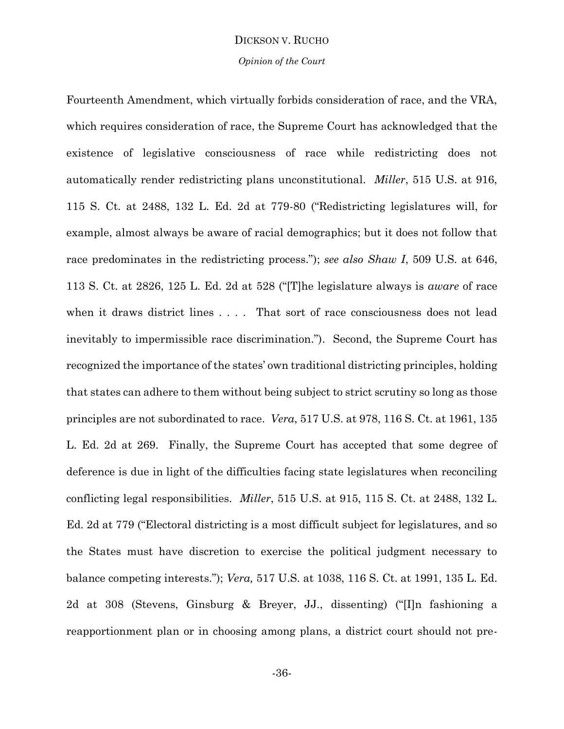### *Opinion of the Court*

Fourteenth Amendment, which virtually forbids consideration of race, and the VRA, which requires consideration of race, the Supreme Court has acknowledged that the existence of legislative consciousness of race while redistricting does not automatically render redistricting plans unconstitutional. *Miller*, 515 U.S. at 916, 115 S. Ct. at 2488, 132 L. Ed. 2d at 779-80 ("Redistricting legislatures will, for example, almost always be aware of racial demographics; but it does not follow that race predominates in the redistricting process."); *see also Shaw I*, 509 U.S. at 646, 113 S. Ct. at 2826, 125 L. Ed. 2d at 528 ("[T]he legislature always is *aware* of race when it draws district lines . . . . That sort of race consciousness does not lead inevitably to impermissible race discrimination."). Second, the Supreme Court has recognized the importance of the states' own traditional districting principles, holding that states can adhere to them without being subject to strict scrutiny so long as those principles are not subordinated to race. *Vera*, 517 U.S. at 978, 116 S. Ct. at 1961, 135 L. Ed. 2d at 269. Finally, the Supreme Court has accepted that some degree of deference is due in light of the difficulties facing state legislatures when reconciling conflicting legal responsibilities. *Miller*, 515 U.S. at 915, 115 S. Ct. at 2488, 132 L. Ed. 2d at 779 ("Electoral districting is a most difficult subject for legislatures, and so the States must have discretion to exercise the political judgment necessary to balance competing interests."); *Vera,* 517 U.S. at 1038, 116 S. Ct. at 1991, 135 L. Ed. 2d at 308 (Stevens, Ginsburg & Breyer, JJ., dissenting) ("[I]n fashioning a reapportionment plan or in choosing among plans, a district court should not pre-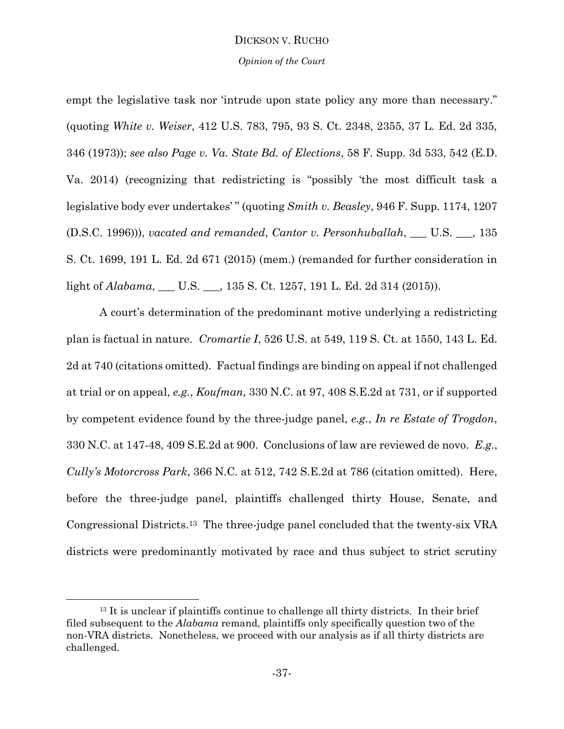#### *Opinion of the Court*

empt the legislative task nor 'intrude upon state policy any more than necessary." (quoting *White v. Weiser*, 412 U.S. 783, 795, 93 S. Ct. 2348, 2355, 37 L. Ed. 2d 335, 346 (1973)); *see also Page v. Va. State Bd. of Elections*, 58 F. Supp. 3d 533, 542 (E.D. Va. 2014) (recognizing that redistricting is "possibly 'the most difficult task a legislative body ever undertakes' " (quoting *Smith v. Beasley*, 946 F. Supp. 1174, 1207 (D.S.C. 1996))), *vacated and remanded*, *Cantor v. Personhuballah*, \_\_\_ U.S. \_\_\_, 135 S. Ct. 1699, 191 L. Ed. 2d 671 (2015) (mem.) (remanded for further consideration in light of *Alabama*, \_\_\_ U.S. \_\_\_, 135 S. Ct. 1257, 191 L. Ed. 2d 314 (2015)).

A court's determination of the predominant motive underlying a redistricting plan is factual in nature. *Cromartie I*, 526 U.S. at 549, 119 S. Ct. at 1550, 143 L. Ed. 2d at 740 (citations omitted). Factual findings are binding on appeal if not challenged at trial or on appeal, *e.g.*, *Koufman*, 330 N.C. at 97, 408 S.E.2d at 731, or if supported by competent evidence found by the three-judge panel, *e.g.*, *In re Estate of Trogdon*, 330 N.C. at 147-48, 409 S.E.2d at 900. Conclusions of law are reviewed de novo. *E.g.*, *Cully's Motorcross Park*, 366 N.C. at 512, 742 S.E.2d at 786 (citation omitted). Here, before the three-judge panel, plaintiffs challenged thirty House, Senate, and Congressional Districts. <sup>13</sup> The three-judge panel concluded that the twenty-six VRA districts were predominantly motivated by race and thus subject to strict scrutiny

l

<sup>&</sup>lt;sup>13</sup> It is unclear if plaintiffs continue to challenge all thirty districts. In their brief filed subsequent to the *Alabama* remand, plaintiffs only specifically question two of the non-VRA districts. Nonetheless, we proceed with our analysis as if all thirty districts are challenged.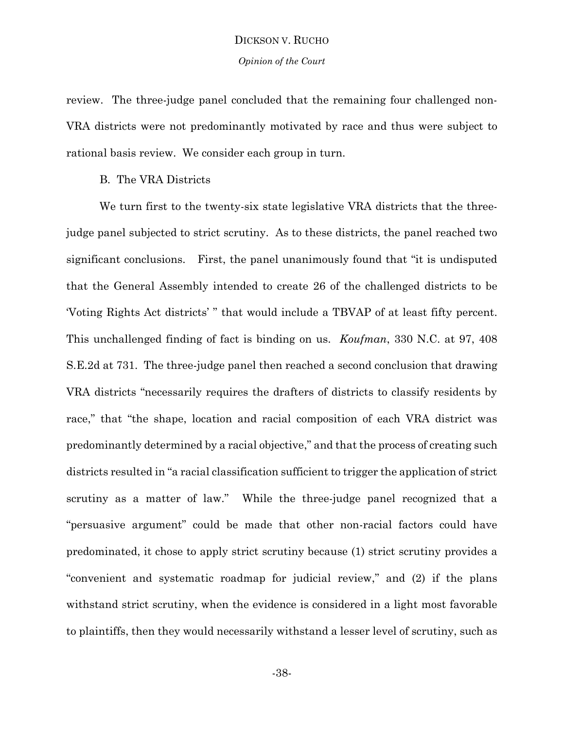review. The three-judge panel concluded that the remaining four challenged non-VRA districts were not predominantly motivated by race and thus were subject to rational basis review. We consider each group in turn.

B. The VRA Districts

We turn first to the twenty-six state legislative VRA districts that the threejudge panel subjected to strict scrutiny. As to these districts, the panel reached two significant conclusions. First, the panel unanimously found that "it is undisputed that the General Assembly intended to create 26 of the challenged districts to be 'Voting Rights Act districts' " that would include a TBVAP of at least fifty percent. This unchallenged finding of fact is binding on us. *Koufman*, 330 N.C. at 97, 408 S.E.2d at 731. The three-judge panel then reached a second conclusion that drawing VRA districts "necessarily requires the drafters of districts to classify residents by race," that "the shape, location and racial composition of each VRA district was predominantly determined by a racial objective," and that the process of creating such districts resulted in "a racial classification sufficient to trigger the application of strict scrutiny as a matter of law." While the three-judge panel recognized that a "persuasive argument" could be made that other non-racial factors could have predominated, it chose to apply strict scrutiny because (1) strict scrutiny provides a "convenient and systematic roadmap for judicial review," and (2) if the plans withstand strict scrutiny, when the evidence is considered in a light most favorable to plaintiffs, then they would necessarily withstand a lesser level of scrutiny, such as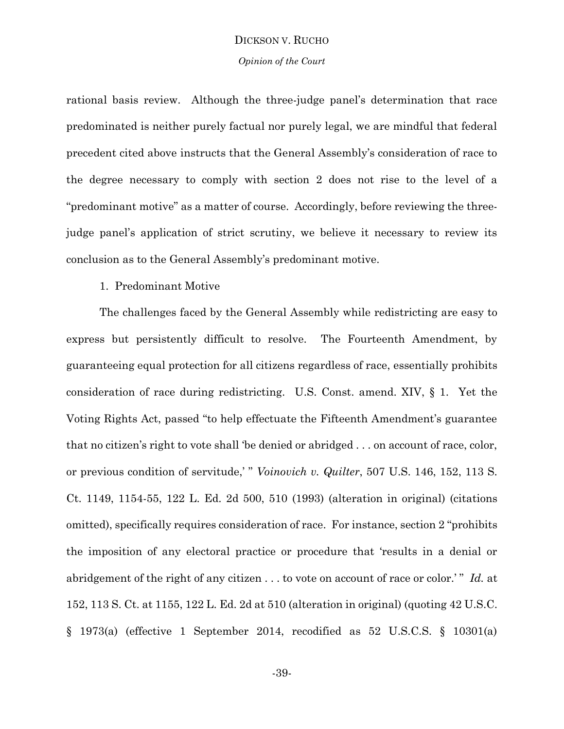#### *Opinion of the Court*

rational basis review. Although the three-judge panel's determination that race predominated is neither purely factual nor purely legal, we are mindful that federal precedent cited above instructs that the General Assembly's consideration of race to the degree necessary to comply with section 2 does not rise to the level of a "predominant motive" as a matter of course. Accordingly, before reviewing the threejudge panel's application of strict scrutiny, we believe it necessary to review its conclusion as to the General Assembly's predominant motive.

# 1. Predominant Motive

The challenges faced by the General Assembly while redistricting are easy to express but persistently difficult to resolve. The Fourteenth Amendment, by guaranteeing equal protection for all citizens regardless of race, essentially prohibits consideration of race during redistricting. U.S. Const. amend. XIV, § 1. Yet the Voting Rights Act, passed "to help effectuate the Fifteenth Amendment's guarantee that no citizen's right to vote shall 'be denied or abridged . . . on account of race, color, or previous condition of servitude,' " *Voinovich v. Quilter*, 507 U.S. 146, 152, 113 S. Ct. 1149, 1154-55, 122 L. Ed. 2d 500, 510 (1993) (alteration in original) (citations omitted), specifically requires consideration of race. For instance, section 2 "prohibits the imposition of any electoral practice or procedure that 'results in a denial or abridgement of the right of any citizen . . . to vote on account of race or color.'" Id. at 152, 113 S. Ct. at 1155, 122 L. Ed. 2d at 510 (alteration in original) (quoting 42 U.S.C. § 1973(a) (effective 1 September 2014, recodified as 52 U.S.C.S. § 10301(a)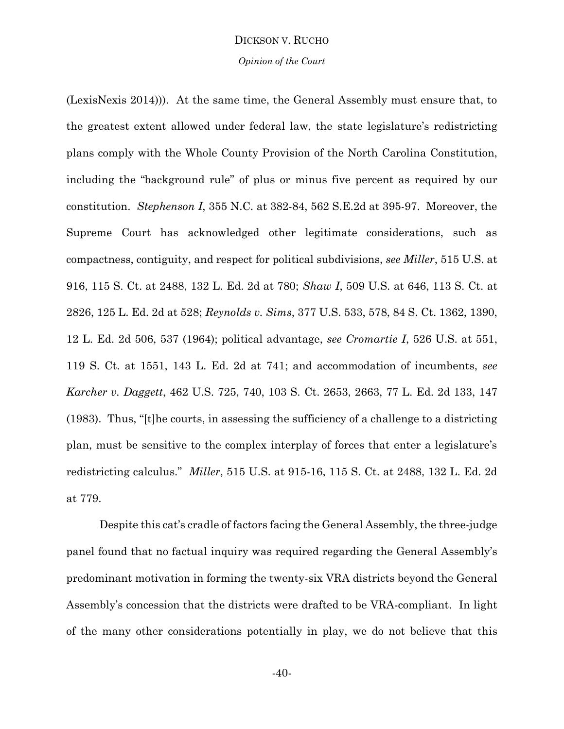#### *Opinion of the Court*

(LexisNexis 2014))). At the same time, the General Assembly must ensure that, to the greatest extent allowed under federal law, the state legislature's redistricting plans comply with the Whole County Provision of the North Carolina Constitution, including the "background rule" of plus or minus five percent as required by our constitution. *Stephenson I*, 355 N.C. at 382-84, 562 S.E.2d at 395-97. Moreover, the Supreme Court has acknowledged other legitimate considerations, such as compactness, contiguity, and respect for political subdivisions, *see Miller*, 515 U.S. at 916, 115 S. Ct. at 2488, 132 L. Ed. 2d at 780; *Shaw I*, 509 U.S. at 646, 113 S. Ct. at 2826, 125 L. Ed. 2d at 528; *Reynolds v. Sims*, 377 U.S. 533, 578, 84 S. Ct. 1362, 1390, 12 L. Ed. 2d 506, 537 (1964); political advantage, *see Cromartie I*, 526 U.S. at 551, 119 S. Ct. at 1551, 143 L. Ed. 2d at 741; and accommodation of incumbents, *see Karcher v. Daggett*, 462 U.S. 725, 740, 103 S. Ct. 2653, 2663, 77 L. Ed. 2d 133, 147 (1983). Thus, "[t]he courts, in assessing the sufficiency of a challenge to a districting plan, must be sensitive to the complex interplay of forces that enter a legislature's redistricting calculus." *Miller*, 515 U.S. at 915-16, 115 S. Ct. at 2488, 132 L. Ed. 2d at 779.

Despite this cat's cradle of factors facing the General Assembly, the three-judge panel found that no factual inquiry was required regarding the General Assembly's predominant motivation in forming the twenty-six VRA districts beyond the General Assembly's concession that the districts were drafted to be VRA-compliant. In light of the many other considerations potentially in play, we do not believe that this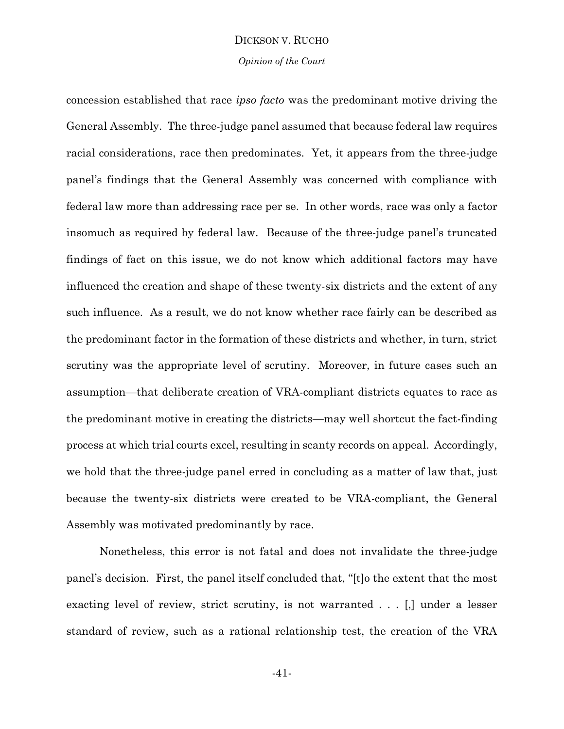*Opinion of the Court*

concession established that race *ipso facto* was the predominant motive driving the General Assembly. The three-judge panel assumed that because federal law requires racial considerations, race then predominates. Yet, it appears from the three-judge panel's findings that the General Assembly was concerned with compliance with federal law more than addressing race per se. In other words, race was only a factor insomuch as required by federal law. Because of the three-judge panel's truncated findings of fact on this issue, we do not know which additional factors may have influenced the creation and shape of these twenty-six districts and the extent of any such influence. As a result, we do not know whether race fairly can be described as the predominant factor in the formation of these districts and whether, in turn, strict scrutiny was the appropriate level of scrutiny. Moreover, in future cases such an assumption—that deliberate creation of VRA-compliant districts equates to race as the predominant motive in creating the districts—may well shortcut the fact-finding process at which trial courts excel, resulting in scanty records on appeal. Accordingly, we hold that the three-judge panel erred in concluding as a matter of law that, just because the twenty-six districts were created to be VRA-compliant, the General Assembly was motivated predominantly by race.

Nonetheless, this error is not fatal and does not invalidate the three-judge panel's decision. First, the panel itself concluded that, "[t]o the extent that the most exacting level of review, strict scrutiny, is not warranted . . . [,] under a lesser standard of review, such as a rational relationship test, the creation of the VRA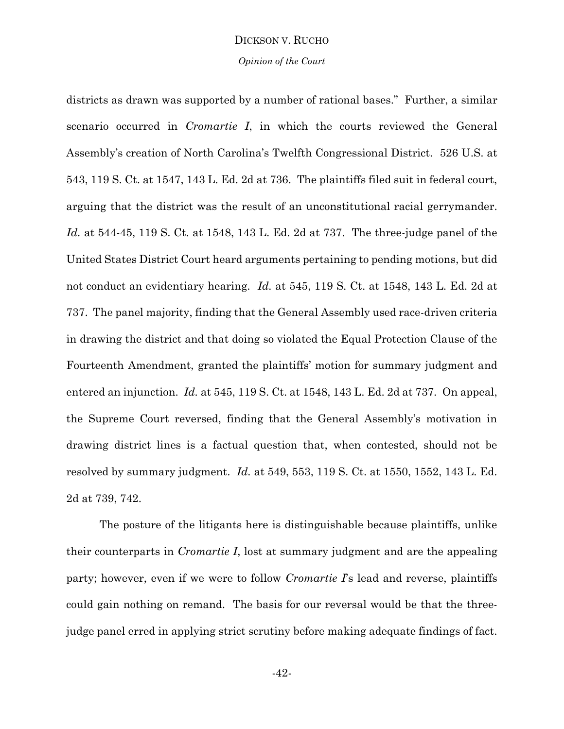#### *Opinion of the Court*

districts as drawn was supported by a number of rational bases." Further, a similar scenario occurred in *Cromartie I*, in which the courts reviewed the General Assembly's creation of North Carolina's Twelfth Congressional District. 526 U.S. at 543, 119 S. Ct. at 1547, 143 L. Ed. 2d at 736. The plaintiffs filed suit in federal court, arguing that the district was the result of an unconstitutional racial gerrymander. *Id.* at 544-45, 119 S. Ct. at 1548, 143 L. Ed. 2d at 737. The three-judge panel of the United States District Court heard arguments pertaining to pending motions, but did not conduct an evidentiary hearing. *Id.* at 545, 119 S. Ct. at 1548, 143 L. Ed. 2d at 737. The panel majority, finding that the General Assembly used race-driven criteria in drawing the district and that doing so violated the Equal Protection Clause of the Fourteenth Amendment, granted the plaintiffs' motion for summary judgment and entered an injunction. *Id.* at 545, 119 S. Ct. at 1548, 143 L. Ed. 2d at 737. On appeal, the Supreme Court reversed, finding that the General Assembly's motivation in drawing district lines is a factual question that, when contested, should not be resolved by summary judgment. *Id.* at 549, 553, 119 S. Ct. at 1550, 1552, 143 L. Ed. 2d at 739, 742.

The posture of the litigants here is distinguishable because plaintiffs, unlike their counterparts in *Cromartie I*, lost at summary judgment and are the appealing party; however, even if we were to follow *Cromartie I*'s lead and reverse, plaintiffs could gain nothing on remand. The basis for our reversal would be that the threejudge panel erred in applying strict scrutiny before making adequate findings of fact.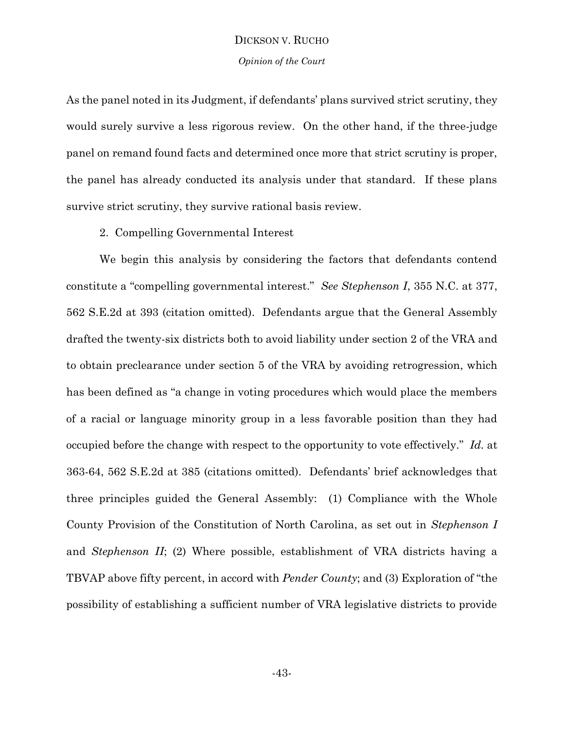*Opinion of the Court*

As the panel noted in its Judgment, if defendants' plans survived strict scrutiny, they would surely survive a less rigorous review. On the other hand, if the three-judge panel on remand found facts and determined once more that strict scrutiny is proper, the panel has already conducted its analysis under that standard. If these plans survive strict scrutiny, they survive rational basis review.

# 2. Compelling Governmental Interest

We begin this analysis by considering the factors that defendants contend constitute a "compelling governmental interest." *See Stephenson I*, 355 N.C. at 377, 562 S.E.2d at 393 (citation omitted). Defendants argue that the General Assembly drafted the twenty-six districts both to avoid liability under section 2 of the VRA and to obtain preclearance under section 5 of the VRA by avoiding retrogression, which has been defined as "a change in voting procedures which would place the members of a racial or language minority group in a less favorable position than they had occupied before the change with respect to the opportunity to vote effectively." *Id.* at 363-64, 562 S.E.2d at 385 (citations omitted). Defendants' brief acknowledges that three principles guided the General Assembly: (1) Compliance with the Whole County Provision of the Constitution of North Carolina, as set out in *Stephenson I* and *Stephenson II*; (2) Where possible, establishment of VRA districts having a TBVAP above fifty percent, in accord with *Pender County*; and (3) Exploration of "the possibility of establishing a sufficient number of VRA legislative districts to provide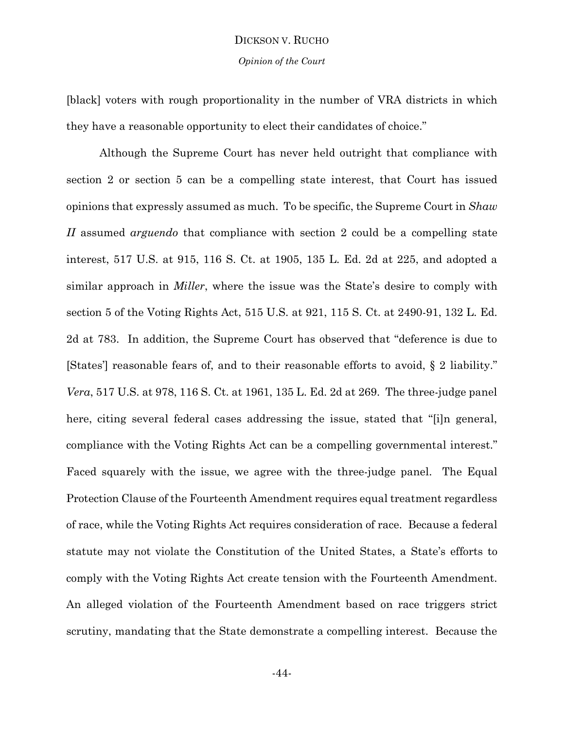[black] voters with rough proportionality in the number of VRA districts in which they have a reasonable opportunity to elect their candidates of choice."

Although the Supreme Court has never held outright that compliance with section 2 or section 5 can be a compelling state interest, that Court has issued opinions that expressly assumed as much. To be specific, the Supreme Court in *Shaw II* assumed *arguendo* that compliance with section 2 could be a compelling state interest, 517 U.S. at 915, 116 S. Ct. at 1905, 135 L. Ed. 2d at 225, and adopted a similar approach in *Miller*, where the issue was the State's desire to comply with section 5 of the Voting Rights Act, 515 U.S. at 921, 115 S. Ct. at 2490-91, 132 L. Ed. 2d at 783. In addition, the Supreme Court has observed that "deference is due to [States'] reasonable fears of, and to their reasonable efforts to avoid, § 2 liability." *Vera*, 517 U.S. at 978, 116 S. Ct. at 1961, 135 L. Ed. 2d at 269. The three-judge panel here, citing several federal cases addressing the issue, stated that "[i]n general, compliance with the Voting Rights Act can be a compelling governmental interest." Faced squarely with the issue, we agree with the three-judge panel. The Equal Protection Clause of the Fourteenth Amendment requires equal treatment regardless of race, while the Voting Rights Act requires consideration of race. Because a federal statute may not violate the Constitution of the United States, a State's efforts to comply with the Voting Rights Act create tension with the Fourteenth Amendment. An alleged violation of the Fourteenth Amendment based on race triggers strict scrutiny, mandating that the State demonstrate a compelling interest. Because the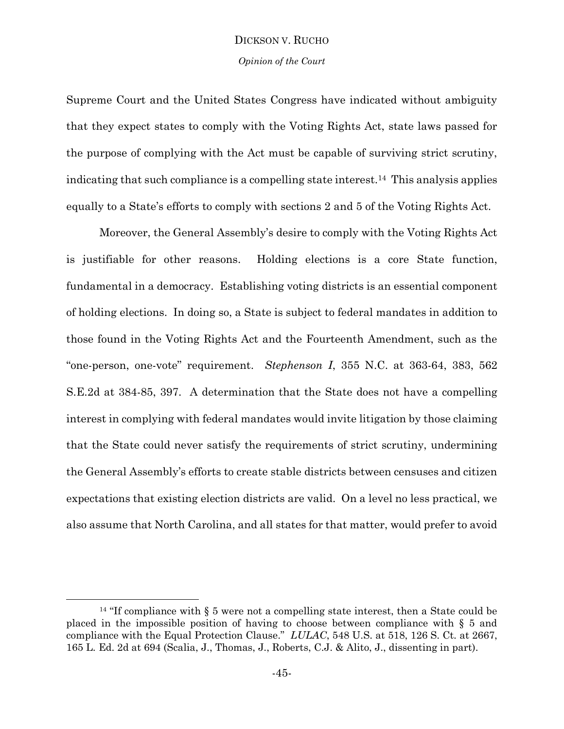*Opinion of the Court*

Supreme Court and the United States Congress have indicated without ambiguity that they expect states to comply with the Voting Rights Act, state laws passed for the purpose of complying with the Act must be capable of surviving strict scrutiny, indicating that such compliance is a compelling state interest.14 This analysis applies equally to a State's efforts to comply with sections 2 and 5 of the Voting Rights Act.

Moreover, the General Assembly's desire to comply with the Voting Rights Act is justifiable for other reasons. Holding elections is a core State function, fundamental in a democracy. Establishing voting districts is an essential component of holding elections. In doing so, a State is subject to federal mandates in addition to those found in the Voting Rights Act and the Fourteenth Amendment, such as the "one-person, one-vote" requirement. *Stephenson I*, 355 N.C. at 363-64, 383, 562 S.E.2d at 384-85, 397. A determination that the State does not have a compelling interest in complying with federal mandates would invite litigation by those claiming that the State could never satisfy the requirements of strict scrutiny, undermining the General Assembly's efforts to create stable districts between censuses and citizen expectations that existing election districts are valid. On a level no less practical, we also assume that North Carolina, and all states for that matter, would prefer to avoid

l

<sup>&</sup>lt;sup>14</sup> "If compliance with  $\S$  5 were not a compelling state interest, then a State could be placed in the impossible position of having to choose between compliance with § 5 and compliance with the Equal Protection Clause." *LULAC*, 548 U.S. at 518, 126 S. Ct. at 2667, 165 L. Ed. 2d at 694 (Scalia, J., Thomas, J., Roberts, C.J. & Alito, J., dissenting in part).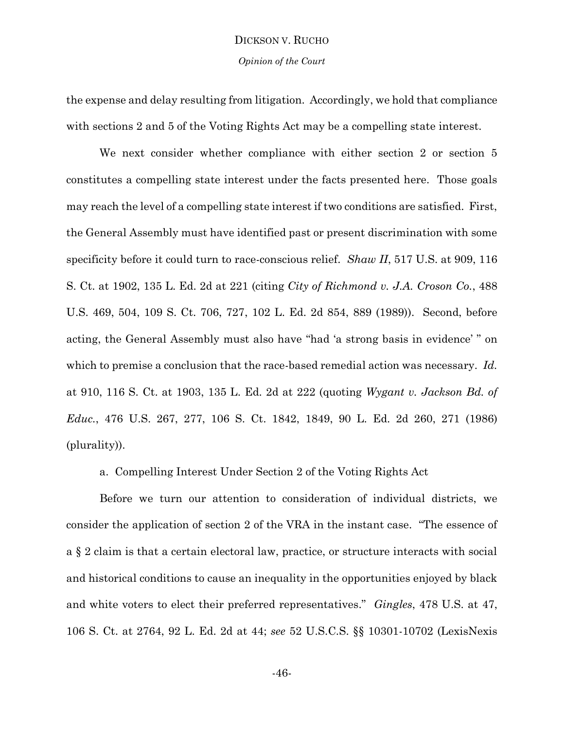# DICKSON V. RUCHO *Opinion of the Court*

the expense and delay resulting from litigation. Accordingly, we hold that compliance with sections 2 and 5 of the Voting Rights Act may be a compelling state interest.

We next consider whether compliance with either section 2 or section 5 constitutes a compelling state interest under the facts presented here. Those goals may reach the level of a compelling state interest if two conditions are satisfied. First, the General Assembly must have identified past or present discrimination with some specificity before it could turn to race-conscious relief. *Shaw II*, 517 U.S. at 909, 116 S. Ct. at 1902, 135 L. Ed. 2d at 221 (citing *City of Richmond v. J.A. Croson Co.*, 488 U.S. 469, 504, 109 S. Ct. 706, 727, 102 L. Ed. 2d 854, 889 (1989)). Second, before acting, the General Assembly must also have "had 'a strong basis in evidence' " on which to premise a conclusion that the race-based remedial action was necessary. *Id.* at 910, 116 S. Ct. at 1903, 135 L. Ed. 2d at 222 (quoting *Wygant v. Jackson Bd. of Educ.*, 476 U.S. 267, 277, 106 S. Ct. 1842, 1849, 90 L. Ed. 2d 260, 271 (1986) (plurality)).

a. Compelling Interest Under Section 2 of the Voting Rights Act

Before we turn our attention to consideration of individual districts, we consider the application of section 2 of the VRA in the instant case. "The essence of a § 2 claim is that a certain electoral law, practice, or structure interacts with social and historical conditions to cause an inequality in the opportunities enjoyed by black and white voters to elect their preferred representatives." *Gingles*, 478 U.S. at 47, 106 S. Ct. at 2764, 92 L. Ed. 2d at 44; *see* 52 U.S.C.S. §§ 10301-10702 (LexisNexis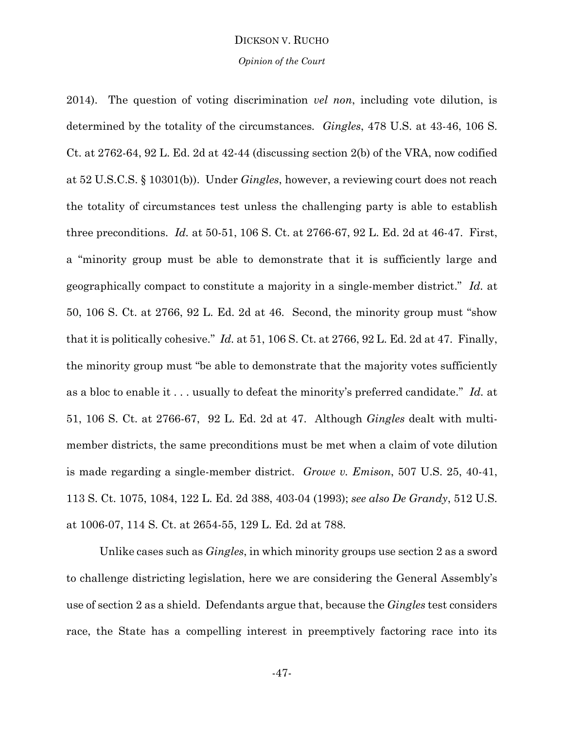#### *Opinion of the Court*

2014). The question of voting discrimination *vel non*, including vote dilution, is determined by the totality of the circumstances*. Gingles*, 478 U.S. at 43-46, 106 S. Ct. at 2762-64, 92 L. Ed. 2d at 42-44 (discussing section 2(b) of the VRA, now codified at 52 U.S.C.S. § 10301(b)). Under *Gingles*, however, a reviewing court does not reach the totality of circumstances test unless the challenging party is able to establish three preconditions. *Id.* at 50-51, 106 S. Ct. at 2766-67, 92 L. Ed. 2d at 46-47. First, a "minority group must be able to demonstrate that it is sufficiently large and geographically compact to constitute a majority in a single-member district." *Id.* at 50, 106 S. Ct. at 2766, 92 L. Ed. 2d at 46. Second, the minority group must "show that it is politically cohesive." *Id.* at 51, 106 S. Ct. at 2766, 92 L. Ed. 2d at 47. Finally, the minority group must "be able to demonstrate that the majority votes sufficiently as a bloc to enable it . . . usually to defeat the minority's preferred candidate." *Id.* at 51, 106 S. Ct. at 2766-67, 92 L. Ed. 2d at 47. Although *Gingles* dealt with multimember districts, the same preconditions must be met when a claim of vote dilution is made regarding a single-member district. *Growe v. Emison*, 507 U.S. 25, 40-41, 113 S. Ct. 1075, 1084, 122 L. Ed. 2d 388, 403-04 (1993); *see also De Grandy*, 512 U.S. at 1006-07, 114 S. Ct. at 2654-55, 129 L. Ed. 2d at 788.

Unlike cases such as *Gingles*, in which minority groups use section 2 as a sword to challenge districting legislation, here we are considering the General Assembly's use of section 2 as a shield. Defendants argue that, because the *Gingles* test considers race, the State has a compelling interest in preemptively factoring race into its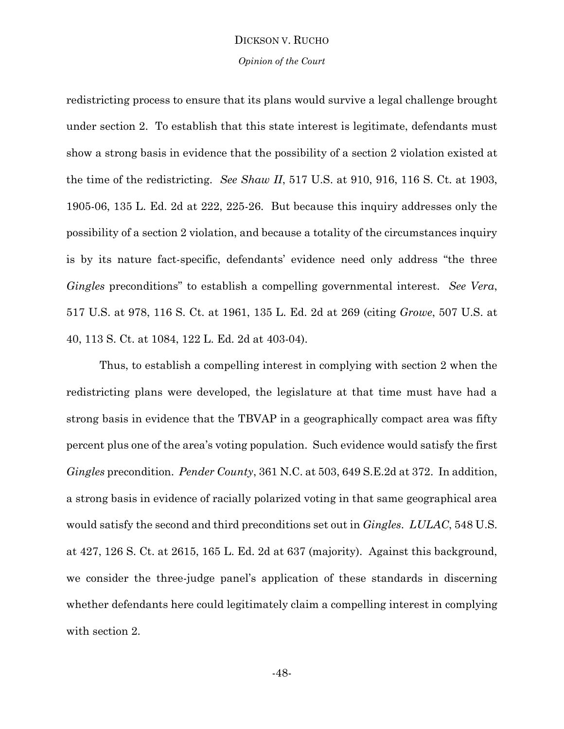#### *Opinion of the Court*

redistricting process to ensure that its plans would survive a legal challenge brought under section 2. To establish that this state interest is legitimate, defendants must show a strong basis in evidence that the possibility of a section 2 violation existed at the time of the redistricting. *See Shaw II*, 517 U.S. at 910, 916, 116 S. Ct. at 1903, 1905-06, 135 L. Ed. 2d at 222, 225-26. But because this inquiry addresses only the possibility of a section 2 violation, and because a totality of the circumstances inquiry is by its nature fact-specific, defendants' evidence need only address "the three *Gingles* preconditions" to establish a compelling governmental interest. *See Vera*, 517 U.S. at 978, 116 S. Ct. at 1961, 135 L. Ed. 2d at 269 (citing *Growe*, 507 U.S. at 40, 113 S. Ct. at 1084, 122 L. Ed. 2d at 403-04).

Thus, to establish a compelling interest in complying with section 2 when the redistricting plans were developed, the legislature at that time must have had a strong basis in evidence that the TBVAP in a geographically compact area was fifty percent plus one of the area's voting population. Such evidence would satisfy the first *Gingles* precondition. *Pender County*, 361 N.C. at 503, 649 S.E.2d at 372. In addition, a strong basis in evidence of racially polarized voting in that same geographical area would satisfy the second and third preconditions set out in *Gingles*. *LULAC*, 548 U.S. at 427, 126 S. Ct. at 2615, 165 L. Ed. 2d at 637 (majority). Against this background, we consider the three-judge panel's application of these standards in discerning whether defendants here could legitimately claim a compelling interest in complying with section 2.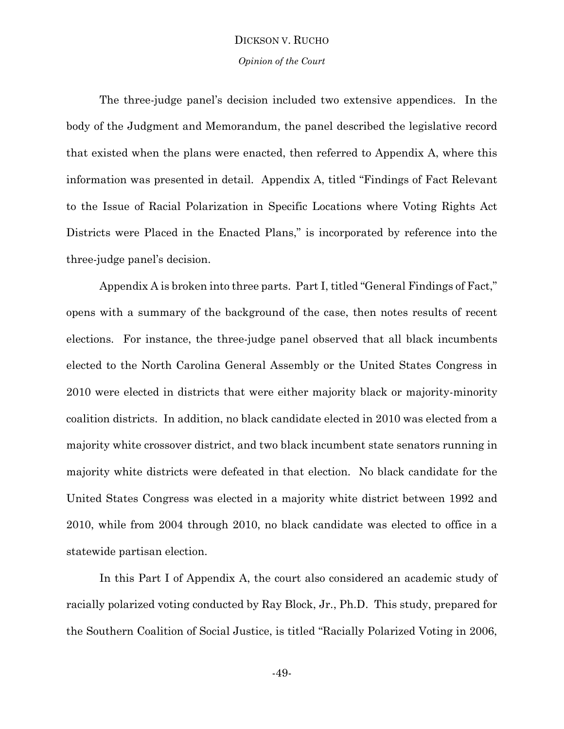#### *Opinion of the Court*

The three-judge panel's decision included two extensive appendices. In the body of the Judgment and Memorandum, the panel described the legislative record that existed when the plans were enacted, then referred to Appendix A, where this information was presented in detail. Appendix A, titled "Findings of Fact Relevant to the Issue of Racial Polarization in Specific Locations where Voting Rights Act Districts were Placed in the Enacted Plans," is incorporated by reference into the three-judge panel's decision.

Appendix A is broken into three parts. Part I, titled "General Findings of Fact," opens with a summary of the background of the case, then notes results of recent elections. For instance, the three-judge panel observed that all black incumbents elected to the North Carolina General Assembly or the United States Congress in 2010 were elected in districts that were either majority black or majority-minority coalition districts. In addition, no black candidate elected in 2010 was elected from a majority white crossover district, and two black incumbent state senators running in majority white districts were defeated in that election. No black candidate for the United States Congress was elected in a majority white district between 1992 and 2010, while from 2004 through 2010, no black candidate was elected to office in a statewide partisan election.

In this Part I of Appendix A, the court also considered an academic study of racially polarized voting conducted by Ray Block, Jr., Ph.D. This study, prepared for the Southern Coalition of Social Justice, is titled "Racially Polarized Voting in 2006,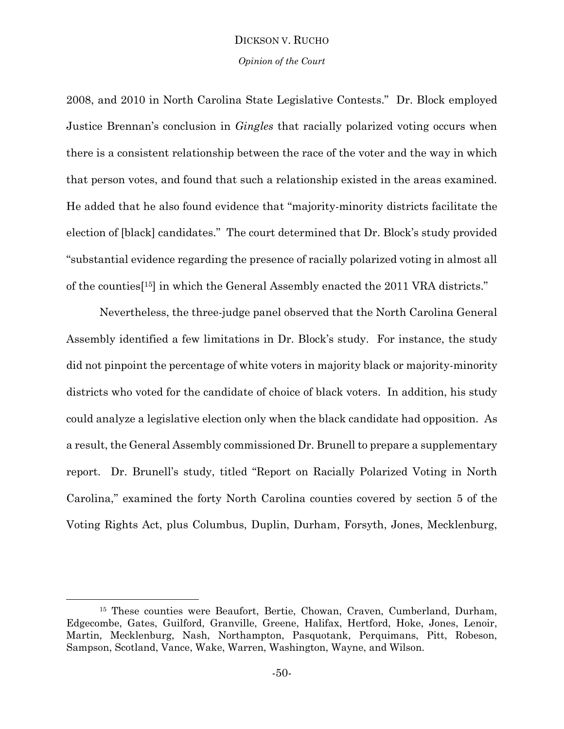*Opinion of the Court*

2008, and 2010 in North Carolina State Legislative Contests." Dr. Block employed Justice Brennan's conclusion in *Gingles* that racially polarized voting occurs when there is a consistent relationship between the race of the voter and the way in which that person votes, and found that such a relationship existed in the areas examined. He added that he also found evidence that "majority-minority districts facilitate the election of [black] candidates." The court determined that Dr. Block's study provided "substantial evidence regarding the presence of racially polarized voting in almost all of the counties[ <sup>15</sup>] in which the General Assembly enacted the 2011 VRA districts."

Nevertheless, the three-judge panel observed that the North Carolina General Assembly identified a few limitations in Dr. Block's study. For instance, the study did not pinpoint the percentage of white voters in majority black or majority-minority districts who voted for the candidate of choice of black voters. In addition, his study could analyze a legislative election only when the black candidate had opposition. As a result, the General Assembly commissioned Dr. Brunell to prepare a supplementary report. Dr. Brunell's study, titled "Report on Racially Polarized Voting in North Carolina," examined the forty North Carolina counties covered by section 5 of the Voting Rights Act, plus Columbus, Duplin, Durham, Forsyth, Jones, Mecklenburg,

l

<sup>&</sup>lt;sup>15</sup> These counties were Beaufort, Bertie, Chowan, Craven, Cumberland, Durham, Edgecombe, Gates, Guilford, Granville, Greene, Halifax, Hertford, Hoke, Jones, Lenoir, Martin, Mecklenburg, Nash, Northampton, Pasquotank, Perquimans, Pitt, Robeson, Sampson, Scotland, Vance, Wake, Warren, Washington, Wayne, and Wilson.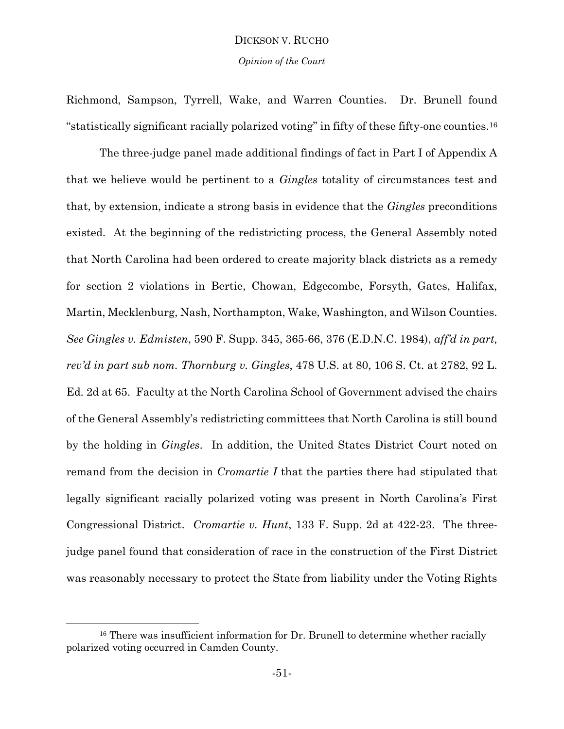*Opinion of the Court*

Richmond, Sampson, Tyrrell, Wake, and Warren Counties. Dr. Brunell found "statistically significant racially polarized voting" in fifty of these fifty-one counties.<sup>16</sup>

The three-judge panel made additional findings of fact in Part I of Appendix A that we believe would be pertinent to a *Gingles* totality of circumstances test and that, by extension, indicate a strong basis in evidence that the *Gingles* preconditions existed. At the beginning of the redistricting process, the General Assembly noted that North Carolina had been ordered to create majority black districts as a remedy for section 2 violations in Bertie, Chowan, Edgecombe, Forsyth, Gates, Halifax, Martin, Mecklenburg, Nash, Northampton, Wake, Washington, and Wilson Counties. *See Gingles v. Edmisten*, 590 F. Supp. 345, 365-66, 376 (E.D.N.C. 1984), *aff'd in part, rev'd in part sub nom. Thornburg v. Gingles*, 478 U.S. at 80, 106 S. Ct. at 2782, 92 L. Ed. 2d at 65. Faculty at the North Carolina School of Government advised the chairs of the General Assembly's redistricting committees that North Carolina is still bound by the holding in *Gingles*. In addition, the United States District Court noted on remand from the decision in *Cromartie I* that the parties there had stipulated that legally significant racially polarized voting was present in North Carolina's First Congressional District. *Cromartie v. Hunt*, 133 F. Supp. 2d at 422-23. The threejudge panel found that consideration of race in the construction of the First District was reasonably necessary to protect the State from liability under the Voting Rights

 $\overline{a}$ 

<sup>&</sup>lt;sup>16</sup> There was insufficient information for Dr. Brunell to determine whether racially polarized voting occurred in Camden County.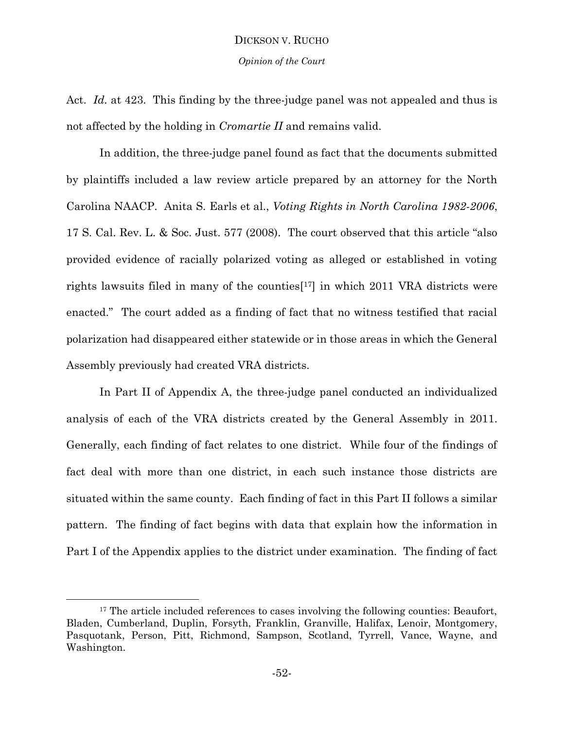Act. *Id.* at 423. This finding by the three-judge panel was not appealed and thus is not affected by the holding in *Cromartie II* and remains valid.

In addition, the three-judge panel found as fact that the documents submitted by plaintiffs included a law review article prepared by an attorney for the North Carolina NAACP. Anita S. Earls et al., *Voting Rights in North Carolina 1982-2006*, 17 S. Cal. Rev. L. & Soc. Just. 577 (2008). The court observed that this article "also provided evidence of racially polarized voting as alleged or established in voting rights lawsuits filed in many of the counties[ <sup>17</sup>] in which 2011 VRA districts were enacted." The court added as a finding of fact that no witness testified that racial polarization had disappeared either statewide or in those areas in which the General Assembly previously had created VRA districts.

In Part II of Appendix A, the three-judge panel conducted an individualized analysis of each of the VRA districts created by the General Assembly in 2011. Generally, each finding of fact relates to one district. While four of the findings of fact deal with more than one district, in each such instance those districts are situated within the same county. Each finding of fact in this Part II follows a similar pattern. The finding of fact begins with data that explain how the information in Part I of the Appendix applies to the district under examination. The finding of fact

l

<sup>&</sup>lt;sup>17</sup> The article included references to cases involving the following counties: Beaufort, Bladen, Cumberland, Duplin, Forsyth, Franklin, Granville, Halifax, Lenoir, Montgomery, Pasquotank, Person, Pitt, Richmond, Sampson, Scotland, Tyrrell, Vance, Wayne, and Washington.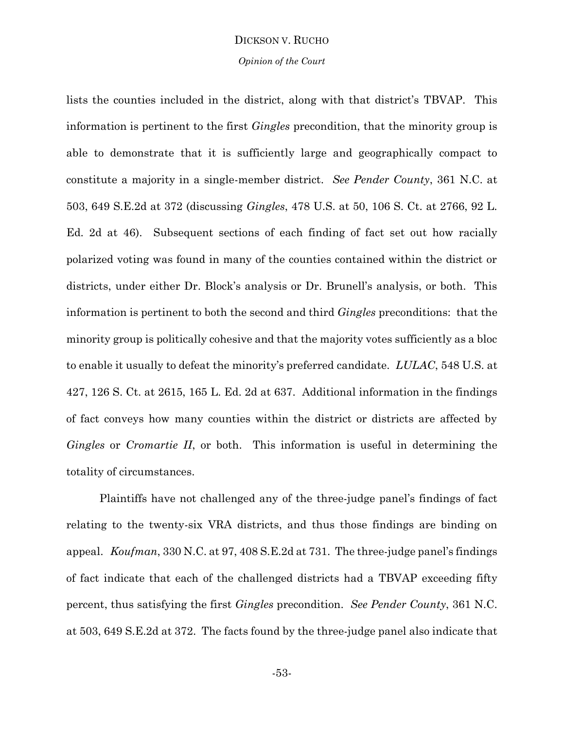*Opinion of the Court*

lists the counties included in the district, along with that district's TBVAP. This information is pertinent to the first *Gingles* precondition, that the minority group is able to demonstrate that it is sufficiently large and geographically compact to constitute a majority in a single-member district. *See Pender County*, 361 N.C. at 503, 649 S.E.2d at 372 (discussing *Gingles*, 478 U.S. at 50, 106 S. Ct. at 2766, 92 L. Ed. 2d at 46). Subsequent sections of each finding of fact set out how racially polarized voting was found in many of the counties contained within the district or districts, under either Dr. Block's analysis or Dr. Brunell's analysis, or both. This information is pertinent to both the second and third *Gingles* preconditions: that the minority group is politically cohesive and that the majority votes sufficiently as a bloc to enable it usually to defeat the minority's preferred candidate. *LULAC*, 548 U.S. at 427, 126 S. Ct. at 2615, 165 L. Ed. 2d at 637. Additional information in the findings of fact conveys how many counties within the district or districts are affected by *Gingles* or *Cromartie II*, or both. This information is useful in determining the totality of circumstances.

Plaintiffs have not challenged any of the three-judge panel's findings of fact relating to the twenty-six VRA districts, and thus those findings are binding on appeal. *Koufman*, 330 N.C. at 97, 408 S.E.2d at 731. The three-judge panel's findings of fact indicate that each of the challenged districts had a TBVAP exceeding fifty percent, thus satisfying the first *Gingles* precondition. *See Pender County*, 361 N.C. at 503, 649 S.E.2d at 372. The facts found by the three-judge panel also indicate that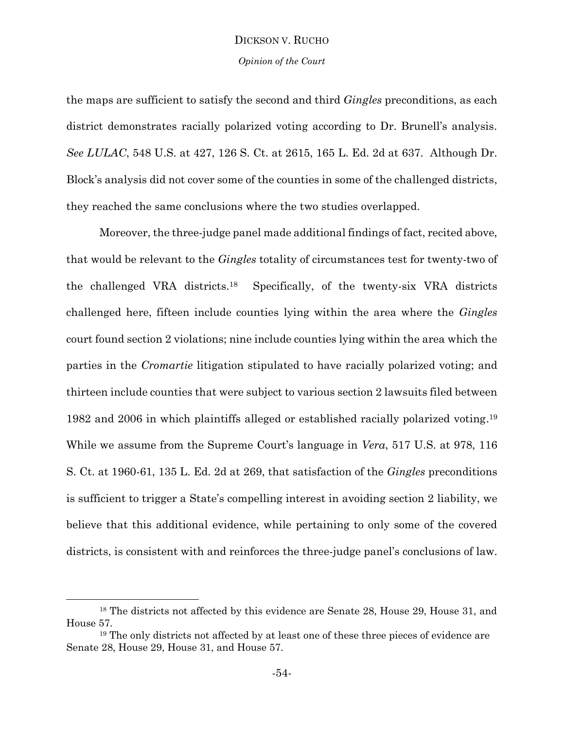*Opinion of the Court*

the maps are sufficient to satisfy the second and third *Gingles* preconditions, as each district demonstrates racially polarized voting according to Dr. Brunell's analysis. *See LULAC*, 548 U.S. at 427, 126 S. Ct. at 2615, 165 L. Ed. 2d at 637. Although Dr. Block's analysis did not cover some of the counties in some of the challenged districts, they reached the same conclusions where the two studies overlapped.

Moreover, the three-judge panel made additional findings of fact, recited above, that would be relevant to the *Gingles* totality of circumstances test for twenty-two of the challenged VRA districts.18 Specifically, of the twenty-six VRA districts challenged here, fifteen include counties lying within the area where the *Gingles* court found section 2 violations; nine include counties lying within the area which the parties in the *Cromartie* litigation stipulated to have racially polarized voting; and thirteen include counties that were subject to various section 2 lawsuits filed between 1982 and 2006 in which plaintiffs alleged or established racially polarized voting. 19 While we assume from the Supreme Court's language in *Vera*, 517 U.S. at 978, 116 S. Ct. at 1960-61, 135 L. Ed. 2d at 269, that satisfaction of the *Gingles* preconditions is sufficient to trigger a State's compelling interest in avoiding section 2 liability, we believe that this additional evidence, while pertaining to only some of the covered districts, is consistent with and reinforces the three-judge panel's conclusions of law.

l

<sup>&</sup>lt;sup>18</sup> The districts not affected by this evidence are Senate 28, House 29, House 31, and House 57.

<sup>&</sup>lt;sup>19</sup> The only districts not affected by at least one of these three pieces of evidence are Senate 28, House 29, House 31, and House 57.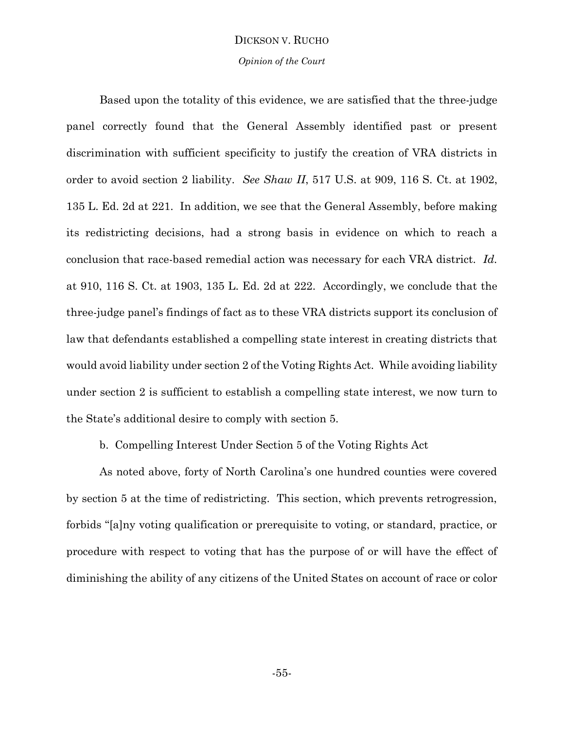*Opinion of the Court*

Based upon the totality of this evidence, we are satisfied that the three-judge panel correctly found that the General Assembly identified past or present discrimination with sufficient specificity to justify the creation of VRA districts in order to avoid section 2 liability. *See Shaw II*, 517 U.S. at 909, 116 S. Ct. at 1902, 135 L. Ed. 2d at 221. In addition, we see that the General Assembly, before making its redistricting decisions, had a strong basis in evidence on which to reach a conclusion that race-based remedial action was necessary for each VRA district. *Id.* at 910, 116 S. Ct. at 1903, 135 L. Ed. 2d at 222. Accordingly, we conclude that the three-judge panel's findings of fact as to these VRA districts support its conclusion of law that defendants established a compelling state interest in creating districts that would avoid liability under section 2 of the Voting Rights Act. While avoiding liability under section 2 is sufficient to establish a compelling state interest, we now turn to the State's additional desire to comply with section 5.

b. Compelling Interest Under Section 5 of the Voting Rights Act

As noted above, forty of North Carolina's one hundred counties were covered by section 5 at the time of redistricting. This section, which prevents retrogression, forbids "[a]ny voting qualification or prerequisite to voting, or standard, practice, or procedure with respect to voting that has the purpose of or will have the effect of diminishing the ability of any citizens of the United States on account of race or color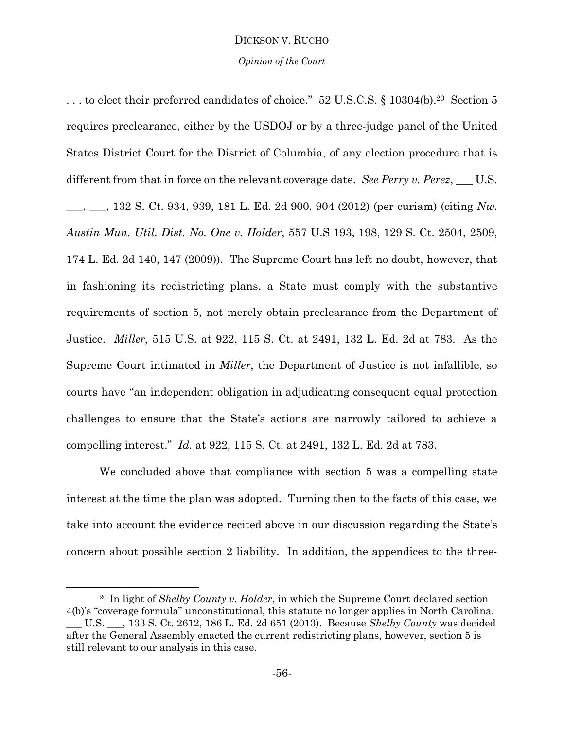#### *Opinion of the Court*

. . . to elect their preferred candidates of choice." 52 U.S.C.S. § 10304(b). <sup>20</sup> Section 5 requires preclearance, either by the USDOJ or by a three-judge panel of the United States District Court for the District of Columbia, of any election procedure that is different from that in force on the relevant coverage date. *See Perry v. Perez*, \_\_\_ U.S. \_\_\_, \_\_\_, 132 S. Ct. 934, 939, 181 L. Ed. 2d 900, 904 (2012) (per curiam) (citing *Nw. Austin Mun. Util. Dist. No. One v. Holder*, 557 U.S 193, 198, 129 S. Ct. 2504, 2509, 174 L. Ed. 2d 140, 147 (2009)). The Supreme Court has left no doubt, however, that in fashioning its redistricting plans, a State must comply with the substantive requirements of section 5, not merely obtain preclearance from the Department of Justice. *Miller*, 515 U.S. at 922, 115 S. Ct. at 2491, 132 L. Ed. 2d at 783. As the Supreme Court intimated in *Miller*, the Department of Justice is not infallible, so courts have "an independent obligation in adjudicating consequent equal protection challenges to ensure that the State's actions are narrowly tailored to achieve a compelling interest." *Id.* at 922, 115 S. Ct. at 2491, 132 L. Ed. 2d at 783.

We concluded above that compliance with section 5 was a compelling state interest at the time the plan was adopted. Turning then to the facts of this case, we take into account the evidence recited above in our discussion regarding the State's concern about possible section 2 liability. In addition, the appendices to the three-

l

<sup>20</sup> In light of *Shelby County v. Holder*, in which the Supreme Court declared section 4(b)'s "coverage formula" unconstitutional, this statute no longer applies in North Carolina. \_\_\_ U.S. \_\_\_, 133 S. Ct. 2612, 186 L. Ed. 2d 651 (2013). Because *Shelby County* was decided after the General Assembly enacted the current redistricting plans, however, section 5 is still relevant to our analysis in this case.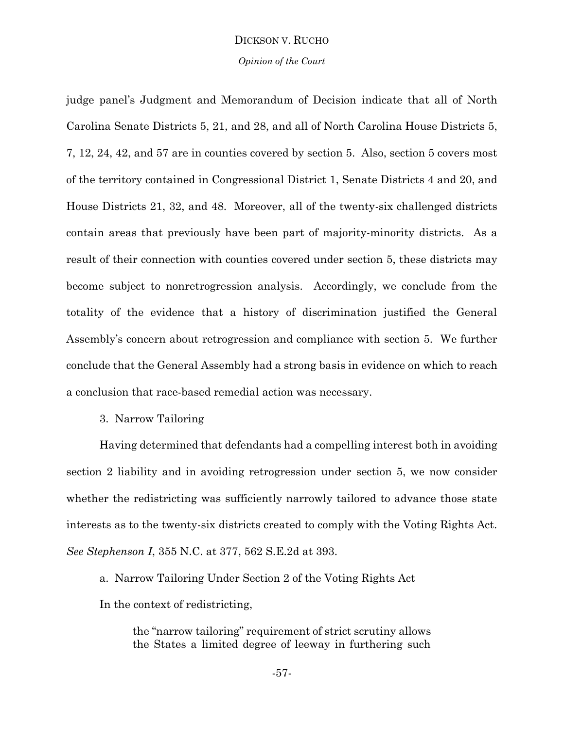#### *Opinion of the Court*

judge panel's Judgment and Memorandum of Decision indicate that all of North Carolina Senate Districts 5, 21, and 28, and all of North Carolina House Districts 5, 7, 12, 24, 42, and 57 are in counties covered by section 5. Also, section 5 covers most of the territory contained in Congressional District 1, Senate Districts 4 and 20, and House Districts 21, 32, and 48. Moreover, all of the twenty-six challenged districts contain areas that previously have been part of majority-minority districts. As a result of their connection with counties covered under section 5, these districts may become subject to nonretrogression analysis. Accordingly, we conclude from the totality of the evidence that a history of discrimination justified the General Assembly's concern about retrogression and compliance with section 5. We further conclude that the General Assembly had a strong basis in evidence on which to reach a conclusion that race-based remedial action was necessary.

3. Narrow Tailoring

Having determined that defendants had a compelling interest both in avoiding section 2 liability and in avoiding retrogression under section 5, we now consider whether the redistricting was sufficiently narrowly tailored to advance those state interests as to the twenty-six districts created to comply with the Voting Rights Act. *See Stephenson I*, 355 N.C. at 377, 562 S.E.2d at 393.

a. Narrow Tailoring Under Section 2 of the Voting Rights Act

In the context of redistricting,

the "narrow tailoring" requirement of strict scrutiny allows the States a limited degree of leeway in furthering such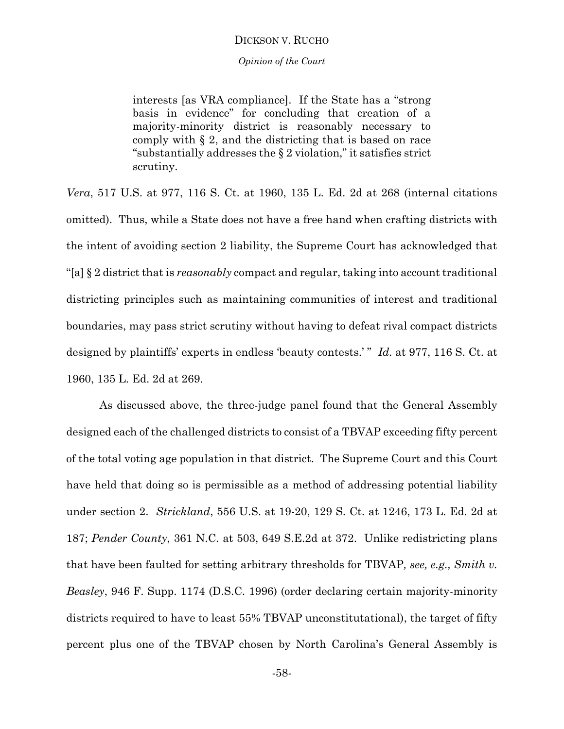*Opinion of the Court*

interests [as VRA compliance]. If the State has a "strong basis in evidence" for concluding that creation of a majority-minority district is reasonably necessary to comply with § 2, and the districting that is based on race "substantially addresses the § 2 violation," it satisfies strict scrutiny.

*Vera*, 517 U.S. at 977, 116 S. Ct. at 1960, 135 L. Ed. 2d at 268 (internal citations omitted). Thus, while a State does not have a free hand when crafting districts with the intent of avoiding section 2 liability, the Supreme Court has acknowledged that "[a] § 2 district that is *reasonably* compact and regular, taking into account traditional districting principles such as maintaining communities of interest and traditional boundaries, may pass strict scrutiny without having to defeat rival compact districts designed by plaintiffs' experts in endless 'beauty contests.' " *Id.* at 977, 116 S. Ct. at 1960, 135 L. Ed. 2d at 269.

As discussed above, the three-judge panel found that the General Assembly designed each of the challenged districts to consist of a TBVAP exceeding fifty percent of the total voting age population in that district. The Supreme Court and this Court have held that doing so is permissible as a method of addressing potential liability under section 2. *Strickland*, 556 U.S. at 19-20, 129 S. Ct. at 1246, 173 L. Ed. 2d at 187; *Pender County*, 361 N.C. at 503, 649 S.E.2d at 372. Unlike redistricting plans that have been faulted for setting arbitrary thresholds for TBVAP*, see, e.g., Smith v. Beasley*, 946 F. Supp. 1174 (D.S.C. 1996) (order declaring certain majority-minority districts required to have to least 55% TBVAP unconstitutational), the target of fifty percent plus one of the TBVAP chosen by North Carolina's General Assembly is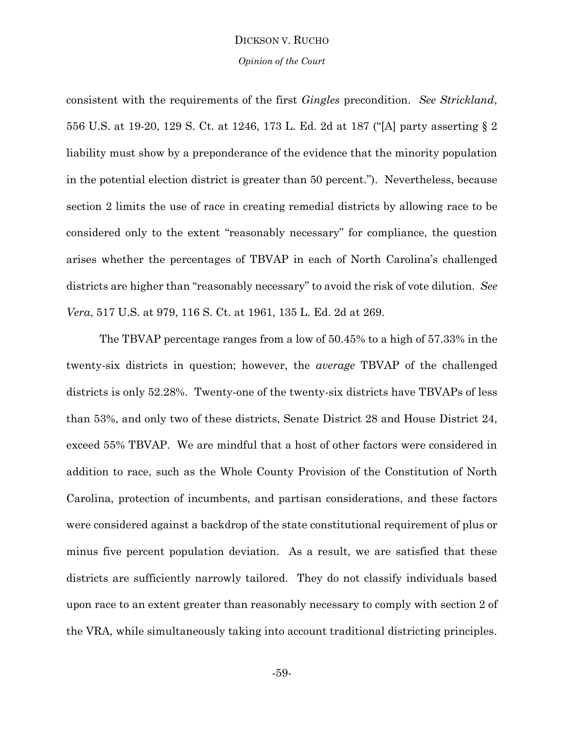*Opinion of the Court*

consistent with the requirements of the first *Gingles* precondition. *See Strickland*, 556 U.S. at 19-20, 129 S. Ct. at 1246, 173 L. Ed. 2d at 187 ("[A] party asserting § 2 liability must show by a preponderance of the evidence that the minority population in the potential election district is greater than 50 percent."). Nevertheless, because section 2 limits the use of race in creating remedial districts by allowing race to be considered only to the extent "reasonably necessary" for compliance, the question arises whether the percentages of TBVAP in each of North Carolina's challenged districts are higher than "reasonably necessary" to avoid the risk of vote dilution. *See Vera*, 517 U.S. at 979, 116 S. Ct. at 1961, 135 L. Ed. 2d at 269.

The TBVAP percentage ranges from a low of 50.45% to a high of 57.33% in the twenty-six districts in question; however, the *average* TBVAP of the challenged districts is only 52.28%. Twenty-one of the twenty-six districts have TBVAPs of less than 53%, and only two of these districts, Senate District 28 and House District 24, exceed 55% TBVAP. We are mindful that a host of other factors were considered in addition to race, such as the Whole County Provision of the Constitution of North Carolina, protection of incumbents, and partisan considerations, and these factors were considered against a backdrop of the state constitutional requirement of plus or minus five percent population deviation. As a result, we are satisfied that these districts are sufficiently narrowly tailored. They do not classify individuals based upon race to an extent greater than reasonably necessary to comply with section 2 of the VRA, while simultaneously taking into account traditional districting principles.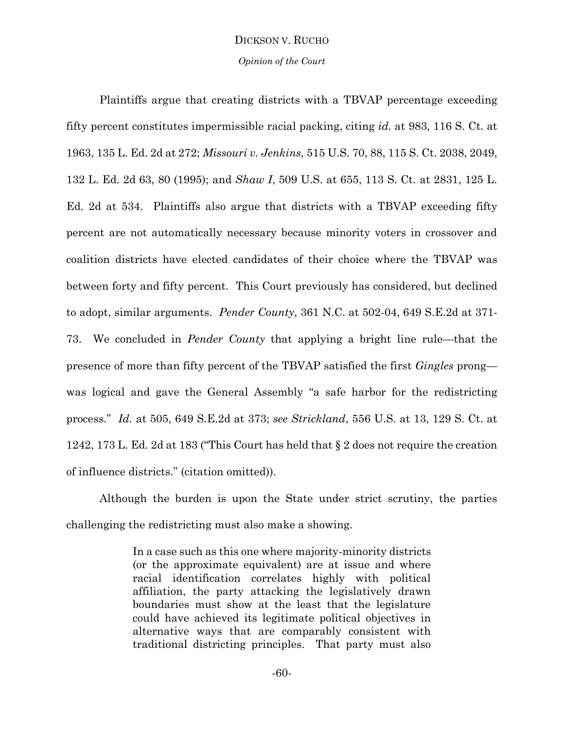#### *Opinion of the Court*

Plaintiffs argue that creating districts with a TBVAP percentage exceeding fifty percent constitutes impermissible racial packing, citing *id.* at 983, 116 S. Ct. at 1963, 135 L. Ed. 2d at 272; *Missouri v. Jenkins*, 515 U.S. 70, 88, 115 S. Ct. 2038, 2049, 132 L. Ed. 2d 63, 80 (1995); and *Shaw I*, 509 U.S. at 655, 113 S. Ct. at 2831, 125 L. Ed. 2d at 534. Plaintiffs also argue that districts with a TBVAP exceeding fifty percent are not automatically necessary because minority voters in crossover and coalition districts have elected candidates of their choice where the TBVAP was between forty and fifty percent. This Court previously has considered, but declined to adopt, similar arguments. *Pender County*, 361 N.C. at 502-04, 649 S.E.2d at 371- 73. We concluded in *Pender County* that applying a bright line rule—that the presence of more than fifty percent of the TBVAP satisfied the first *Gingles* prong was logical and gave the General Assembly "a safe harbor for the redistricting process." *Id.* at 505, 649 S.E.2d at 373; *see Strickland*, 556 U.S. at 13, 129 S. Ct. at 1242, 173 L. Ed. 2d at 183 ("This Court has held that § 2 does not require the creation of influence districts." (citation omitted)).

Although the burden is upon the State under strict scrutiny, the parties challenging the redistricting must also make a showing.

> In a case such as this one where majority-minority districts (or the approximate equivalent) are at issue and where racial identification correlates highly with political affiliation, the party attacking the legislatively drawn boundaries must show at the least that the legislature could have achieved its legitimate political objectives in alternative ways that are comparably consistent with traditional districting principles. That party must also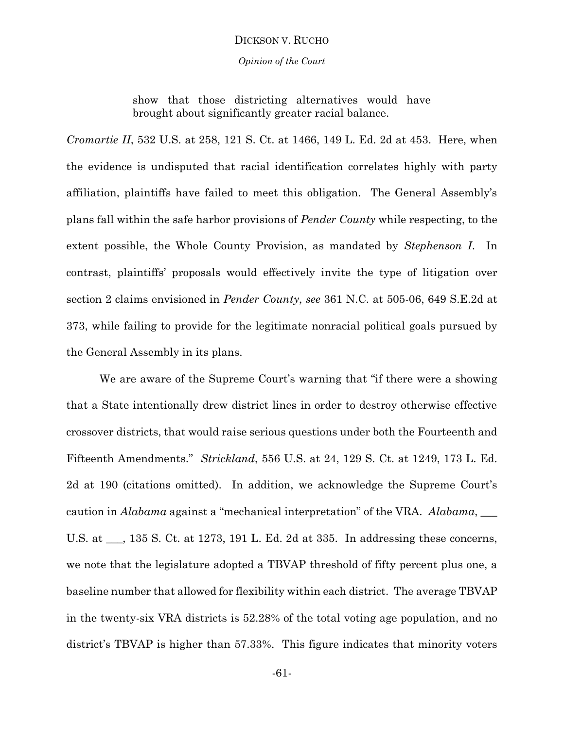*Opinion of the Court*

show that those districting alternatives would have brought about significantly greater racial balance.

*Cromartie II*, 532 U.S. at 258, 121 S. Ct. at 1466, 149 L. Ed. 2d at 453. Here, when the evidence is undisputed that racial identification correlates highly with party affiliation, plaintiffs have failed to meet this obligation. The General Assembly's plans fall within the safe harbor provisions of *Pender County* while respecting, to the extent possible, the Whole County Provision, as mandated by *Stephenson I*. In contrast, plaintiffs' proposals would effectively invite the type of litigation over section 2 claims envisioned in *Pender County*, *see* 361 N.C. at 505-06, 649 S.E.2d at 373, while failing to provide for the legitimate nonracial political goals pursued by the General Assembly in its plans.

We are aware of the Supreme Court's warning that "if there were a showing that a State intentionally drew district lines in order to destroy otherwise effective crossover districts, that would raise serious questions under both the Fourteenth and Fifteenth Amendments." *Strickland*, 556 U.S. at 24, 129 S. Ct. at 1249, 173 L. Ed. 2d at 190 (citations omitted). In addition, we acknowledge the Supreme Court's caution in *Alabama* against a "mechanical interpretation" of the VRA. *Alabama*, \_\_\_ U.S. at \_\_\_, 135 S. Ct. at 1273, 191 L. Ed. 2d at 335. In addressing these concerns, we note that the legislature adopted a TBVAP threshold of fifty percent plus one, a baseline number that allowed for flexibility within each district. The average TBVAP in the twenty-six VRA districts is 52.28% of the total voting age population, and no district's TBVAP is higher than 57.33%. This figure indicates that minority voters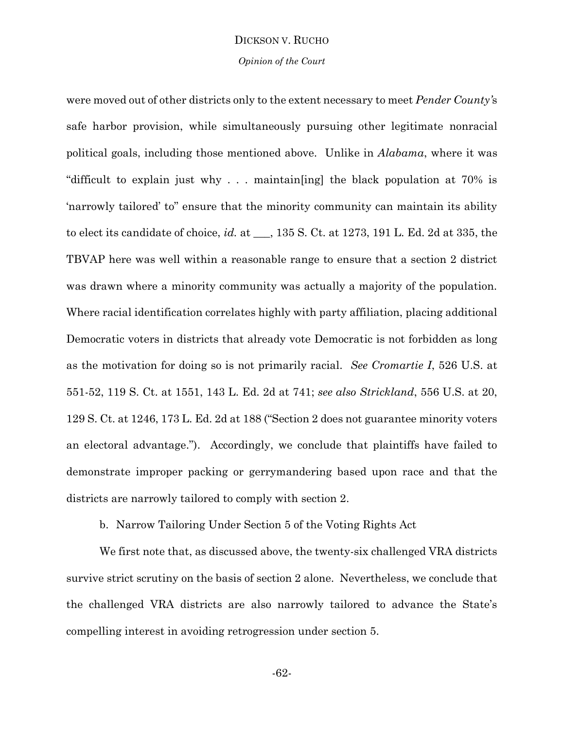#### *Opinion of the Court*

were moved out of other districts only to the extent necessary to meet *Pender County'*s safe harbor provision, while simultaneously pursuing other legitimate nonracial political goals, including those mentioned above. Unlike in *Alabama*, where it was "difficult to explain just why . . . maintain[ing] the black population at 70% is 'narrowly tailored' to" ensure that the minority community can maintain its ability to elect its candidate of choice, *id.* at \_\_\_, 135 S. Ct. at 1273, 191 L. Ed. 2d at 335, the TBVAP here was well within a reasonable range to ensure that a section 2 district was drawn where a minority community was actually a majority of the population. Where racial identification correlates highly with party affiliation, placing additional Democratic voters in districts that already vote Democratic is not forbidden as long as the motivation for doing so is not primarily racial. *See Cromartie I*, 526 U.S. at 551-52, 119 S. Ct. at 1551, 143 L. Ed. 2d at 741; *see also Strickland*, 556 U.S. at 20, 129 S. Ct. at 1246, 173 L. Ed. 2d at 188 ("Section 2 does not guarantee minority voters an electoral advantage."). Accordingly, we conclude that plaintiffs have failed to demonstrate improper packing or gerrymandering based upon race and that the districts are narrowly tailored to comply with section 2.

b. Narrow Tailoring Under Section 5 of the Voting Rights Act

We first note that, as discussed above, the twenty-six challenged VRA districts survive strict scrutiny on the basis of section 2 alone. Nevertheless, we conclude that the challenged VRA districts are also narrowly tailored to advance the State's compelling interest in avoiding retrogression under section 5.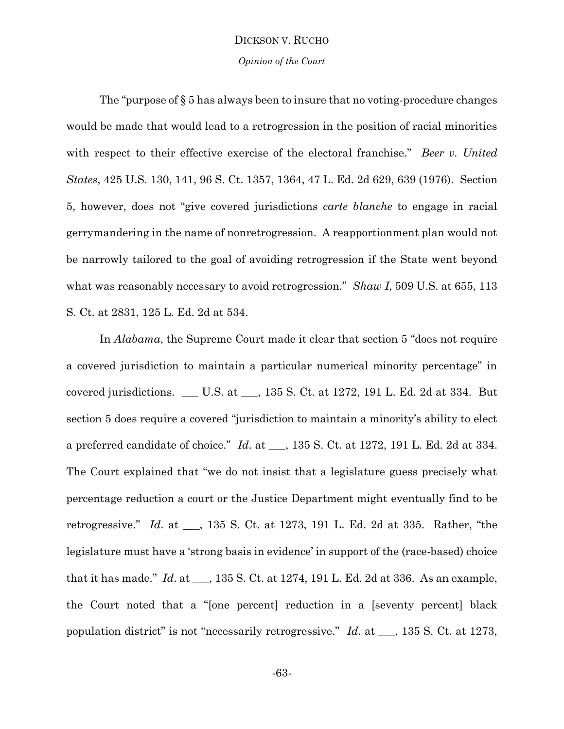#### *Opinion of the Court*

The "purpose of § 5 has always been to insure that no voting-procedure changes would be made that would lead to a retrogression in the position of racial minorities with respect to their effective exercise of the electoral franchise." *Beer v. United States*, 425 U.S. 130, 141, 96 S. Ct. 1357, 1364, 47 L. Ed. 2d 629, 639 (1976). Section 5, however, does not "give covered jurisdictions *carte blanche* to engage in racial gerrymandering in the name of nonretrogression. A reapportionment plan would not be narrowly tailored to the goal of avoiding retrogression if the State went beyond what was reasonably necessary to avoid retrogression." *Shaw I*, 509 U.S. at 655, 113 S. Ct. at 2831, 125 L. Ed. 2d at 534.

In *Alabama*, the Supreme Court made it clear that section 5 "does not require a covered jurisdiction to maintain a particular numerical minority percentage" in covered jurisdictions. \_\_\_ U.S. at \_\_\_, 135 S. Ct. at 1272, 191 L. Ed. 2d at 334. But section 5 does require a covered "jurisdiction to maintain a minority's ability to elect a preferred candidate of choice." *Id*. at \_\_\_, 135 S. Ct. at 1272, 191 L. Ed. 2d at 334. The Court explained that "we do not insist that a legislature guess precisely what percentage reduction a court or the Justice Department might eventually find to be retrogressive." *Id*. at \_\_\_, 135 S. Ct. at 1273, 191 L. Ed. 2d at 335. Rather, "the legislature must have a 'strong basis in evidence' in support of the (race-based) choice that it has made." *Id*. at \_\_\_, 135 S. Ct. at 1274, 191 L. Ed. 2d at 336. As an example, the Court noted that a "[one percent] reduction in a [seventy percent] black population district" is not "necessarily retrogressive." *Id*. at \_\_\_, 135 S. Ct. at 1273,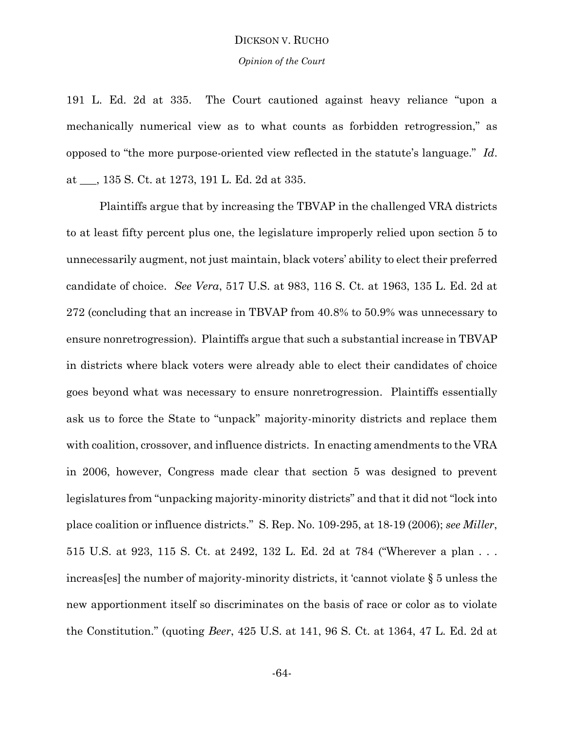# DICKSON V. RUCHO *Opinion of the Court*

191 L. Ed. 2d at 335. The Court cautioned against heavy reliance "upon a mechanically numerical view as to what counts as forbidden retrogression," as opposed to "the more purpose-oriented view reflected in the statute's language." *Id*. at \_\_\_, 135 S. Ct. at 1273, 191 L. Ed. 2d at 335.

Plaintiffs argue that by increasing the TBVAP in the challenged VRA districts to at least fifty percent plus one, the legislature improperly relied upon section 5 to unnecessarily augment, not just maintain, black voters' ability to elect their preferred candidate of choice. *See Vera*, 517 U.S. at 983, 116 S. Ct. at 1963, 135 L. Ed. 2d at 272 (concluding that an increase in TBVAP from 40.8% to 50.9% was unnecessary to ensure nonretrogression). Plaintiffs argue that such a substantial increase in TBVAP in districts where black voters were already able to elect their candidates of choice goes beyond what was necessary to ensure nonretrogression. Plaintiffs essentially ask us to force the State to "unpack" majority-minority districts and replace them with coalition, crossover, and influence districts. In enacting amendments to the VRA in 2006, however, Congress made clear that section 5 was designed to prevent legislatures from "unpacking majority-minority districts" and that it did not "lock into place coalition or influence districts." S. Rep. No. 109-295, at 18-19 (2006); *see Miller*, 515 U.S. at 923, 115 S. Ct. at 2492, 132 L. Ed. 2d at 784 ("Wherever a plan . . . increas[es] the number of majority-minority districts, it 'cannot violate § 5 unless the new apportionment itself so discriminates on the basis of race or color as to violate the Constitution." (quoting *Beer*, 425 U.S. at 141, 96 S. Ct. at 1364, 47 L. Ed. 2d at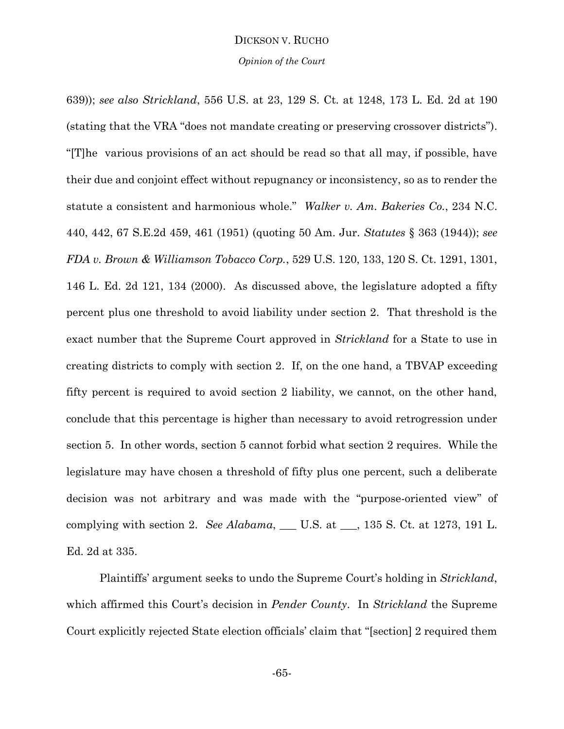*Opinion of the Court*

639)); *see also Strickland*, 556 U.S. at 23, 129 S. Ct. at 1248, 173 L. Ed. 2d at 190 (stating that the VRA "does not mandate creating or preserving crossover districts"). "[T]he various provisions of an act should be read so that all may, if possible, have their due and conjoint effect without repugnancy or inconsistency, so as to render the statute a consistent and harmonious whole." *Walker v. Am. Bakeries Co.*, 234 N.C. 440, 442, 67 S.E.2d 459, 461 (1951) (quoting 50 Am. Jur. *Statutes* § 363 (1944)); *see FDA v. Brown & Williamson Tobacco Corp.*, 529 U.S. 120, 133, 120 S. Ct. 1291, 1301, 146 L. Ed. 2d 121, 134 (2000). As discussed above, the legislature adopted a fifty percent plus one threshold to avoid liability under section 2. That threshold is the exact number that the Supreme Court approved in *Strickland* for a State to use in creating districts to comply with section 2. If, on the one hand, a TBVAP exceeding fifty percent is required to avoid section 2 liability, we cannot, on the other hand, conclude that this percentage is higher than necessary to avoid retrogression under section 5. In other words, section 5 cannot forbid what section 2 requires. While the legislature may have chosen a threshold of fifty plus one percent, such a deliberate decision was not arbitrary and was made with the "purpose-oriented view" of complying with section 2. *See Alabama*, \_\_\_ U.S. at \_\_\_, 135 S. Ct. at 1273, 191 L. Ed. 2d at 335.

Plaintiffs' argument seeks to undo the Supreme Court's holding in *Strickland*, which affirmed this Court's decision in *Pender County*. In *Strickland* the Supreme Court explicitly rejected State election officials' claim that "[section] 2 required them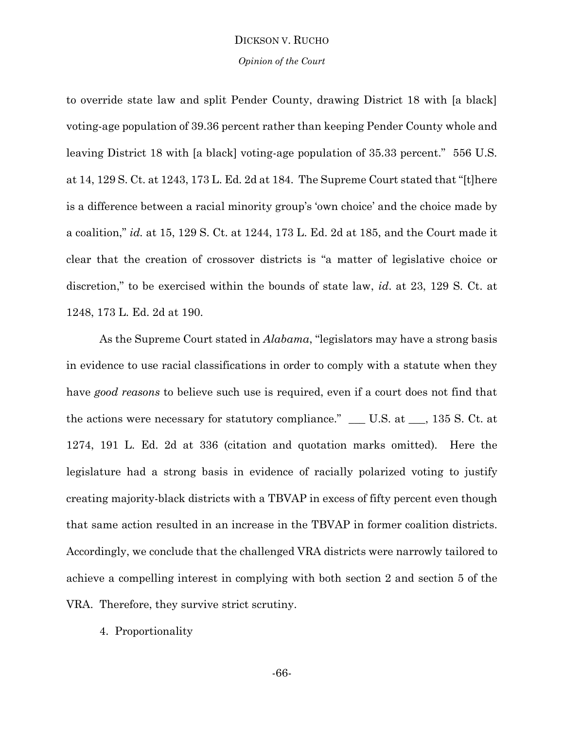*Opinion of the Court*

to override state law and split Pender County, drawing District 18 with [a black] voting-age population of 39.36 percent rather than keeping Pender County whole and leaving District 18 with [a black] voting-age population of 35.33 percent." 556 U.S. at 14, 129 S. Ct. at 1243, 173 L. Ed. 2d at 184. The Supreme Court stated that "[t]here is a difference between a racial minority group's 'own choice' and the choice made by a coalition," *id.* at 15, 129 S. Ct. at 1244, 173 L. Ed. 2d at 185, and the Court made it clear that the creation of crossover districts is "a matter of legislative choice or discretion," to be exercised within the bounds of state law, *id*. at 23, 129 S. Ct. at 1248, 173 L. Ed. 2d at 190.

As the Supreme Court stated in *Alabama*, "legislators may have a strong basis in evidence to use racial classifications in order to comply with a statute when they have *good reasons* to believe such use is required, even if a court does not find that the actions were necessary for statutory compliance."  $\_\_$  U.S. at  $\_\_$ , 135 S. Ct. at 1274, 191 L. Ed. 2d at 336 (citation and quotation marks omitted). Here the legislature had a strong basis in evidence of racially polarized voting to justify creating majority-black districts with a TBVAP in excess of fifty percent even though that same action resulted in an increase in the TBVAP in former coalition districts. Accordingly, we conclude that the challenged VRA districts were narrowly tailored to achieve a compelling interest in complying with both section 2 and section 5 of the VRA. Therefore, they survive strict scrutiny.

4. Proportionality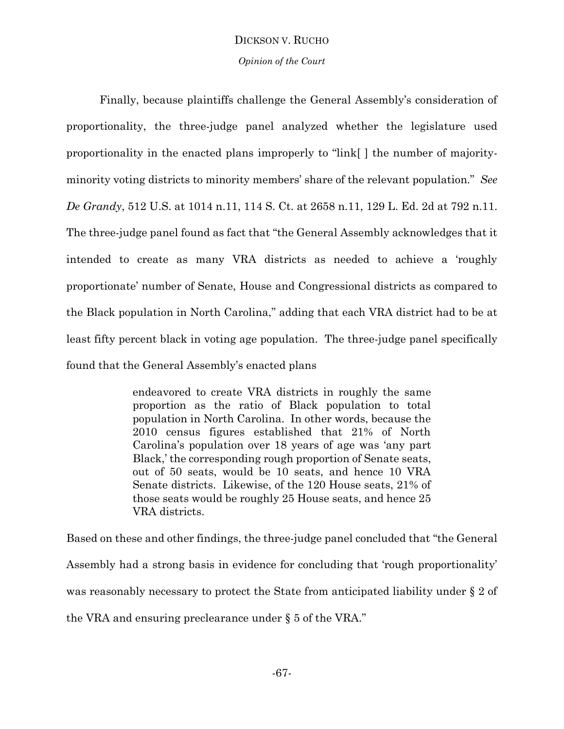# *Opinion of the Court*

Finally, because plaintiffs challenge the General Assembly's consideration of proportionality, the three-judge panel analyzed whether the legislature used proportionality in the enacted plans improperly to "link[ ] the number of majorityminority voting districts to minority members' share of the relevant population." *See De Grandy*, 512 U.S. at 1014 n.11, 114 S. Ct. at 2658 n.11, 129 L. Ed. 2d at 792 n.11. The three-judge panel found as fact that "the General Assembly acknowledges that it intended to create as many VRA districts as needed to achieve a 'roughly proportionate' number of Senate, House and Congressional districts as compared to the Black population in North Carolina," adding that each VRA district had to be at least fifty percent black in voting age population. The three-judge panel specifically found that the General Assembly's enacted plans

> endeavored to create VRA districts in roughly the same proportion as the ratio of Black population to total population in North Carolina. In other words, because the 2010 census figures established that 21% of North Carolina's population over 18 years of age was 'any part Black,' the corresponding rough proportion of Senate seats, out of 50 seats, would be 10 seats, and hence 10 VRA Senate districts. Likewise, of the 120 House seats, 21% of those seats would be roughly 25 House seats, and hence 25 VRA districts.

Based on these and other findings, the three-judge panel concluded that "the General Assembly had a strong basis in evidence for concluding that 'rough proportionality' was reasonably necessary to protect the State from anticipated liability under § 2 of the VRA and ensuring preclearance under § 5 of the VRA."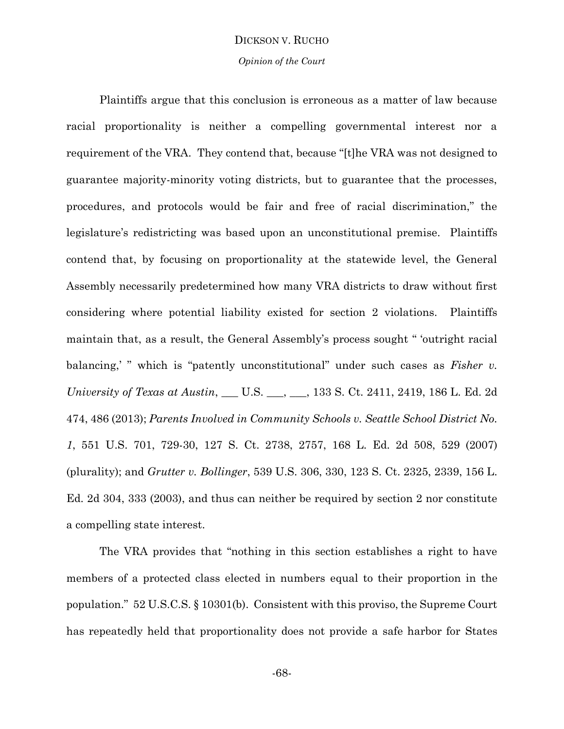*Opinion of the Court*

Plaintiffs argue that this conclusion is erroneous as a matter of law because racial proportionality is neither a compelling governmental interest nor a requirement of the VRA. They contend that, because "[t]he VRA was not designed to guarantee majority-minority voting districts, but to guarantee that the processes, procedures, and protocols would be fair and free of racial discrimination," the legislature's redistricting was based upon an unconstitutional premise. Plaintiffs contend that, by focusing on proportionality at the statewide level, the General Assembly necessarily predetermined how many VRA districts to draw without first considering where potential liability existed for section 2 violations. Plaintiffs maintain that, as a result, the General Assembly's process sought " 'outright racial balancing,' " which is "patently unconstitutional" under such cases as *Fisher v*. *University of Texas at Austin*, \_\_\_ U.S. \_\_\_, \_\_\_, 133 S. Ct. 2411, 2419, 186 L. Ed. 2d 474, 486 (2013); *Parents Involved in Community Schools v. Seattle School District No. 1*, 551 U.S. 701, 729-30, 127 S. Ct. 2738, 2757, 168 L. Ed. 2d 508, 529 (2007) (plurality); and *Grutter v. Bollinger*, 539 U.S. 306, 330, 123 S. Ct. 2325, 2339, 156 L. Ed. 2d 304, 333 (2003), and thus can neither be required by section 2 nor constitute a compelling state interest.

The VRA provides that "nothing in this section establishes a right to have members of a protected class elected in numbers equal to their proportion in the population." 52 U.S.C.S. § 10301(b). Consistent with this proviso, the Supreme Court has repeatedly held that proportionality does not provide a safe harbor for States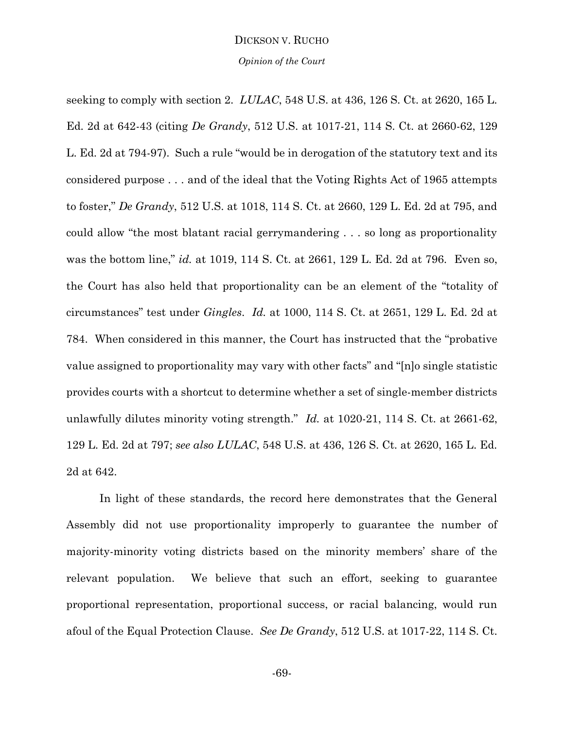#### *Opinion of the Court*

seeking to comply with section 2. *LULAC*, 548 U.S. at 436, 126 S. Ct. at 2620, 165 L. Ed. 2d at 642-43 (citing *De Grandy*, 512 U.S. at 1017-21, 114 S. Ct. at 2660-62, 129 L. Ed. 2d at 794-97). Such a rule "would be in derogation of the statutory text and its considered purpose . . . and of the ideal that the Voting Rights Act of 1965 attempts to foster," *De Grandy*, 512 U.S. at 1018, 114 S. Ct. at 2660, 129 L. Ed. 2d at 795, and could allow "the most blatant racial gerrymandering . . . so long as proportionality was the bottom line," *id.* at 1019, 114 S. Ct. at 2661, 129 L. Ed. 2d at 796. Even so, the Court has also held that proportionality can be an element of the "totality of circumstances" test under *Gingles*. *Id.* at 1000, 114 S. Ct. at 2651, 129 L. Ed. 2d at 784. When considered in this manner, the Court has instructed that the "probative value assigned to proportionality may vary with other facts" and "[n]o single statistic provides courts with a shortcut to determine whether a set of single-member districts unlawfully dilutes minority voting strength." *Id.* at 1020-21, 114 S. Ct. at 2661-62, 129 L. Ed. 2d at 797; *see also LULAC*, 548 U.S. at 436, 126 S. Ct. at 2620, 165 L. Ed. 2d at 642.

In light of these standards, the record here demonstrates that the General Assembly did not use proportionality improperly to guarantee the number of majority-minority voting districts based on the minority members' share of the relevant population. We believe that such an effort, seeking to guarantee proportional representation, proportional success, or racial balancing, would run afoul of the Equal Protection Clause. *See De Grandy*, 512 U.S. at 1017-22, 114 S. Ct.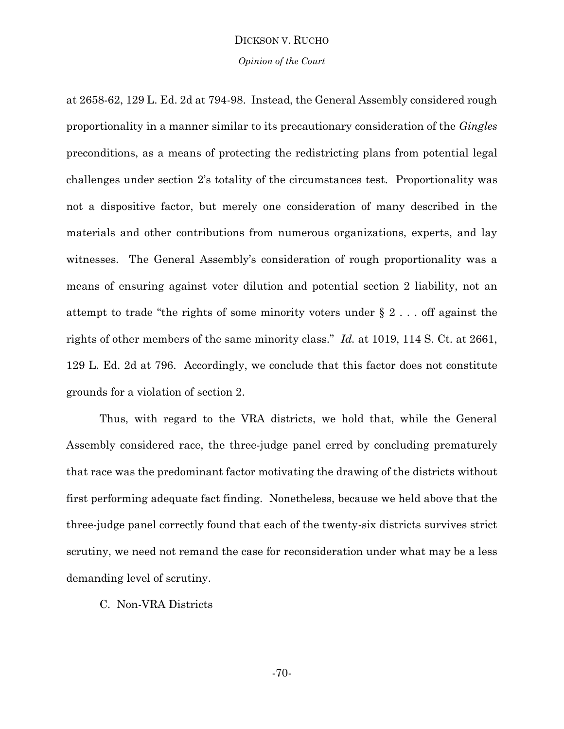#### *Opinion of the Court*

at 2658-62, 129 L. Ed. 2d at 794-98. Instead, the General Assembly considered rough proportionality in a manner similar to its precautionary consideration of the *Gingles* preconditions, as a means of protecting the redistricting plans from potential legal challenges under section 2's totality of the circumstances test. Proportionality was not a dispositive factor, but merely one consideration of many described in the materials and other contributions from numerous organizations, experts, and lay witnesses. The General Assembly's consideration of rough proportionality was a means of ensuring against voter dilution and potential section 2 liability, not an attempt to trade "the rights of some minority voters under § 2 . . . off against the rights of other members of the same minority class." *Id.* at 1019, 114 S. Ct. at 2661, 129 L. Ed. 2d at 796. Accordingly, we conclude that this factor does not constitute grounds for a violation of section 2.

Thus, with regard to the VRA districts, we hold that, while the General Assembly considered race, the three-judge panel erred by concluding prematurely that race was the predominant factor motivating the drawing of the districts without first performing adequate fact finding. Nonetheless, because we held above that the three-judge panel correctly found that each of the twenty-six districts survives strict scrutiny, we need not remand the case for reconsideration under what may be a less demanding level of scrutiny.

C. Non-VRA Districts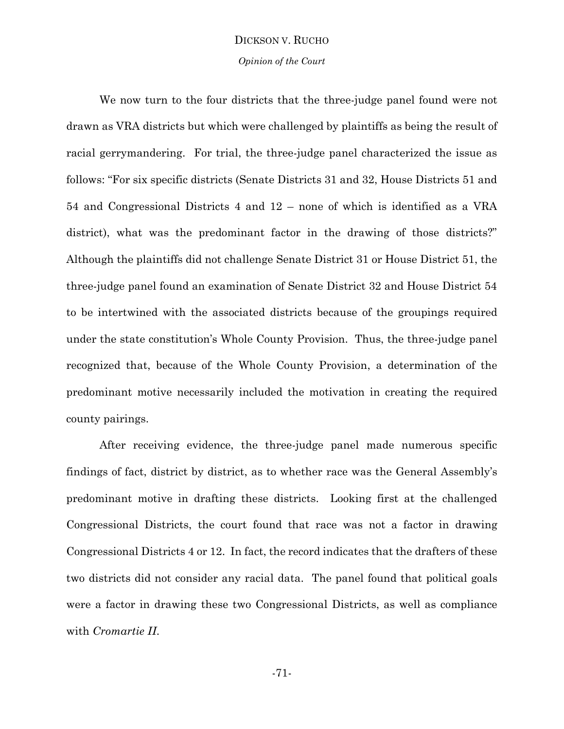*Opinion of the Court*

We now turn to the four districts that the three-judge panel found were not drawn as VRA districts but which were challenged by plaintiffs as being the result of racial gerrymandering. For trial, the three-judge panel characterized the issue as follows: "For six specific districts (Senate Districts 31 and 32, House Districts 51 and 54 and Congressional Districts 4 and 12 – none of which is identified as a VRA district), what was the predominant factor in the drawing of those districts?" Although the plaintiffs did not challenge Senate District 31 or House District 51, the three-judge panel found an examination of Senate District 32 and House District 54 to be intertwined with the associated districts because of the groupings required under the state constitution's Whole County Provision. Thus, the three-judge panel recognized that, because of the Whole County Provision, a determination of the predominant motive necessarily included the motivation in creating the required county pairings.

After receiving evidence, the three-judge panel made numerous specific findings of fact, district by district, as to whether race was the General Assembly's predominant motive in drafting these districts. Looking first at the challenged Congressional Districts, the court found that race was not a factor in drawing Congressional Districts 4 or 12. In fact, the record indicates that the drafters of these two districts did not consider any racial data. The panel found that political goals were a factor in drawing these two Congressional Districts, as well as compliance with *Cromartie II*.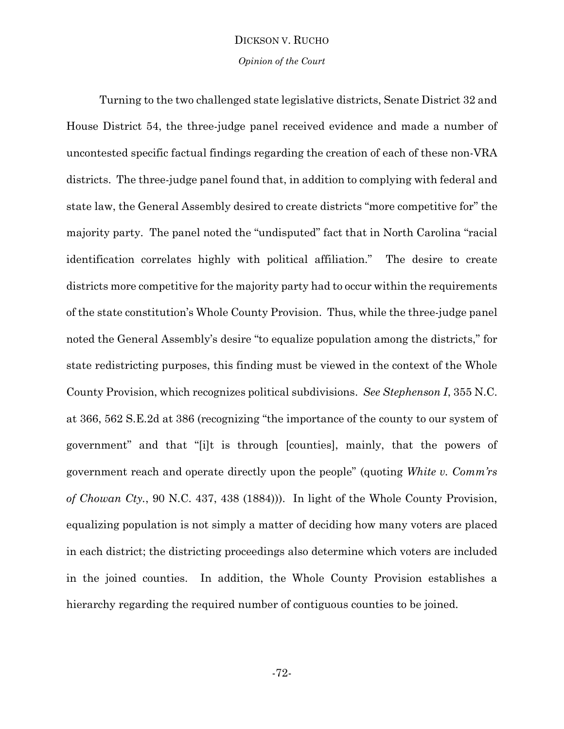*Opinion of the Court*

Turning to the two challenged state legislative districts, Senate District 32 and House District 54, the three-judge panel received evidence and made a number of uncontested specific factual findings regarding the creation of each of these non-VRA districts. The three-judge panel found that, in addition to complying with federal and state law, the General Assembly desired to create districts "more competitive for" the majority party. The panel noted the "undisputed" fact that in North Carolina "racial identification correlates highly with political affiliation." The desire to create districts more competitive for the majority party had to occur within the requirements of the state constitution's Whole County Provision. Thus, while the three-judge panel noted the General Assembly's desire "to equalize population among the districts," for state redistricting purposes, this finding must be viewed in the context of the Whole County Provision, which recognizes political subdivisions. *See Stephenson I*, 355 N.C. at 366, 562 S.E.2d at 386 (recognizing "the importance of the county to our system of government" and that "[i]t is through [counties], mainly, that the powers of government reach and operate directly upon the people" (quoting *White v. Comm'rs of Chowan Cty.*, 90 N.C. 437, 438 (1884))). In light of the Whole County Provision, equalizing population is not simply a matter of deciding how many voters are placed in each district; the districting proceedings also determine which voters are included in the joined counties. In addition, the Whole County Provision establishes a hierarchy regarding the required number of contiguous counties to be joined.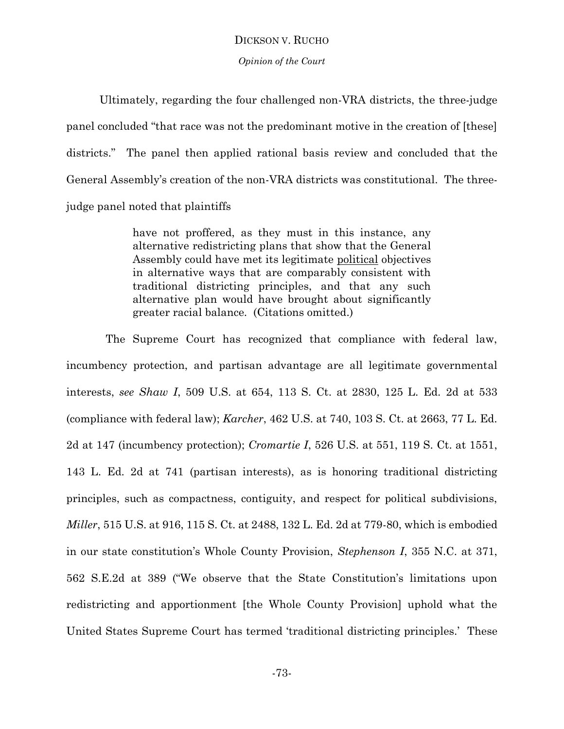*Opinion of the Court*

Ultimately, regarding the four challenged non-VRA districts, the three-judge panel concluded "that race was not the predominant motive in the creation of [these] districts." The panel then applied rational basis review and concluded that the General Assembly's creation of the non-VRA districts was constitutional. The threejudge panel noted that plaintiffs

> have not proffered, as they must in this instance, any alternative redistricting plans that show that the General Assembly could have met its legitimate political objectives in alternative ways that are comparably consistent with traditional districting principles, and that any such alternative plan would have brought about significantly greater racial balance. (Citations omitted.)

 The Supreme Court has recognized that compliance with federal law, incumbency protection, and partisan advantage are all legitimate governmental interests, *see Shaw I*, 509 U.S. at 654, 113 S. Ct. at 2830, 125 L. Ed. 2d at 533 (compliance with federal law); *Karcher*, 462 U.S. at 740, 103 S. Ct. at 2663, 77 L. Ed. 2d at 147 (incumbency protection); *Cromartie I*, 526 U.S. at 551, 119 S. Ct. at 1551, 143 L. Ed. 2d at 741 (partisan interests), as is honoring traditional districting principles, such as compactness, contiguity, and respect for political subdivisions, *Miller*, 515 U.S. at 916, 115 S. Ct. at 2488, 132 L. Ed. 2d at 779-80, which is embodied in our state constitution's Whole County Provision, *Stephenson I*, 355 N.C. at 371, 562 S.E.2d at 389 ("We observe that the State Constitution's limitations upon redistricting and apportionment [the Whole County Provision] uphold what the United States Supreme Court has termed 'traditional districting principles.' These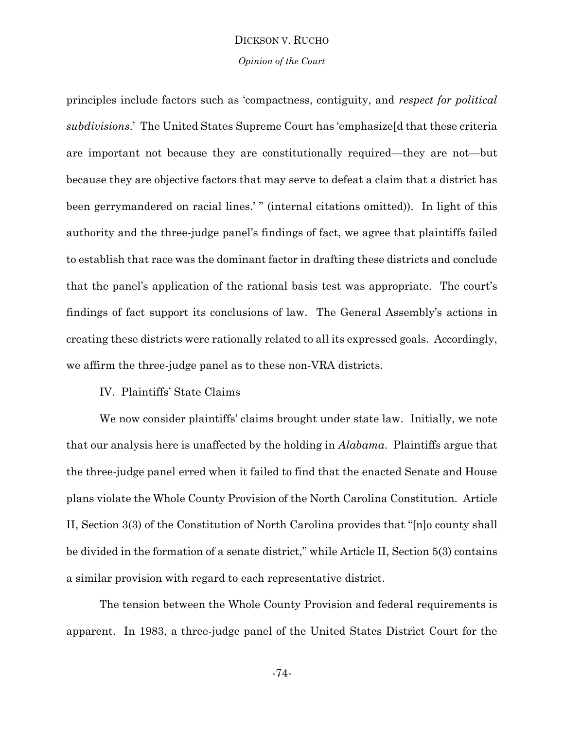#### *Opinion of the Court*

principles include factors such as 'compactness, contiguity, and *respect for political subdivisions*.' The United States Supreme Court has 'emphasize[d that these criteria are important not because they are constitutionally required—they are not—but because they are objective factors that may serve to defeat a claim that a district has been gerrymandered on racial lines.' " (internal citations omitted)). In light of this authority and the three-judge panel's findings of fact, we agree that plaintiffs failed to establish that race was the dominant factor in drafting these districts and conclude that the panel's application of the rational basis test was appropriate. The court's findings of fact support its conclusions of law. The General Assembly's actions in creating these districts were rationally related to all its expressed goals. Accordingly, we affirm the three-judge panel as to these non-VRA districts.

# IV. Plaintiffs' State Claims

We now consider plaintiffs' claims brought under state law. Initially, we note that our analysis here is unaffected by the holding in *Alabama*. Plaintiffs argue that the three-judge panel erred when it failed to find that the enacted Senate and House plans violate the Whole County Provision of the North Carolina Constitution. Article II, Section 3(3) of the Constitution of North Carolina provides that "[n]o county shall be divided in the formation of a senate district," while Article II, Section 5(3) contains a similar provision with regard to each representative district.

The tension between the Whole County Provision and federal requirements is apparent. In 1983, a three-judge panel of the United States District Court for the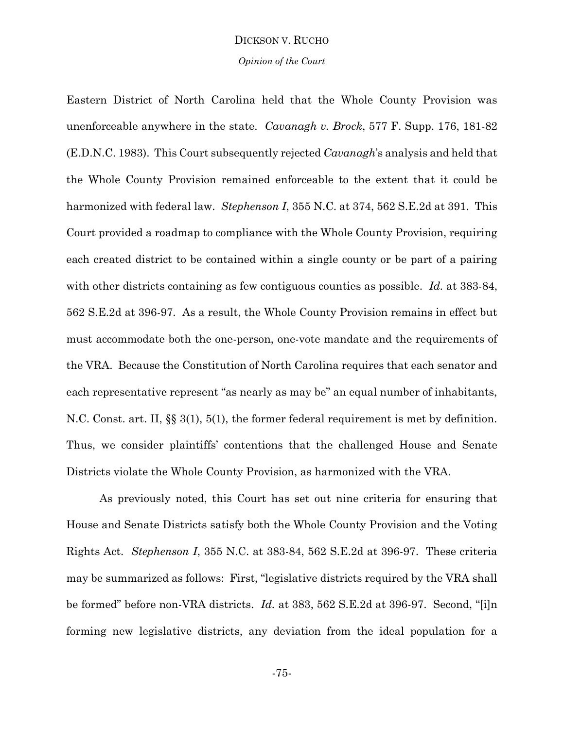*Opinion of the Court*

Eastern District of North Carolina held that the Whole County Provision was unenforceable anywhere in the state. *Cavanagh v. Brock*, 577 F. Supp. 176, 181-82 (E.D.N.C. 1983). This Court subsequently rejected *Cavanagh*'s analysis and held that the Whole County Provision remained enforceable to the extent that it could be harmonized with federal law. *Stephenson I*, 355 N.C. at 374, 562 S.E.2d at 391. This Court provided a roadmap to compliance with the Whole County Provision, requiring each created district to be contained within a single county or be part of a pairing with other districts containing as few contiguous counties as possible. *Id.* at 383-84, 562 S.E.2d at 396-97. As a result, the Whole County Provision remains in effect but must accommodate both the one-person, one-vote mandate and the requirements of the VRA. Because the Constitution of North Carolina requires that each senator and each representative represent "as nearly as may be" an equal number of inhabitants, N.C. Const. art. II, §§ 3(1), 5(1), the former federal requirement is met by definition. Thus, we consider plaintiffs' contentions that the challenged House and Senate Districts violate the Whole County Provision, as harmonized with the VRA.

As previously noted, this Court has set out nine criteria for ensuring that House and Senate Districts satisfy both the Whole County Provision and the Voting Rights Act. *Stephenson I*, 355 N.C. at 383-84, 562 S.E.2d at 396-97. These criteria may be summarized as follows: First, "legislative districts required by the VRA shall be formed" before non-VRA districts. *Id.* at 383, 562 S.E.2d at 396-97. Second, "[i]n forming new legislative districts, any deviation from the ideal population for a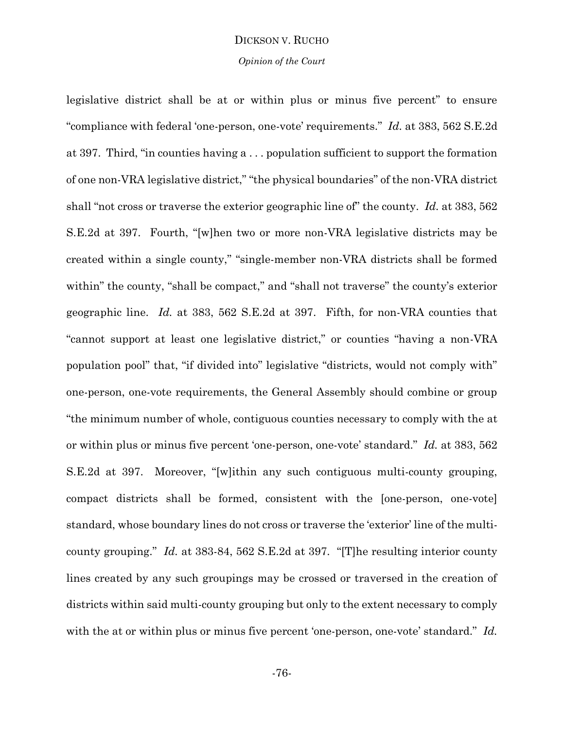#### *Opinion of the Court*

legislative district shall be at or within plus or minus five percent" to ensure "compliance with federal 'one-person, one-vote' requirements." *Id.* at 383, 562 S.E.2d at 397. Third, "in counties having a . . . population sufficient to support the formation of one non-VRA legislative district," "the physical boundaries" of the non-VRA district shall "not cross or traverse the exterior geographic line of" the county. *Id.* at 383, 562 S.E.2d at 397. Fourth, "[w]hen two or more non-VRA legislative districts may be created within a single county," "single-member non-VRA districts shall be formed within" the county, "shall be compact," and "shall not traverse" the county's exterior geographic line. *Id.* at 383, 562 S.E.2d at 397. Fifth, for non-VRA counties that "cannot support at least one legislative district," or counties "having a non-VRA population pool" that, "if divided into" legislative "districts, would not comply with" one-person, one-vote requirements, the General Assembly should combine or group "the minimum number of whole, contiguous counties necessary to comply with the at or within plus or minus five percent 'one-person, one-vote' standard." *Id.* at 383, 562 S.E.2d at 397. Moreover, "[w]ithin any such contiguous multi-county grouping, compact districts shall be formed, consistent with the [one-person, one-vote] standard, whose boundary lines do not cross or traverse the 'exterior' line of the multicounty grouping." *Id.* at 383-84, 562 S.E.2d at 397. "[T]he resulting interior county lines created by any such groupings may be crossed or traversed in the creation of districts within said multi-county grouping but only to the extent necessary to comply with the at or within plus or minus five percent 'one-person, one-vote' standard." *Id.*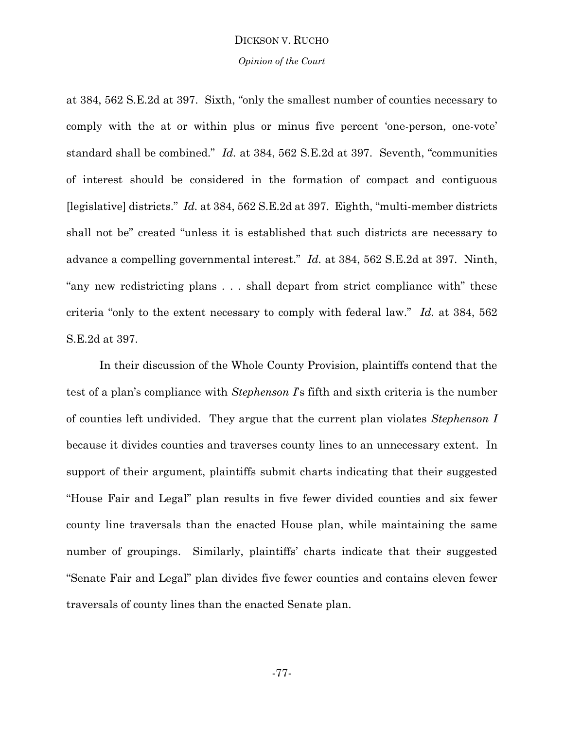#### *Opinion of the Court*

at 384, 562 S.E.2d at 397. Sixth, "only the smallest number of counties necessary to comply with the at or within plus or minus five percent 'one-person, one-vote' standard shall be combined." *Id.* at 384, 562 S.E.2d at 397. Seventh, "communities of interest should be considered in the formation of compact and contiguous [legislative] districts." *Id.* at 384, 562 S.E.2d at 397. Eighth, "multi-member districts shall not be" created "unless it is established that such districts are necessary to advance a compelling governmental interest." *Id.* at 384, 562 S.E.2d at 397. Ninth, "any new redistricting plans . . . shall depart from strict compliance with" these criteria "only to the extent necessary to comply with federal law." *Id.* at 384, 562 S.E.2d at 397.

In their discussion of the Whole County Provision, plaintiffs contend that the test of a plan's compliance with *Stephenson I*'s fifth and sixth criteria is the number of counties left undivided. They argue that the current plan violates *Stephenson I* because it divides counties and traverses county lines to an unnecessary extent. In support of their argument, plaintiffs submit charts indicating that their suggested "House Fair and Legal" plan results in five fewer divided counties and six fewer county line traversals than the enacted House plan, while maintaining the same number of groupings. Similarly, plaintiffs' charts indicate that their suggested "Senate Fair and Legal" plan divides five fewer counties and contains eleven fewer traversals of county lines than the enacted Senate plan.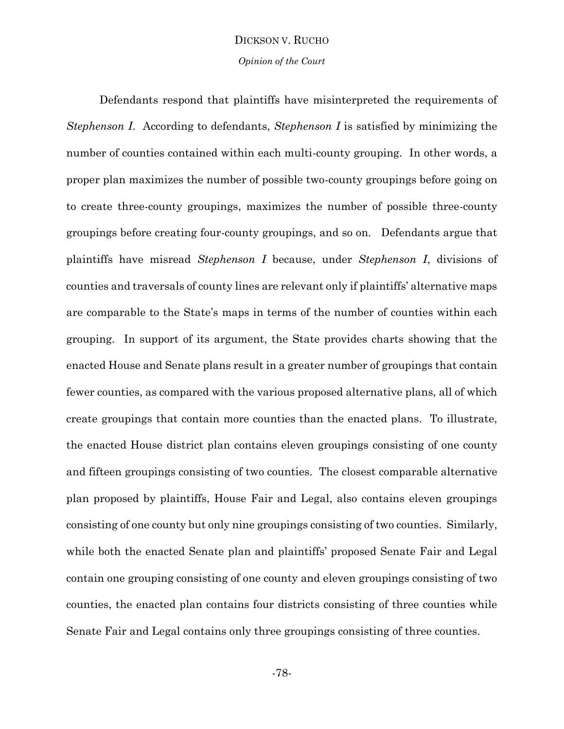*Opinion of the Court*

Defendants respond that plaintiffs have misinterpreted the requirements of *Stephenson I*. According to defendants, *Stephenson I* is satisfied by minimizing the number of counties contained within each multi-county grouping. In other words, a proper plan maximizes the number of possible two-county groupings before going on to create three-county groupings, maximizes the number of possible three-county groupings before creating four-county groupings, and so on. Defendants argue that plaintiffs have misread *Stephenson I* because, under *Stephenson I*, divisions of counties and traversals of county lines are relevant only if plaintiffs' alternative maps are comparable to the State's maps in terms of the number of counties within each grouping. In support of its argument, the State provides charts showing that the enacted House and Senate plans result in a greater number of groupings that contain fewer counties, as compared with the various proposed alternative plans, all of which create groupings that contain more counties than the enacted plans. To illustrate, the enacted House district plan contains eleven groupings consisting of one county and fifteen groupings consisting of two counties. The closest comparable alternative plan proposed by plaintiffs, House Fair and Legal, also contains eleven groupings consisting of one county but only nine groupings consisting of two counties. Similarly, while both the enacted Senate plan and plaintiffs' proposed Senate Fair and Legal contain one grouping consisting of one county and eleven groupings consisting of two counties, the enacted plan contains four districts consisting of three counties while Senate Fair and Legal contains only three groupings consisting of three counties.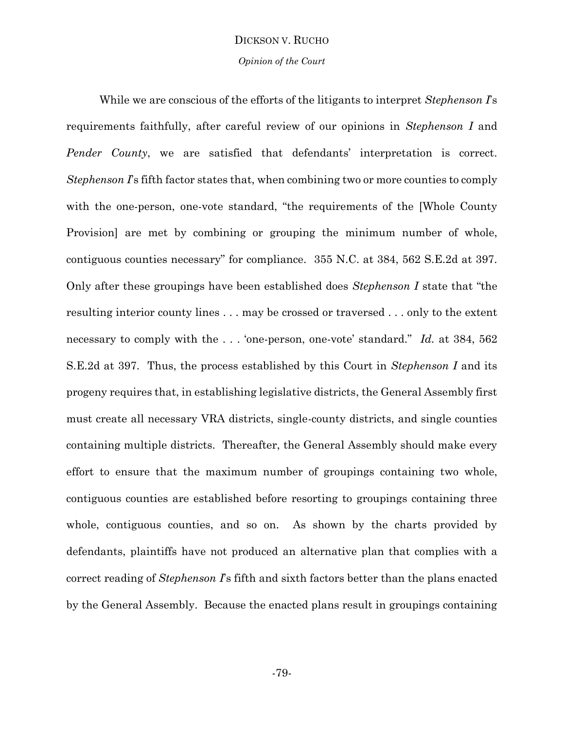*Opinion of the Court*

While we are conscious of the efforts of the litigants to interpret *Stephenson I*'s requirements faithfully, after careful review of our opinions in *Stephenson I* and *Pender County*, we are satisfied that defendants' interpretation is correct. *Stephenson I*'s fifth factor states that, when combining two or more counties to comply with the one-person, one-vote standard, "the requirements of the [Whole County Provision] are met by combining or grouping the minimum number of whole, contiguous counties necessary" for compliance. 355 N.C. at 384, 562 S.E.2d at 397. Only after these groupings have been established does *Stephenson I* state that "the resulting interior county lines . . . may be crossed or traversed . . . only to the extent necessary to comply with the . . . 'one-person, one-vote' standard." *Id.* at 384, 562 S.E.2d at 397. Thus, the process established by this Court in *Stephenson I* and its progeny requires that, in establishing legislative districts, the General Assembly first must create all necessary VRA districts, single-county districts, and single counties containing multiple districts. Thereafter, the General Assembly should make every effort to ensure that the maximum number of groupings containing two whole, contiguous counties are established before resorting to groupings containing three whole, contiguous counties, and so on. As shown by the charts provided by defendants, plaintiffs have not produced an alternative plan that complies with a correct reading of *Stephenson I*'s fifth and sixth factors better than the plans enacted by the General Assembly. Because the enacted plans result in groupings containing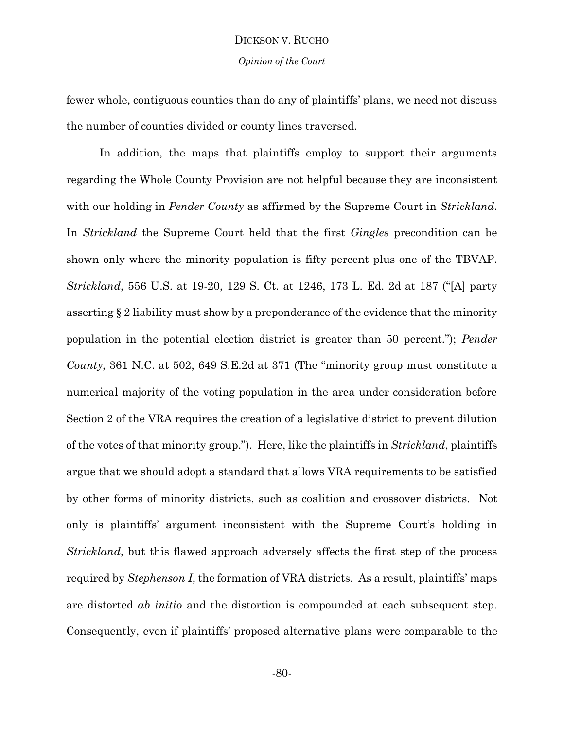fewer whole, contiguous counties than do any of plaintiffs' plans, we need not discuss the number of counties divided or county lines traversed.

In addition, the maps that plaintiffs employ to support their arguments regarding the Whole County Provision are not helpful because they are inconsistent with our holding in *Pender County* as affirmed by the Supreme Court in *Strickland*. In *Strickland* the Supreme Court held that the first *Gingles* precondition can be shown only where the minority population is fifty percent plus one of the TBVAP. *Strickland*, 556 U.S. at 19-20, 129 S. Ct. at 1246, 173 L. Ed. 2d at 187 ("[A] party asserting § 2 liability must show by a preponderance of the evidence that the minority population in the potential election district is greater than 50 percent."); *Pender County*, 361 N.C. at 502, 649 S.E.2d at 371 (The "minority group must constitute a numerical majority of the voting population in the area under consideration before Section 2 of the VRA requires the creation of a legislative district to prevent dilution of the votes of that minority group."). Here, like the plaintiffs in *Strickland*, plaintiffs argue that we should adopt a standard that allows VRA requirements to be satisfied by other forms of minority districts, such as coalition and crossover districts. Not only is plaintiffs' argument inconsistent with the Supreme Court's holding in *Strickland*, but this flawed approach adversely affects the first step of the process required by *Stephenson I*, the formation of VRA districts. As a result, plaintiffs' maps are distorted *ab initio* and the distortion is compounded at each subsequent step. Consequently, even if plaintiffs' proposed alternative plans were comparable to the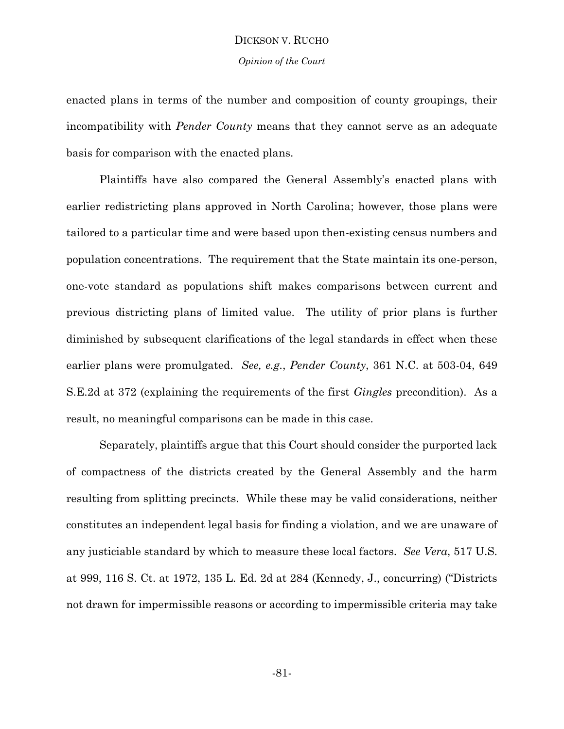# DICKSON V. RUCHO *Opinion of the Court*

enacted plans in terms of the number and composition of county groupings, their incompatibility with *Pender County* means that they cannot serve as an adequate basis for comparison with the enacted plans.

Plaintiffs have also compared the General Assembly's enacted plans with earlier redistricting plans approved in North Carolina; however, those plans were tailored to a particular time and were based upon then-existing census numbers and population concentrations. The requirement that the State maintain its one-person, one-vote standard as populations shift makes comparisons between current and previous districting plans of limited value. The utility of prior plans is further diminished by subsequent clarifications of the legal standards in effect when these earlier plans were promulgated. *See, e.g.*, *Pender County*, 361 N.C. at 503-04, 649 S.E.2d at 372 (explaining the requirements of the first *Gingles* precondition). As a result, no meaningful comparisons can be made in this case.

Separately, plaintiffs argue that this Court should consider the purported lack of compactness of the districts created by the General Assembly and the harm resulting from splitting precincts. While these may be valid considerations, neither constitutes an independent legal basis for finding a violation, and we are unaware of any justiciable standard by which to measure these local factors. *See Vera*, 517 U.S. at 999, 116 S. Ct. at 1972, 135 L. Ed. 2d at 284 (Kennedy, J., concurring) ("Districts not drawn for impermissible reasons or according to impermissible criteria may take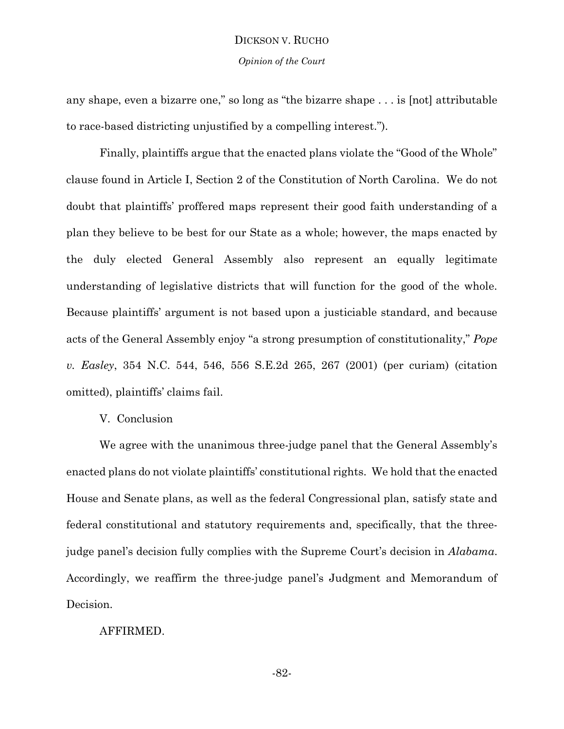#### *Opinion of the Court*

any shape, even a bizarre one," so long as "the bizarre shape . . . is [not] attributable to race-based districting unjustified by a compelling interest.").

Finally, plaintiffs argue that the enacted plans violate the "Good of the Whole" clause found in Article I, Section 2 of the Constitution of North Carolina. We do not doubt that plaintiffs' proffered maps represent their good faith understanding of a plan they believe to be best for our State as a whole; however, the maps enacted by the duly elected General Assembly also represent an equally legitimate understanding of legislative districts that will function for the good of the whole. Because plaintiffs' argument is not based upon a justiciable standard, and because acts of the General Assembly enjoy "a strong presumption of constitutionality," *Pope v. Easley*, 354 N.C. 544, 546, 556 S.E.2d 265, 267 (2001) (per curiam) (citation omitted), plaintiffs' claims fail.

# V. Conclusion

We agree with the unanimous three-judge panel that the General Assembly's enacted plans do not violate plaintiffs' constitutional rights. We hold that the enacted House and Senate plans, as well as the federal Congressional plan, satisfy state and federal constitutional and statutory requirements and, specifically, that the threejudge panel's decision fully complies with the Supreme Court's decision in *Alabama*. Accordingly, we reaffirm the three-judge panel's Judgment and Memorandum of Decision.

# AFFIRMED.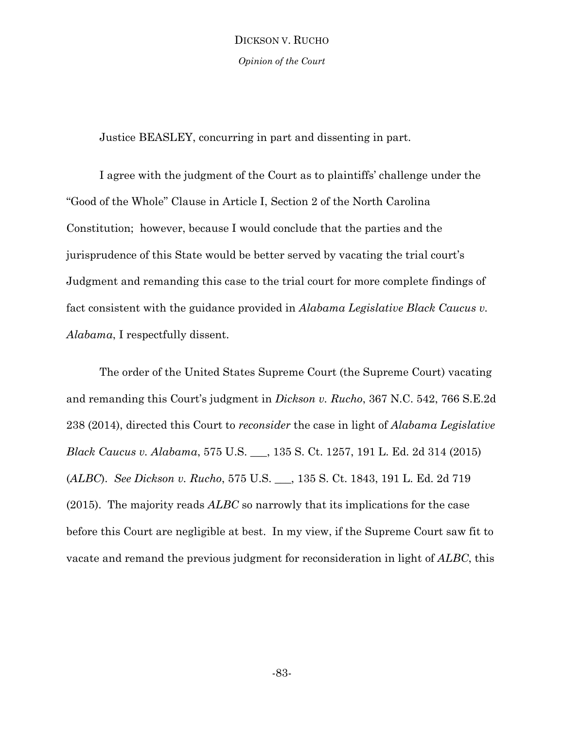DICKSON V. RUCHO *Opinion of the Court*

Justice BEASLEY, concurring in part and dissenting in part.

I agree with the judgment of the Court as to plaintiffs' challenge under the "Good of the Whole" Clause in Article I, Section 2 of the North Carolina Constitution; however, because I would conclude that the parties and the jurisprudence of this State would be better served by vacating the trial court's Judgment and remanding this case to the trial court for more complete findings of fact consistent with the guidance provided in *Alabama Legislative Black Caucus v. Alabama*, I respectfully dissent.

The order of the United States Supreme Court (the Supreme Court) vacating and remanding this Court's judgment in *Dickson v. Rucho*, 367 N.C. 542, 766 S.E.2d 238 (2014), directed this Court to *reconsider* the case in light of *Alabama Legislative Black Caucus v. Alabama*, 575 U.S. \_\_\_, 135 S. Ct. 1257, 191 L. Ed. 2d 314 (2015) (*ALBC*). *See Dickson v. Rucho*, 575 U.S. \_\_\_, 135 S. Ct. 1843, 191 L. Ed. 2d 719 (2015). The majority reads *ALBC* so narrowly that its implications for the case before this Court are negligible at best. In my view, if the Supreme Court saw fit to vacate and remand the previous judgment for reconsideration in light of *ALBC*, this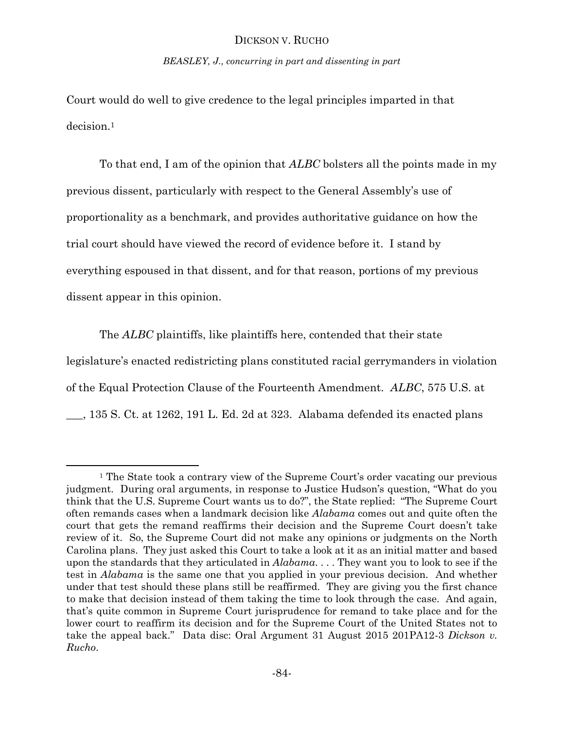*BEASLEY, J., concurring in part and dissenting in part*

Court would do well to give credence to the legal principles imparted in that decision.<sup>1</sup>

To that end, I am of the opinion that *ALBC* bolsters all the points made in my previous dissent, particularly with respect to the General Assembly's use of proportionality as a benchmark, and provides authoritative guidance on how the trial court should have viewed the record of evidence before it. I stand by everything espoused in that dissent, and for that reason, portions of my previous dissent appear in this opinion.

The *ALBC* plaintiffs, like plaintiffs here, contended that their state legislature's enacted redistricting plans constituted racial gerrymanders in violation of the Equal Protection Clause of the Fourteenth Amendment. *ALBC*, 575 U.S. at \_\_\_, 135 S. Ct. at 1262, 191 L. Ed. 2d at 323. Alabama defended its enacted plans

l

<sup>1</sup> The State took a contrary view of the Supreme Court's order vacating our previous judgment. During oral arguments, in response to Justice Hudson's question, "What do you think that the U.S. Supreme Court wants us to do?", the State replied: "The Supreme Court often remands cases when a landmark decision like *Alabama* comes out and quite often the court that gets the remand reaffirms their decision and the Supreme Court doesn't take review of it. So, the Supreme Court did not make any opinions or judgments on the North Carolina plans. They just asked this Court to take a look at it as an initial matter and based upon the standards that they articulated in *Alabama*. . . . They want you to look to see if the test in *Alabama* is the same one that you applied in your previous decision. And whether under that test should these plans still be reaffirmed. They are giving you the first chance to make that decision instead of them taking the time to look through the case. And again, that's quite common in Supreme Court jurisprudence for remand to take place and for the lower court to reaffirm its decision and for the Supreme Court of the United States not to take the appeal back." Data disc: Oral Argument 31 August 2015 201PA12-3 *Dickson v. Rucho*.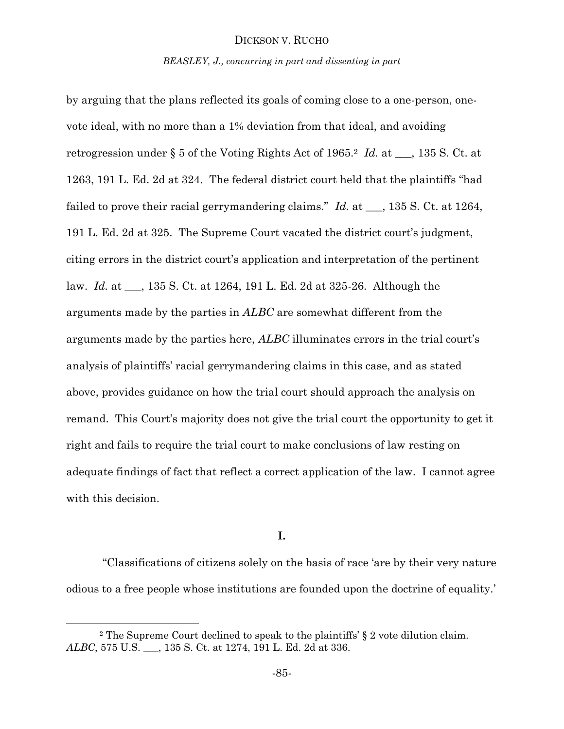*BEASLEY, J., concurring in part and dissenting in part*

by arguing that the plans reflected its goals of coming close to a one-person, onevote ideal, with no more than a 1% deviation from that ideal, and avoiding retrogression under § 5 of the Voting Rights Act of 1965.<sup>2</sup> *Id.* at \_\_\_, 135 S. Ct. at 1263, 191 L. Ed. 2d at 324. The federal district court held that the plaintiffs "had failed to prove their racial gerrymandering claims." *Id.* at \_\_, 135 S. Ct. at 1264, 191 L. Ed. 2d at 325. The Supreme Court vacated the district court's judgment, citing errors in the district court's application and interpretation of the pertinent law. *Id.* at \_\_\_, 135 S. Ct. at 1264, 191 L. Ed. 2d at 325-26. Although the arguments made by the parties in *ALBC* are somewhat different from the arguments made by the parties here, *ALBC* illuminates errors in the trial court's analysis of plaintiffs' racial gerrymandering claims in this case, and as stated above, provides guidance on how the trial court should approach the analysis on remand. This Court's majority does not give the trial court the opportunity to get it right and fails to require the trial court to make conclusions of law resting on adequate findings of fact that reflect a correct application of the law. I cannot agree with this decision.

# **I.**

"Classifications of citizens solely on the basis of race 'are by their very nature odious to a free people whose institutions are founded upon the doctrine of equality.'

l

<sup>2</sup> The Supreme Court declined to speak to the plaintiffs' § 2 vote dilution claim. *ALBC*, 575 U.S. \_\_\_, 135 S. Ct. at 1274, 191 L. Ed. 2d at 336.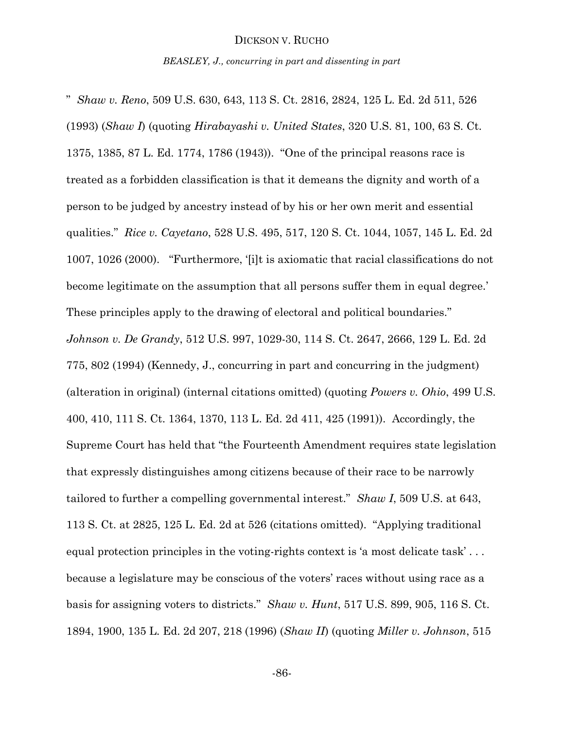*BEASLEY, J., concurring in part and dissenting in part*

" *Shaw v. Reno*, 509 U.S. 630, 643, 113 S. Ct. 2816, 2824, 125 L. Ed. 2d 511, 526 (1993) (*Shaw I*) (quoting *Hirabayashi v. United States*, 320 U.S. 81, 100, 63 S. Ct. 1375, 1385, 87 L. Ed. 1774, 1786 (1943)). "One of the principal reasons race is treated as a forbidden classification is that it demeans the dignity and worth of a person to be judged by ancestry instead of by his or her own merit and essential qualities." *Rice v. Cayetano*, 528 U.S. 495, 517, 120 S. Ct. 1044, 1057, 145 L. Ed. 2d 1007, 1026 (2000). "Furthermore, '[i]t is axiomatic that racial classifications do not become legitimate on the assumption that all persons suffer them in equal degree.' These principles apply to the drawing of electoral and political boundaries." *Johnson v. De Grandy*, 512 U.S. 997, 1029-30, 114 S. Ct. 2647, 2666, 129 L. Ed. 2d 775, 802 (1994) (Kennedy, J., concurring in part and concurring in the judgment) (alteration in original) (internal citations omitted) (quoting *Powers v. Ohio*, 499 U.S. 400, 410, 111 S. Ct. 1364, 1370, 113 L. Ed. 2d 411, 425 (1991)). Accordingly, the Supreme Court has held that "the Fourteenth Amendment requires state legislation that expressly distinguishes among citizens because of their race to be narrowly tailored to further a compelling governmental interest." *Shaw I*, 509 U.S. at 643, 113 S. Ct. at 2825, 125 L. Ed. 2d at 526 (citations omitted). "Applying traditional equal protection principles in the voting-rights context is 'a most delicate task'... because a legislature may be conscious of the voters' races without using race as a basis for assigning voters to districts." *Shaw v. Hunt*, 517 U.S. 899, 905, 116 S. Ct. 1894, 1900, 135 L. Ed. 2d 207, 218 (1996) (*Shaw II*) (quoting *Miller v. Johnson*, 515

-86-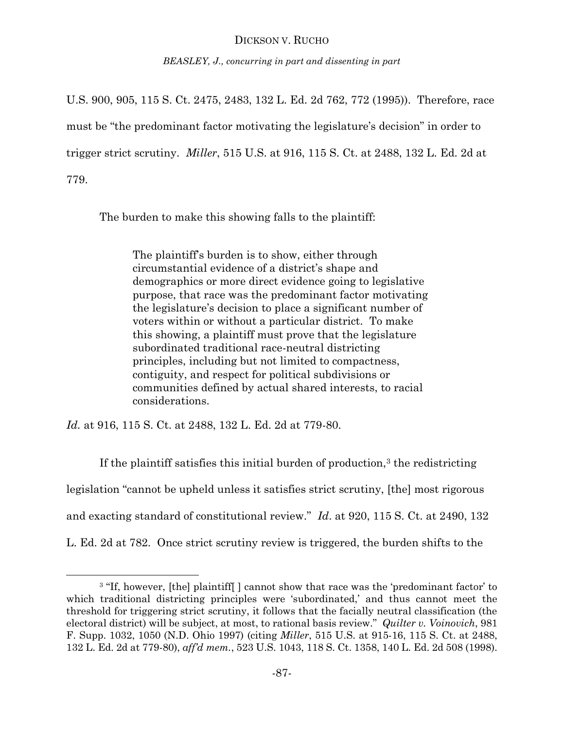*BEASLEY, J., concurring in part and dissenting in part*

U.S. 900, 905, 115 S. Ct. 2475, 2483, 132 L. Ed. 2d 762, 772 (1995)). Therefore, race must be "the predominant factor motivating the legislature's decision" in order to trigger strict scrutiny. *Miller*, 515 U.S. at 916, 115 S. Ct. at 2488, 132 L. Ed. 2d at 779.

The burden to make this showing falls to the plaintiff:

The plaintiff's burden is to show, either through circumstantial evidence of a district's shape and demographics or more direct evidence going to legislative purpose, that race was the predominant factor motivating the legislature's decision to place a significant number of voters within or without a particular district. To make this showing, a plaintiff must prove that the legislature subordinated traditional race-neutral districting principles, including but not limited to compactness, contiguity, and respect for political subdivisions or communities defined by actual shared interests, to racial considerations.

*Id.* at 916, 115 S. Ct. at 2488, 132 L. Ed. 2d at 779-80.

 $\overline{a}$ 

If the plaintiff satisfies this initial burden of production, $3$  the redistricting legislation "cannot be upheld unless it satisfies strict scrutiny, [the] most rigorous and exacting standard of constitutional review." *Id*. at 920, 115 S. Ct. at 2490, 132 L. Ed. 2d at 782. Once strict scrutiny review is triggered, the burden shifts to the

<sup>&</sup>lt;sup>3</sup> "If, however, [the] plaintiff] cannot show that race was the 'predominant factor' to which traditional districting principles were 'subordinated,' and thus cannot meet the threshold for triggering strict scrutiny, it follows that the facially neutral classification (the electoral district) will be subject, at most, to rational basis review." *Quilter v. Voinovich*, 981 F. Supp. 1032, 1050 (N.D. Ohio 1997) (citing *Miller*, 515 U.S. at 915-16, 115 S. Ct. at 2488, 132 L. Ed. 2d at 779-80), *aff'd mem.*, 523 U.S. 1043, 118 S. Ct. 1358, 140 L. Ed. 2d 508 (1998).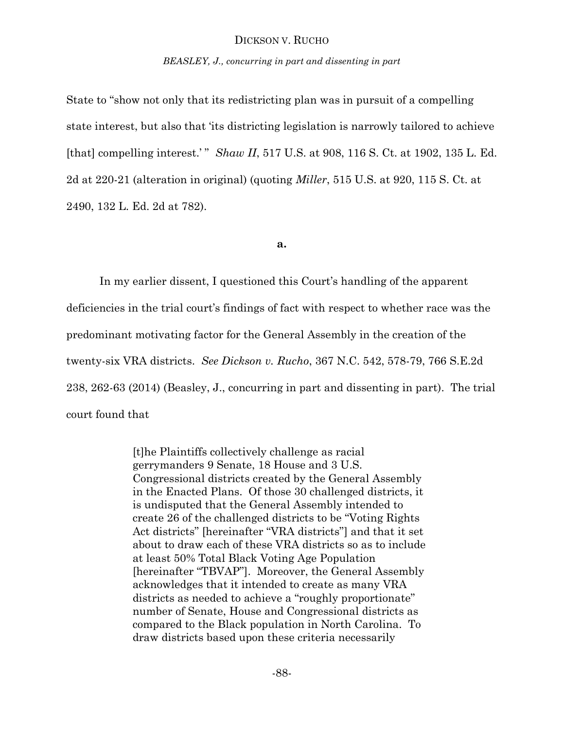*BEASLEY, J., concurring in part and dissenting in part*

State to "show not only that its redistricting plan was in pursuit of a compelling state interest, but also that 'its districting legislation is narrowly tailored to achieve [that] compelling interest.' " *Shaw II*, 517 U.S. at 908, 116 S. Ct. at 1902, 135 L. Ed. 2d at 220-21 (alteration in original) (quoting *Miller*, 515 U.S. at 920, 115 S. Ct. at 2490, 132 L. Ed. 2d at 782).

**a.**

In my earlier dissent, I questioned this Court's handling of the apparent deficiencies in the trial court's findings of fact with respect to whether race was the predominant motivating factor for the General Assembly in the creation of the twenty-six VRA districts. *See Dickson v. Rucho*, 367 N.C. 542, 578-79, 766 S.E.2d 238, 262-63 (2014) (Beasley, J., concurring in part and dissenting in part). The trial court found that

> [t]he Plaintiffs collectively challenge as racial gerrymanders 9 Senate, 18 House and 3 U.S. Congressional districts created by the General Assembly in the Enacted Plans. Of those 30 challenged districts, it is undisputed that the General Assembly intended to create 26 of the challenged districts to be "Voting Rights Act districts" [hereinafter "VRA districts"] and that it set about to draw each of these VRA districts so as to include at least 50% Total Black Voting Age Population [hereinafter "TBVAP"]. Moreover, the General Assembly acknowledges that it intended to create as many VRA districts as needed to achieve a "roughly proportionate" number of Senate, House and Congressional districts as compared to the Black population in North Carolina. To draw districts based upon these criteria necessarily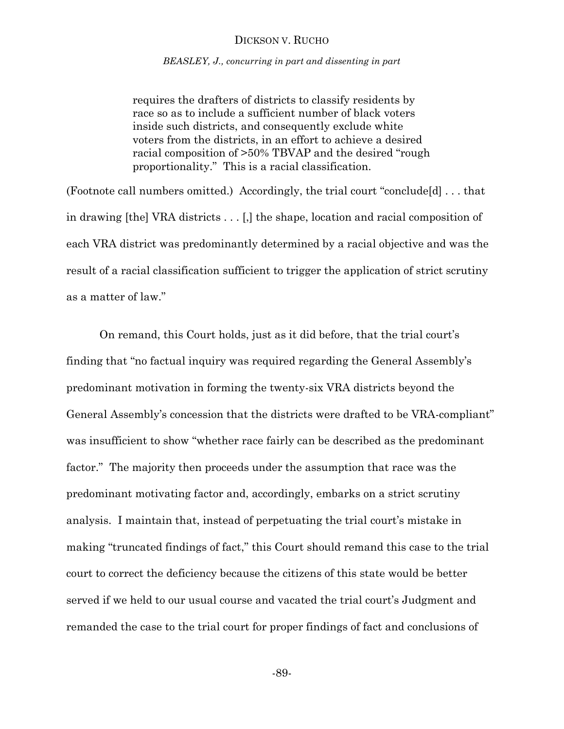*BEASLEY, J., concurring in part and dissenting in part*

requires the drafters of districts to classify residents by race so as to include a sufficient number of black voters inside such districts, and consequently exclude white voters from the districts, in an effort to achieve a desired racial composition of >50% TBVAP and the desired "rough proportionality." This is a racial classification.

(Footnote call numbers omitted.) Accordingly, the trial court "conclude[d] . . . that in drawing [the] VRA districts . . . [,] the shape, location and racial composition of each VRA district was predominantly determined by a racial objective and was the result of a racial classification sufficient to trigger the application of strict scrutiny as a matter of law."

On remand, this Court holds, just as it did before, that the trial court's finding that "no factual inquiry was required regarding the General Assembly's predominant motivation in forming the twenty-six VRA districts beyond the General Assembly's concession that the districts were drafted to be VRA-compliant" was insufficient to show "whether race fairly can be described as the predominant factor." The majority then proceeds under the assumption that race was the predominant motivating factor and, accordingly, embarks on a strict scrutiny analysis. I maintain that, instead of perpetuating the trial court's mistake in making "truncated findings of fact," this Court should remand this case to the trial court to correct the deficiency because the citizens of this state would be better served if we held to our usual course and vacated the trial court's Judgment and remanded the case to the trial court for proper findings of fact and conclusions of

-89-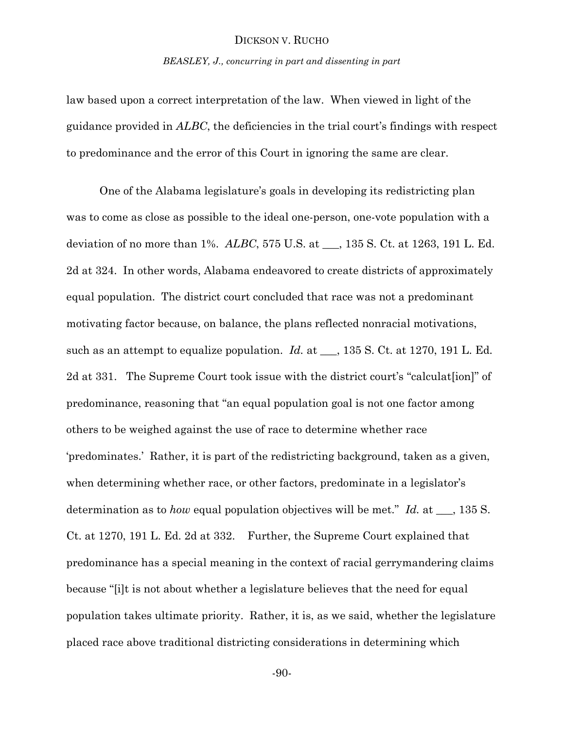*BEASLEY, J., concurring in part and dissenting in part*

law based upon a correct interpretation of the law. When viewed in light of the guidance provided in *ALBC*, the deficiencies in the trial court's findings with respect to predominance and the error of this Court in ignoring the same are clear.

One of the Alabama legislature's goals in developing its redistricting plan was to come as close as possible to the ideal one-person, one-vote population with a deviation of no more than 1%. *ALBC*, 575 U.S. at \_\_\_, 135 S. Ct. at 1263, 191 L. Ed. 2d at 324. In other words, Alabama endeavored to create districts of approximately equal population. The district court concluded that race was not a predominant motivating factor because, on balance, the plans reflected nonracial motivations, such as an attempt to equalize population. *Id.* at \_\_, 135 S. Ct. at 1270, 191 L. Ed. 2d at 331. The Supreme Court took issue with the district court's "calculat[ion]" of predominance, reasoning that "an equal population goal is not one factor among others to be weighed against the use of race to determine whether race 'predominates.' Rather, it is part of the redistricting background, taken as a given, when determining whether race, or other factors, predominate in a legislator's determination as to *how* equal population objectives will be met." *Id.* at \_\_\_, 135 S. Ct. at 1270, 191 L. Ed. 2d at 332. Further, the Supreme Court explained that predominance has a special meaning in the context of racial gerrymandering claims because "[i]t is not about whether a legislature believes that the need for equal population takes ultimate priority. Rather, it is, as we said, whether the legislature placed race above traditional districting considerations in determining which

-90-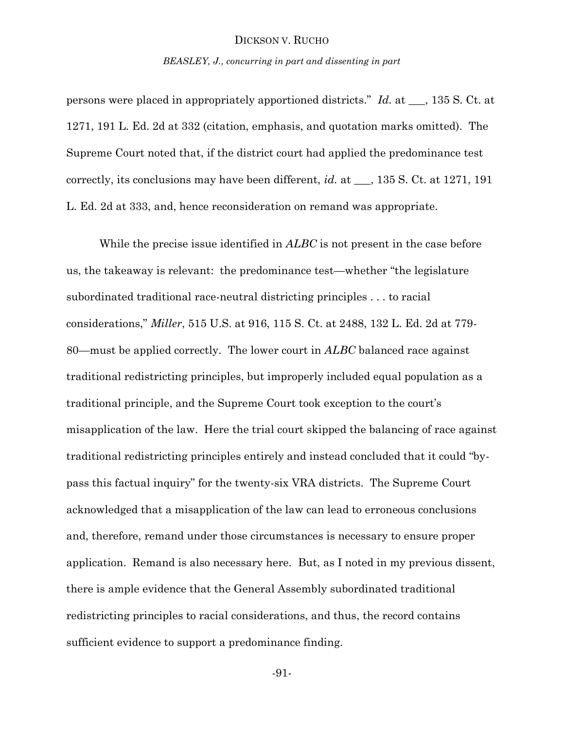*BEASLEY, J., concurring in part and dissenting in part*

persons were placed in appropriately apportioned districts." *Id.* at \_\_\_, 135 S. Ct. at 1271, 191 L. Ed. 2d at 332 (citation, emphasis, and quotation marks omitted). The Supreme Court noted that, if the district court had applied the predominance test correctly, its conclusions may have been different, *id.* at \_\_\_, 135 S. Ct. at 1271, 191 L. Ed. 2d at 333, and, hence reconsideration on remand was appropriate.

While the precise issue identified in *ALBC* is not present in the case before us, the takeaway is relevant: the predominance test—whether "the legislature subordinated traditional race-neutral districting principles . . . to racial considerations," *Miller*, 515 U.S. at 916, 115 S. Ct. at 2488, 132 L. Ed. 2d at 779- 80—must be applied correctly. The lower court in *ALBC* balanced race against traditional redistricting principles, but improperly included equal population as a traditional principle, and the Supreme Court took exception to the court's misapplication of the law. Here the trial court skipped the balancing of race against traditional redistricting principles entirely and instead concluded that it could "bypass this factual inquiry" for the twenty-six VRA districts. The Supreme Court acknowledged that a misapplication of the law can lead to erroneous conclusions and, therefore, remand under those circumstances is necessary to ensure proper application. Remand is also necessary here. But, as I noted in my previous dissent, there is ample evidence that the General Assembly subordinated traditional redistricting principles to racial considerations, and thus, the record contains sufficient evidence to support a predominance finding.

-91-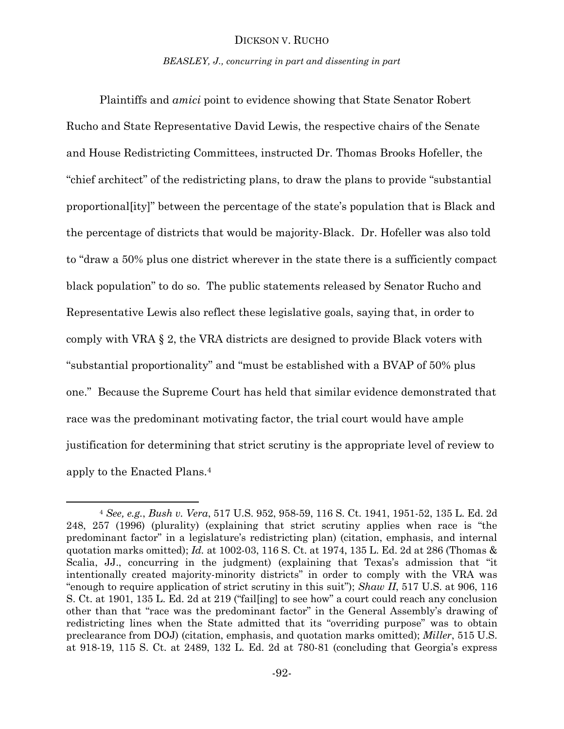*BEASLEY, J., concurring in part and dissenting in part*

Plaintiffs and *amici* point to evidence showing that State Senator Robert Rucho and State Representative David Lewis, the respective chairs of the Senate and House Redistricting Committees, instructed Dr. Thomas Brooks Hofeller, the "chief architect" of the redistricting plans, to draw the plans to provide "substantial proportional[ity]" between the percentage of the state's population that is Black and the percentage of districts that would be majority-Black. Dr. Hofeller was also told to "draw a 50% plus one district wherever in the state there is a sufficiently compact black population" to do so. The public statements released by Senator Rucho and Representative Lewis also reflect these legislative goals, saying that, in order to comply with VRA § 2, the VRA districts are designed to provide Black voters with "substantial proportionality" and "must be established with a BVAP of 50% plus one." Because the Supreme Court has held that similar evidence demonstrated that race was the predominant motivating factor, the trial court would have ample justification for determining that strict scrutiny is the appropriate level of review to apply to the Enacted Plans.<sup>4</sup>

 $\overline{a}$ 

<sup>4</sup> *See, e.g.*, *Bush v. Vera*, 517 U.S. 952, 958-59, 116 S. Ct. 1941, 1951-52, 135 L. Ed. 2d 248, 257 (1996) (plurality) (explaining that strict scrutiny applies when race is "the predominant factor" in a legislature's redistricting plan) (citation, emphasis, and internal quotation marks omitted); *Id.* at 1002-03, 116 S. Ct. at 1974, 135 L. Ed. 2d at 286 (Thomas & Scalia, JJ., concurring in the judgment) (explaining that Texas's admission that "it intentionally created majority-minority districts" in order to comply with the VRA was "enough to require application of strict scrutiny in this suit"); *Shaw II*, 517 U.S. at 906, 116 S. Ct. at 1901, 135 L. Ed. 2d at 219 ("fail[ing] to see how" a court could reach any conclusion other than that "race was the predominant factor" in the General Assembly's drawing of redistricting lines when the State admitted that its "overriding purpose" was to obtain preclearance from DOJ) (citation, emphasis, and quotation marks omitted); *Miller*, 515 U.S. at 918-19, 115 S. Ct. at 2489, 132 L. Ed. 2d at 780-81 (concluding that Georgia's express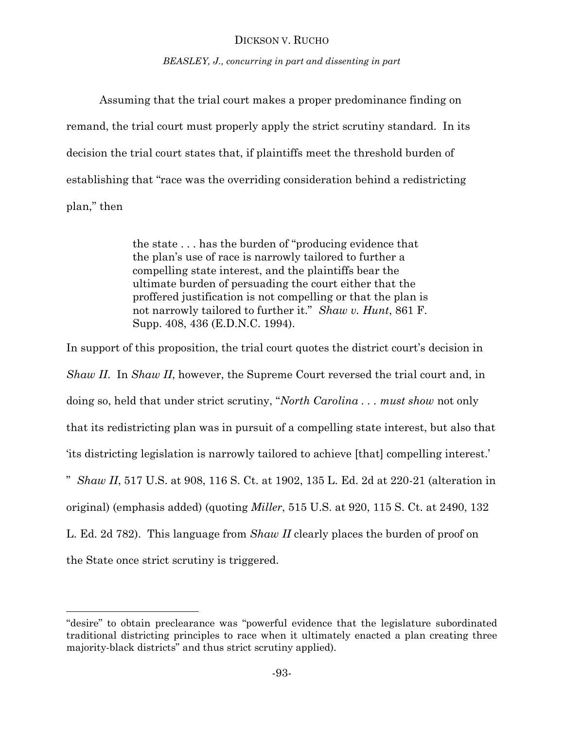*BEASLEY, J., concurring in part and dissenting in part*

Assuming that the trial court makes a proper predominance finding on remand, the trial court must properly apply the strict scrutiny standard. In its decision the trial court states that, if plaintiffs meet the threshold burden of establishing that "race was the overriding consideration behind a redistricting plan," then

> the state . . . has the burden of "producing evidence that the plan's use of race is narrowly tailored to further a compelling state interest, and the plaintiffs bear the ultimate burden of persuading the court either that the proffered justification is not compelling or that the plan is not narrowly tailored to further it." *Shaw v. Hunt*, 861 F. Supp. 408, 436 (E.D.N.C. 1994).

In support of this proposition, the trial court quotes the district court's decision in *Shaw II*. In *Shaw II*, however, the Supreme Court reversed the trial court and, in doing so, held that under strict scrutiny, "*North Carolina . . . must show* not only that its redistricting plan was in pursuit of a compelling state interest, but also that 'its districting legislation is narrowly tailored to achieve [that] compelling interest.' " *Shaw II*, 517 U.S. at 908, 116 S. Ct. at 1902, 135 L. Ed. 2d at 220-21 (alteration in original) (emphasis added) (quoting *Miller*, 515 U.S. at 920, 115 S. Ct. at 2490, 132 L. Ed. 2d 782). This language from *Shaw II* clearly places the burden of proof on the State once strict scrutiny is triggered.

l

<sup>&</sup>quot;desire" to obtain preclearance was "powerful evidence that the legislature subordinated traditional districting principles to race when it ultimately enacted a plan creating three majority-black districts" and thus strict scrutiny applied).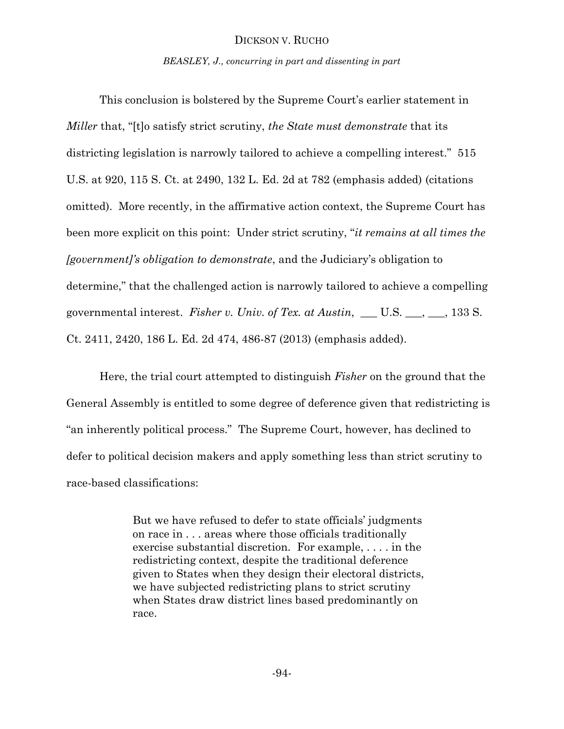*BEASLEY, J., concurring in part and dissenting in part*

This conclusion is bolstered by the Supreme Court's earlier statement in *Miller* that, "[t]o satisfy strict scrutiny, *the State must demonstrate* that its districting legislation is narrowly tailored to achieve a compelling interest." 515 U.S. at 920, 115 S. Ct. at 2490, 132 L. Ed. 2d at 782 (emphasis added) (citations omitted). More recently, in the affirmative action context, the Supreme Court has been more explicit on this point: Under strict scrutiny, "*it remains at all times the [government]'s obligation to demonstrate*, and the Judiciary's obligation to determine," that the challenged action is narrowly tailored to achieve a compelling governmental interest. *Fisher v. Univ. of Tex. at Austin*, \_\_\_ U.S. \_\_\_, \_\_\_, 133 S. Ct. 2411, 2420, 186 L. Ed. 2d 474, 486-87 (2013) (emphasis added).

Here, the trial court attempted to distinguish *Fisher* on the ground that the General Assembly is entitled to some degree of deference given that redistricting is "an inherently political process." The Supreme Court, however, has declined to defer to political decision makers and apply something less than strict scrutiny to race-based classifications:

> But we have refused to defer to state officials' judgments on race in . . . areas where those officials traditionally exercise substantial discretion. For example, . . . . in the redistricting context, despite the traditional deference given to States when they design their electoral districts, we have subjected redistricting plans to strict scrutiny when States draw district lines based predominantly on race.

> > -94-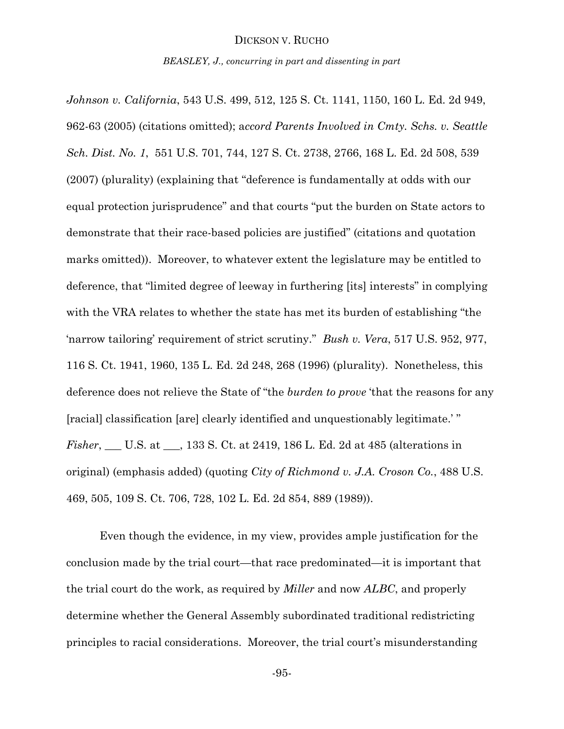*BEASLEY, J., concurring in part and dissenting in part*

*Johnson v. California*, 543 U.S. 499, 512, 125 S. Ct. 1141, 1150, 160 L. Ed. 2d 949, 962-63 (2005) (citations omitted); a*ccord Parents Involved in Cmty. Schs. v. Seattle Sch. Dist. No. 1*, 551 U.S. 701, 744, 127 S. Ct. 2738, 2766, 168 L. Ed. 2d 508, 539 (2007) (plurality) (explaining that "deference is fundamentally at odds with our equal protection jurisprudence" and that courts "put the burden on State actors to demonstrate that their race-based policies are justified" (citations and quotation marks omitted)). Moreover, to whatever extent the legislature may be entitled to deference, that "limited degree of leeway in furthering [its] interests" in complying with the VRA relates to whether the state has met its burden of establishing "the 'narrow tailoring' requirement of strict scrutiny." *Bush v. Vera*, 517 U.S. 952, 977, 116 S. Ct. 1941, 1960, 135 L. Ed. 2d 248, 268 (1996) (plurality). Nonetheless, this deference does not relieve the State of "the *burden to prove* 'that the reasons for any [racial] classification [are] clearly identified and unquestionably legitimate.' " *Fisher*, \_\_\_ U.S. at \_\_\_, 133 S. Ct. at 2419, 186 L. Ed. 2d at 485 (alterations in original) (emphasis added) (quoting *City of Richmond v. J.A. Croson Co.*, 488 U.S. 469, 505, 109 S. Ct. 706, 728, 102 L. Ed. 2d 854, 889 (1989)).

Even though the evidence, in my view, provides ample justification for the conclusion made by the trial court—that race predominated—it is important that the trial court do the work, as required by *Miller* and now *ALBC*, and properly determine whether the General Assembly subordinated traditional redistricting principles to racial considerations. Moreover, the trial court's misunderstanding

-95-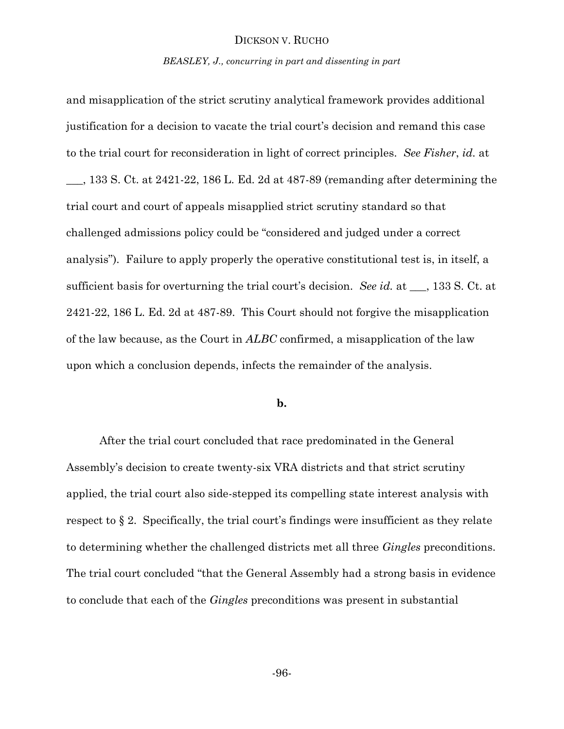*BEASLEY, J., concurring in part and dissenting in part*

and misapplication of the strict scrutiny analytical framework provides additional justification for a decision to vacate the trial court's decision and remand this case to the trial court for reconsideration in light of correct principles. *See Fisher*, *id.* at

\_\_\_, 133 S. Ct. at 2421-22, 186 L. Ed. 2d at 487-89 (remanding after determining the trial court and court of appeals misapplied strict scrutiny standard so that challenged admissions policy could be "considered and judged under a correct analysis"). Failure to apply properly the operative constitutional test is, in itself, a sufficient basis for overturning the trial court's decision. *See id.* at \_\_\_, 133 S. Ct. at 2421-22, 186 L. Ed. 2d at 487-89. This Court should not forgive the misapplication of the law because, as the Court in *ALBC* confirmed, a misapplication of the law upon which a conclusion depends, infects the remainder of the analysis.

# **b.**

After the trial court concluded that race predominated in the General Assembly's decision to create twenty-six VRA districts and that strict scrutiny applied, the trial court also side-stepped its compelling state interest analysis with respect to § 2. Specifically, the trial court's findings were insufficient as they relate to determining whether the challenged districts met all three *Gingles* preconditions. The trial court concluded "that the General Assembly had a strong basis in evidence to conclude that each of the *Gingles* preconditions was present in substantial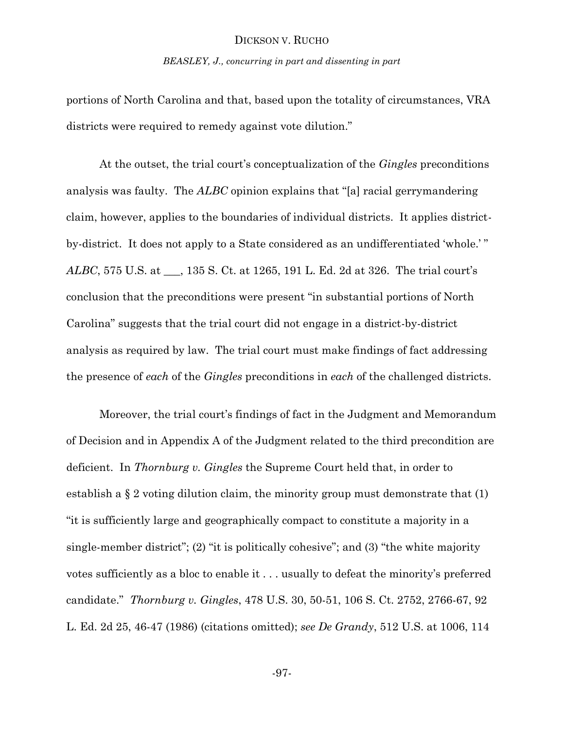*BEASLEY, J., concurring in part and dissenting in part*

portions of North Carolina and that, based upon the totality of circumstances, VRA districts were required to remedy against vote dilution."

At the outset, the trial court's conceptualization of the *Gingles* preconditions analysis was faulty. The *ALBC* opinion explains that "[a] racial gerrymandering claim, however, applies to the boundaries of individual districts. It applies districtby-district. It does not apply to a State considered as an undifferentiated 'whole.' " *ALBC*, 575 U.S. at \_\_\_, 135 S. Ct. at 1265, 191 L. Ed. 2d at 326. The trial court's conclusion that the preconditions were present "in substantial portions of North Carolina" suggests that the trial court did not engage in a district-by-district analysis as required by law. The trial court must make findings of fact addressing the presence of *each* of the *Gingles* preconditions in *each* of the challenged districts.

Moreover, the trial court's findings of fact in the Judgment and Memorandum of Decision and in Appendix A of the Judgment related to the third precondition are deficient. In *Thornburg v. Gingles* the Supreme Court held that, in order to establish a § 2 voting dilution claim, the minority group must demonstrate that (1) "it is sufficiently large and geographically compact to constitute a majority in a single-member district"; (2) "it is politically cohesive"; and (3) "the white majority votes sufficiently as a bloc to enable it . . . usually to defeat the minority's preferred candidate." *Thornburg v. Gingles*, 478 U.S. 30, 50-51, 106 S. Ct. 2752, 2766-67, 92 L. Ed. 2d 25, 46-47 (1986) (citations omitted); *see De Grandy*, 512 U.S. at 1006, 114

-97-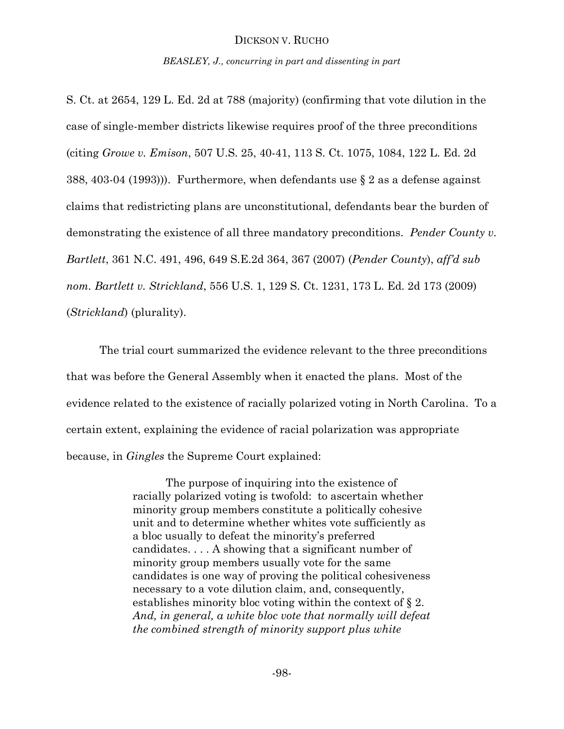*BEASLEY, J., concurring in part and dissenting in part*

S. Ct. at 2654, 129 L. Ed. 2d at 788 (majority) (confirming that vote dilution in the case of single-member districts likewise requires proof of the three preconditions (citing *Growe v. Emison*, 507 U.S. 25, 40-41, 113 S. Ct. 1075, 1084, 122 L. Ed. 2d 388, 403-04 (1993))). Furthermore, when defendants use § 2 as a defense against claims that redistricting plans are unconstitutional, defendants bear the burden of demonstrating the existence of all three mandatory preconditions. *Pender County v. Bartlett*, 361 N.C. 491, 496, 649 S.E.2d 364, 367 (2007) (*Pender County*), *aff'd sub nom. Bartlett v. Strickland*, 556 U.S. 1, 129 S. Ct. 1231, 173 L. Ed. 2d 173 (2009) (*Strickland*) (plurality).

The trial court summarized the evidence relevant to the three preconditions that was before the General Assembly when it enacted the plans. Most of the evidence related to the existence of racially polarized voting in North Carolina. To a certain extent, explaining the evidence of racial polarization was appropriate because, in *Gingles* the Supreme Court explained:

> The purpose of inquiring into the existence of racially polarized voting is twofold: to ascertain whether minority group members constitute a politically cohesive unit and to determine whether whites vote sufficiently as a bloc usually to defeat the minority's preferred candidates. . . . A showing that a significant number of minority group members usually vote for the same candidates is one way of proving the political cohesiveness necessary to a vote dilution claim, and, consequently, establishes minority bloc voting within the context of § 2. *And, in general, a white bloc vote that normally will defeat the combined strength of minority support plus white*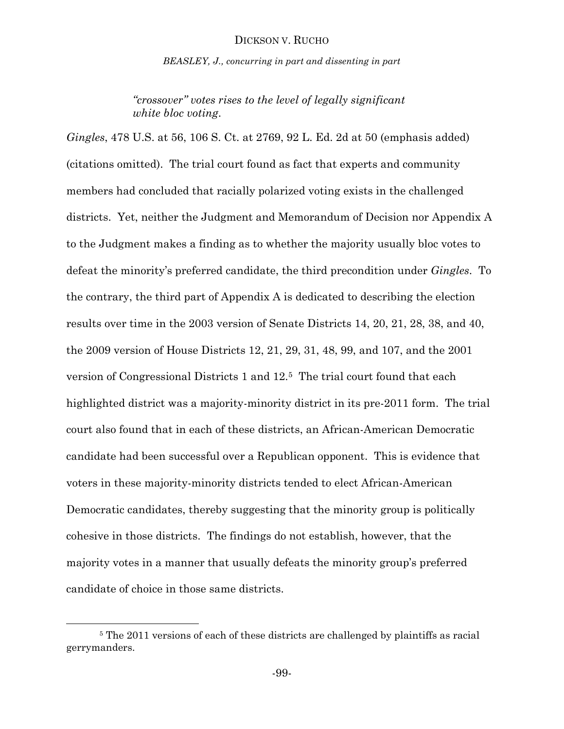*BEASLEY, J., concurring in part and dissenting in part*

*"crossover" votes rises to the level of legally significant white bloc voting*.

*Gingles*, 478 U.S. at 56, 106 S. Ct. at 2769, 92 L. Ed. 2d at 50 (emphasis added) (citations omitted). The trial court found as fact that experts and community members had concluded that racially polarized voting exists in the challenged districts. Yet, neither the Judgment and Memorandum of Decision nor Appendix A to the Judgment makes a finding as to whether the majority usually bloc votes to defeat the minority's preferred candidate, the third precondition under *Gingles*. To the contrary, the third part of Appendix A is dedicated to describing the election results over time in the 2003 version of Senate Districts 14, 20, 21, 28, 38, and 40, the 2009 version of House Districts 12, 21, 29, 31, 48, 99, and 107, and the 2001 version of Congressional Districts 1 and 12.5 The trial court found that each highlighted district was a majority-minority district in its pre-2011 form. The trial court also found that in each of these districts, an African-American Democratic candidate had been successful over a Republican opponent. This is evidence that voters in these majority-minority districts tended to elect African-American Democratic candidates, thereby suggesting that the minority group is politically cohesive in those districts. The findings do not establish, however, that the majority votes in a manner that usually defeats the minority group's preferred candidate of choice in those same districts.

 $\overline{a}$ 

<sup>&</sup>lt;sup>5</sup> The 2011 versions of each of these districts are challenged by plaintiffs as racial gerrymanders.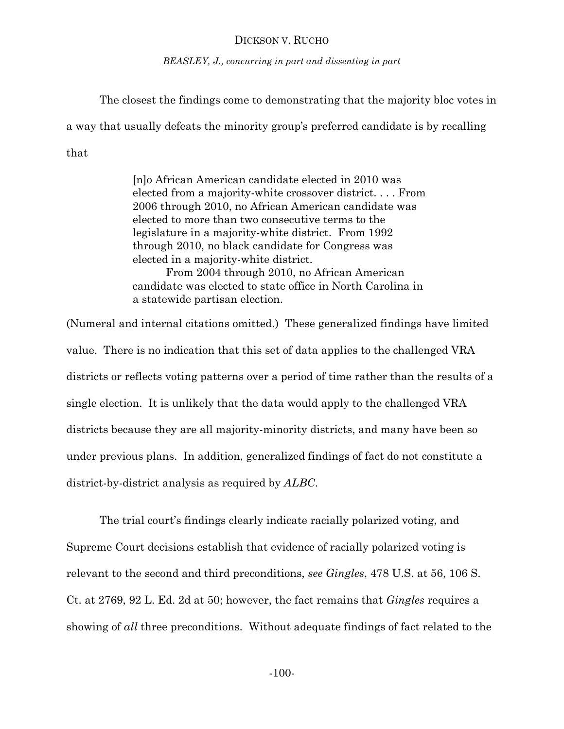*BEASLEY, J., concurring in part and dissenting in part*

The closest the findings come to demonstrating that the majority bloc votes in

a way that usually defeats the minority group's preferred candidate is by recalling

that

[n]o African American candidate elected in 2010 was elected from a majority-white crossover district. . . . From 2006 through 2010, no African American candidate was elected to more than two consecutive terms to the legislature in a majority-white district. From 1992 through 2010, no black candidate for Congress was elected in a majority-white district.

From 2004 through 2010, no African American candidate was elected to state office in North Carolina in a statewide partisan election.

(Numeral and internal citations omitted.)These generalized findings have limited value. There is no indication that this set of data applies to the challenged VRA districts or reflects voting patterns over a period of time rather than the results of a single election. It is unlikely that the data would apply to the challenged VRA districts because they are all majority-minority districts, and many have been so under previous plans. In addition, generalized findings of fact do not constitute a district-by-district analysis as required by *ALBC*.

The trial court's findings clearly indicate racially polarized voting, and Supreme Court decisions establish that evidence of racially polarized voting is relevant to the second and third preconditions, *see Gingles*, 478 U.S. at 56, 106 S. Ct. at 2769, 92 L. Ed. 2d at 50; however, the fact remains that *Gingles* requires a showing of *all* three preconditions. Without adequate findings of fact related to the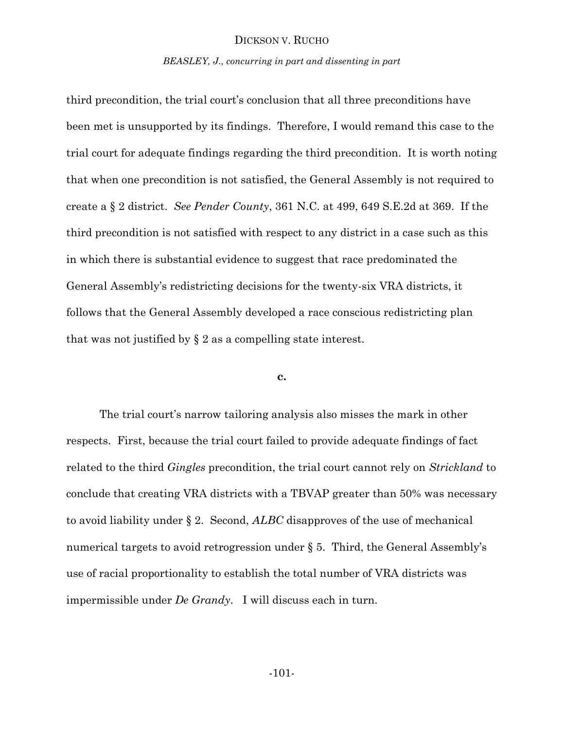*BEASLEY, J., concurring in part and dissenting in part*

third precondition, the trial court's conclusion that all three preconditions have been met is unsupported by its findings. Therefore, I would remand this case to the trial court for adequate findings regarding the third precondition. It is worth noting that when one precondition is not satisfied, the General Assembly is not required to create a § 2 district. *See Pender County*, 361 N.C. at 499, 649 S.E.2d at 369. If the third precondition is not satisfied with respect to any district in a case such as this in which there is substantial evidence to suggest that race predominated the General Assembly's redistricting decisions for the twenty-six VRA districts, it follows that the General Assembly developed a race conscious redistricting plan that was not justified by § 2 as a compelling state interest.

#### **c.**

The trial court's narrow tailoring analysis also misses the mark in other respects. First, because the trial court failed to provide adequate findings of fact related to the third *Gingles* precondition, the trial court cannot rely on *Strickland* to conclude that creating VRA districts with a TBVAP greater than 50% was necessary to avoid liability under § 2. Second, *ALBC* disapproves of the use of mechanical numerical targets to avoid retrogression under § 5. Third, the General Assembly's use of racial proportionality to establish the total number of VRA districts was impermissible under *De Grandy*. I will discuss each in turn.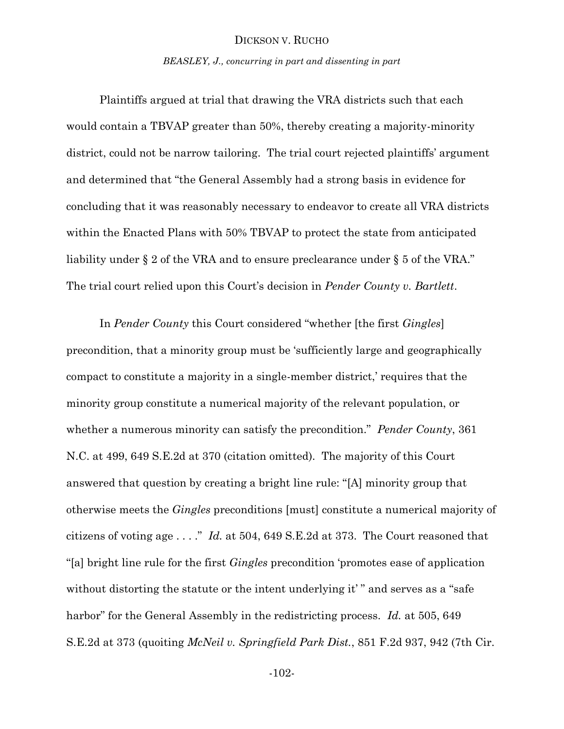*BEASLEY, J., concurring in part and dissenting in part*

Plaintiffs argued at trial that drawing the VRA districts such that each would contain a TBVAP greater than 50%, thereby creating a majority-minority district, could not be narrow tailoring. The trial court rejected plaintiffs' argument and determined that "the General Assembly had a strong basis in evidence for concluding that it was reasonably necessary to endeavor to create all VRA districts within the Enacted Plans with 50% TBVAP to protect the state from anticipated liability under § 2 of the VRA and to ensure preclearance under § 5 of the VRA." The trial court relied upon this Court's decision in *Pender County v. Bartlett*.

In *Pender County* this Court considered "whether [the first *Gingles*] precondition, that a minority group must be 'sufficiently large and geographically compact to constitute a majority in a single-member district,' requires that the minority group constitute a numerical majority of the relevant population, or whether a numerous minority can satisfy the precondition." *Pender County*, 361 N.C. at 499, 649 S.E.2d at 370 (citation omitted). The majority of this Court answered that question by creating a bright line rule: "[A] minority group that otherwise meets the *Gingles* preconditions [must] constitute a numerical majority of citizens of voting age . . . ." *Id.* at 504, 649 S.E.2d at 373. The Court reasoned that "[a] bright line rule for the first *Gingles* precondition 'promotes ease of application without distorting the statute or the intent underlying it'" and serves as a "safe" harbor" for the General Assembly in the redistricting process. *Id.* at 505, 649 S.E.2d at 373 (quoiting *McNeil v. Springfield Park Dist.*, 851 F.2d 937, 942 (7th Cir.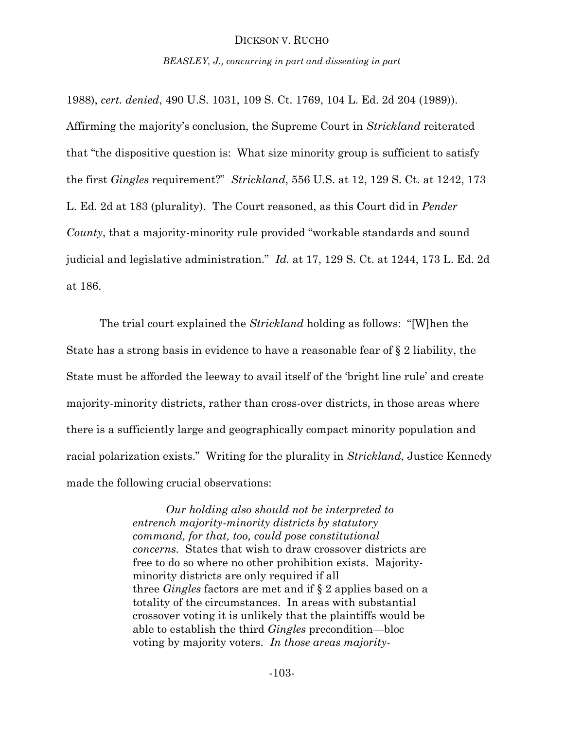*BEASLEY, J., concurring in part and dissenting in part*

1988), *cert. denied*, 490 U.S. 1031, 109 S. Ct. 1769, 104 L. Ed. 2d 204 (1989)). Affirming the majority's conclusion, the Supreme Court in *Strickland* reiterated that "the dispositive question is: What size minority group is sufficient to satisfy the first *Gingles* requirement?" *Strickland*, 556 U.S. at 12, 129 S. Ct. at 1242, 173 L. Ed. 2d at 183 (plurality). The Court reasoned, as this Court did in *Pender County*, that a majority-minority rule provided "workable standards and sound judicial and legislative administration." *Id.* at 17, 129 S. Ct. at 1244, 173 L. Ed. 2d at 186.

The trial court explained the *Strickland* holding as follows: "[W]hen the State has a strong basis in evidence to have a reasonable fear of § 2 liability, the State must be afforded the leeway to avail itself of the 'bright line rule' and create majority-minority districts, rather than cross-over districts, in those areas where there is a sufficiently large and geographically compact minority population and racial polarization exists." Writing for the plurality in *Strickland*, Justice Kennedy made the following crucial observations:

> *Our holding also should not be interpreted to entrench majority-minority districts by statutory command, for that, too, could pose constitutional concerns.* States that wish to draw crossover districts are free to do so where no other prohibition exists. Majorityminority districts are only required if all three *Gingles* factors are met and if § 2 applies based on a totality of the circumstances. In areas with substantial crossover voting it is unlikely that the plaintiffs would be able to establish the third *Gingles* precondition—bloc voting by majority voters. *In those areas majority-*

> > -103-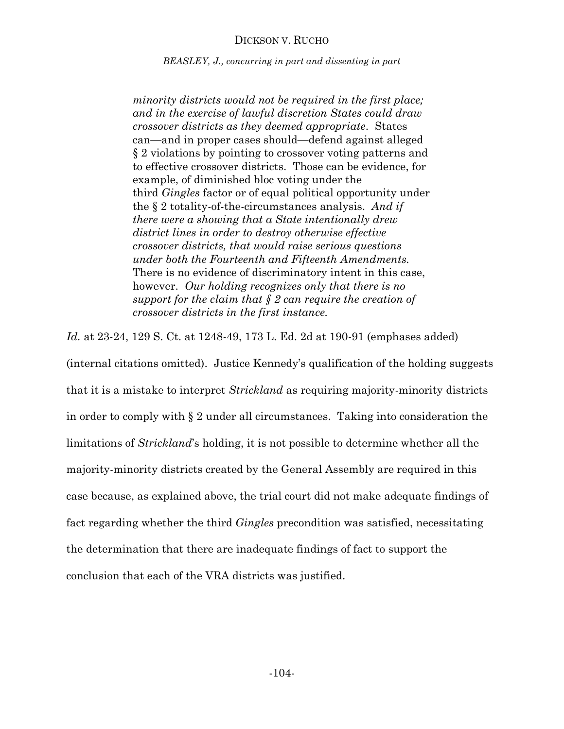*BEASLEY, J., concurring in part and dissenting in part*

*minority districts would not be required in the first place; and in the exercise of lawful discretion States could draw crossover districts as they deemed appropriate*. States can—and in proper cases should—defend against alleged § 2 violations by pointing to crossover voting patterns and to effective crossover districts. Those can be evidence, for example, of diminished bloc voting under the third *Gingles* factor or of equal political opportunity under the § 2 totality-of-the-circumstances analysis. *And if there were a showing that a State intentionally drew district lines in order to destroy otherwise effective crossover districts, that would raise serious questions under both the Fourteenth and Fifteenth Amendments.* There is no evidence of discriminatory intent in this case, however. *Our holding recognizes only that there is no support for the claim that § 2 can require the creation of crossover districts in the first instance.*

*Id.* at 23-24, 129 S. Ct. at 1248-49, 173 L. Ed. 2d at 190-91 (emphases added)

(internal citations omitted). Justice Kennedy's qualification of the holding suggests that it is a mistake to interpret *Strickland* as requiring majority-minority districts in order to comply with § 2 under all circumstances. Taking into consideration the limitations of *Strickland*'s holding, it is not possible to determine whether all the majority-minority districts created by the General Assembly are required in this case because, as explained above, the trial court did not make adequate findings of fact regarding whether the third *Gingles* precondition was satisfied, necessitating the determination that there are inadequate findings of fact to support the conclusion that each of the VRA districts was justified.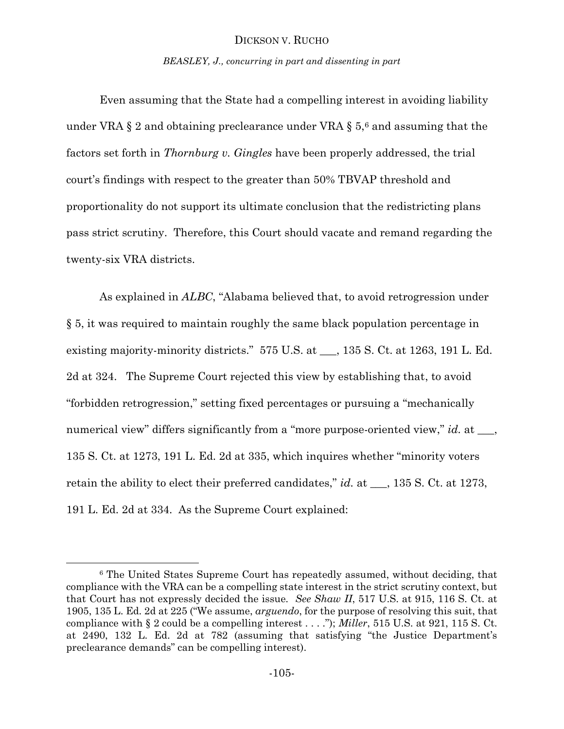*BEASLEY, J., concurring in part and dissenting in part*

Even assuming that the State had a compelling interest in avoiding liability under VRA  $\S 2$  and obtaining preclearance under VRA  $\S 5$ ,<sup>6</sup> and assuming that the factors set forth in *Thornburg v. Gingles* have been properly addressed, the trial court's findings with respect to the greater than 50% TBVAP threshold and proportionality do not support its ultimate conclusion that the redistricting plans pass strict scrutiny. Therefore, this Court should vacate and remand regarding the twenty-six VRA districts.

As explained in *ALBC*, "Alabama believed that, to avoid retrogression under § 5, it was required to maintain roughly the same black population percentage in existing majority-minority districts." 575 U.S. at \_\_\_, 135 S. Ct. at 1263, 191 L. Ed. 2d at 324. The Supreme Court rejected this view by establishing that, to avoid "forbidden retrogression," setting fixed percentages or pursuing a "mechanically numerical view" differs significantly from a "more purpose-oriented view," *id.* at \_\_\_, 135 S. Ct. at 1273, 191 L. Ed. 2d at 335, which inquires whether "minority voters retain the ability to elect their preferred candidates," *id.* at \_\_\_, 135 S. Ct. at 1273, 191 L. Ed. 2d at 334. As the Supreme Court explained:

l

<sup>6</sup> The United States Supreme Court has repeatedly assumed, without deciding, that compliance with the VRA can be a compelling state interest in the strict scrutiny context, but that Court has not expressly decided the issue. *See Shaw II*, 517 U.S. at 915, 116 S. Ct. at 1905, 135 L. Ed. 2d at 225 ("We assume, *arguendo*, for the purpose of resolving this suit, that compliance with § 2 could be a compelling interest . . . ."); *Miller*, 515 U.S. at 921, 115 S. Ct. at 2490, 132 L. Ed. 2d at 782 (assuming that satisfying "the Justice Department's preclearance demands" can be compelling interest).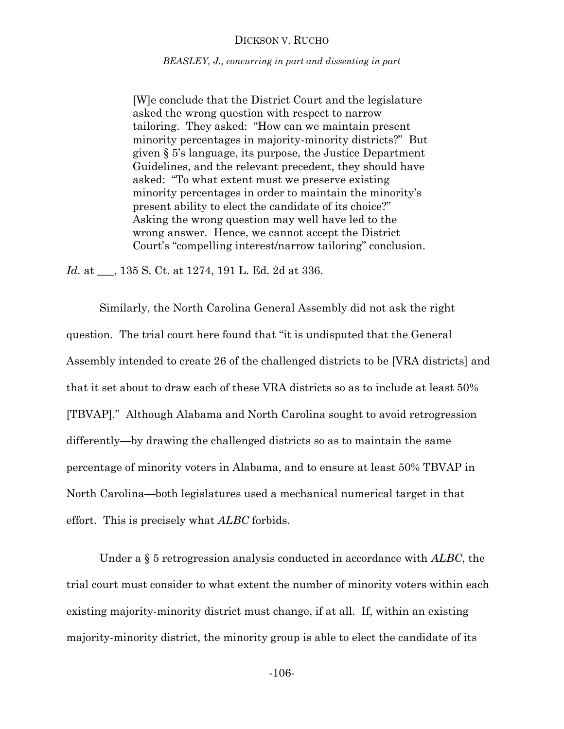*BEASLEY, J., concurring in part and dissenting in part*

[W]e conclude that the District Court and the legislature asked the wrong question with respect to narrow tailoring. They asked: "How can we maintain present minority percentages in majority-minority districts?" But given § 5's language, its purpose, the Justice Department Guidelines, and the relevant precedent, they should have asked: "To what extent must we preserve existing minority percentages in order to maintain the minority's present ability to elect the candidate of its choice?" Asking the wrong question may well have led to the wrong answer. Hence, we cannot accept the District Court's "compelling interest/narrow tailoring" conclusion.

*Id.* at \_\_\_, 135 S. Ct. at 1274, 191 L. Ed. 2d at 336.

Similarly, the North Carolina General Assembly did not ask the right question. The trial court here found that "it is undisputed that the General Assembly intended to create 26 of the challenged districts to be [VRA districts] and that it set about to draw each of these VRA districts so as to include at least 50% [TBVAP]." Although Alabama and North Carolina sought to avoid retrogression differently—by drawing the challenged districts so as to maintain the same percentage of minority voters in Alabama, and to ensure at least 50% TBVAP in North Carolina—both legislatures used a mechanical numerical target in that effort. This is precisely what *ALBC* forbids.

Under a § 5 retrogression analysis conducted in accordance with *ALBC*, the trial court must consider to what extent the number of minority voters within each existing majority-minority district must change, if at all. If, within an existing majority-minority district, the minority group is able to elect the candidate of its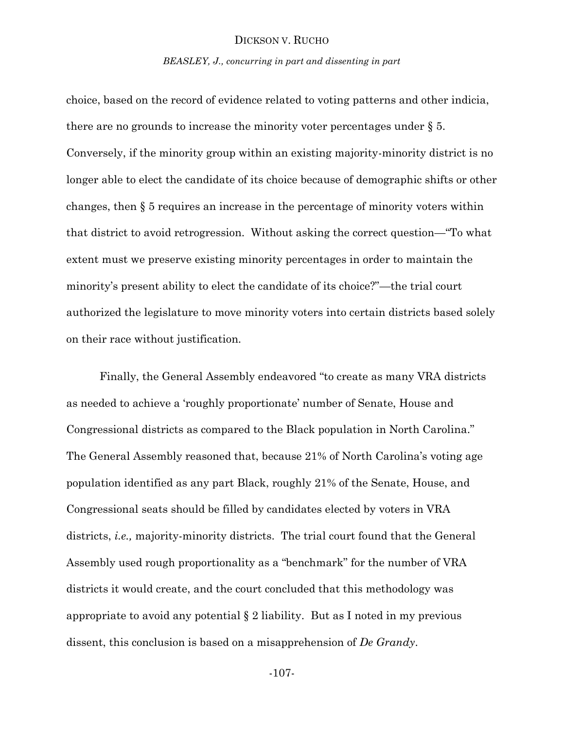*BEASLEY, J., concurring in part and dissenting in part*

choice, based on the record of evidence related to voting patterns and other indicia, there are no grounds to increase the minority voter percentages under § 5. Conversely, if the minority group within an existing majority-minority district is no longer able to elect the candidate of its choice because of demographic shifts or other changes, then § 5 requires an increase in the percentage of minority voters within that district to avoid retrogression. Without asking the correct question—"To what extent must we preserve existing minority percentages in order to maintain the minority's present ability to elect the candidate of its choice?"—the trial court authorized the legislature to move minority voters into certain districts based solely on their race without justification.

Finally, the General Assembly endeavored "to create as many VRA districts as needed to achieve a 'roughly proportionate' number of Senate, House and Congressional districts as compared to the Black population in North Carolina." The General Assembly reasoned that, because 21% of North Carolina's voting age population identified as any part Black, roughly 21% of the Senate, House, and Congressional seats should be filled by candidates elected by voters in VRA districts, *i.e.*, majority-minority districts. The trial court found that the General Assembly used rough proportionality as a "benchmark" for the number of VRA districts it would create, and the court concluded that this methodology was appropriate to avoid any potential  $\S 2$  liability. But as I noted in my previous dissent, this conclusion is based on a misapprehension of *De Grandy*.

-107-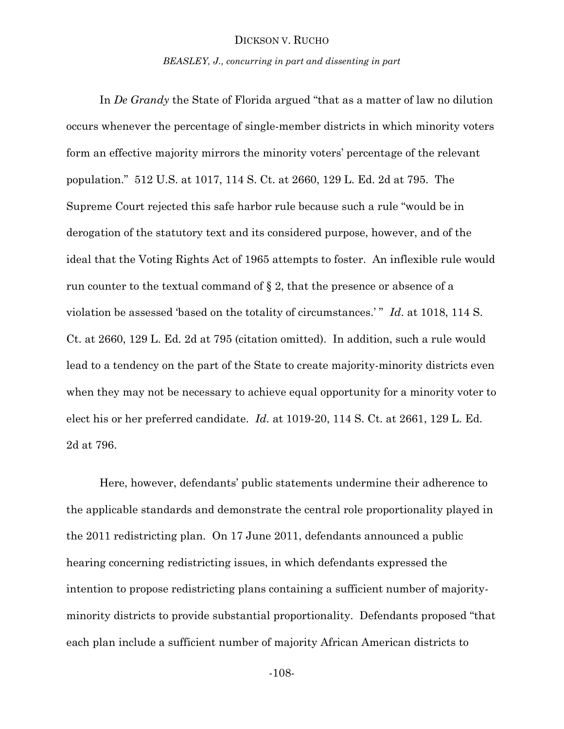*BEASLEY, J., concurring in part and dissenting in part*

In *De Grandy* the State of Florida argued "that as a matter of law no dilution occurs whenever the percentage of single-member districts in which minority voters form an effective majority mirrors the minority voters' percentage of the relevant population." 512 U.S. at 1017, 114 S. Ct. at 2660, 129 L. Ed. 2d at 795. The Supreme Court rejected this safe harbor rule because such a rule "would be in derogation of the statutory text and its considered purpose, however, and of the ideal that the Voting Rights Act of 1965 attempts to foster. An inflexible rule would run counter to the textual command of § 2, that the presence or absence of a violation be assessed 'based on the totality of circumstances.' " *Id.* at 1018, 114 S. Ct. at 2660, 129 L. Ed. 2d at 795 (citation omitted). In addition, such a rule would lead to a tendency on the part of the State to create majority-minority districts even when they may not be necessary to achieve equal opportunity for a minority voter to elect his or her preferred candidate. *Id.* at 1019-20, 114 S. Ct. at 2661, 129 L. Ed. 2d at 796.

Here, however, defendants' public statements undermine their adherence to the applicable standards and demonstrate the central role proportionality played in the 2011 redistricting plan. On 17 June 2011, defendants announced a public hearing concerning redistricting issues, in which defendants expressed the intention to propose redistricting plans containing a sufficient number of majorityminority districts to provide substantial proportionality. Defendants proposed "that each plan include a sufficient number of majority African American districts to

-108-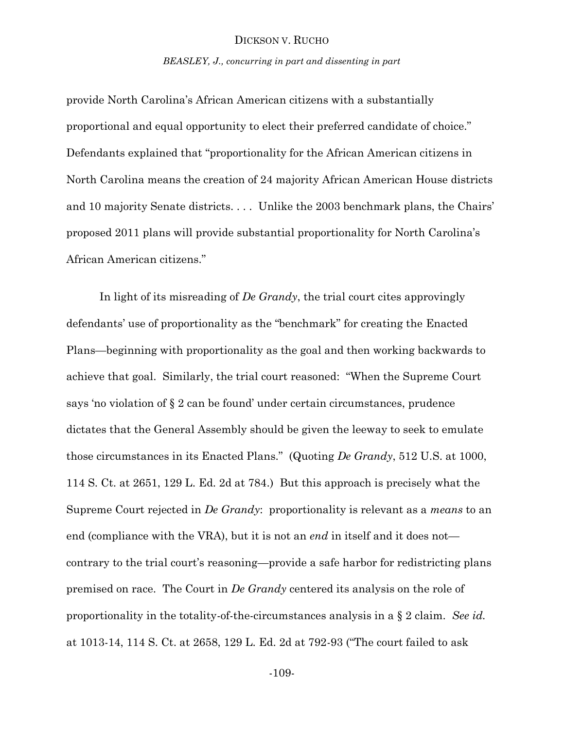*BEASLEY, J., concurring in part and dissenting in part*

provide North Carolina's African American citizens with a substantially proportional and equal opportunity to elect their preferred candidate of choice." Defendants explained that "proportionality for the African American citizens in North Carolina means the creation of 24 majority African American House districts and 10 majority Senate districts. . . . Unlike the 2003 benchmark plans, the Chairs' proposed 2011 plans will provide substantial proportionality for North Carolina's African American citizens."

In light of its misreading of *De Grandy*, the trial court cites approvingly defendants' use of proportionality as the "benchmark" for creating the Enacted Plans—beginning with proportionality as the goal and then working backwards to achieve that goal. Similarly, the trial court reasoned: "When the Supreme Court says 'no violation of § 2 can be found' under certain circumstances, prudence dictates that the General Assembly should be given the leeway to seek to emulate those circumstances in its Enacted Plans." (Quoting *De Grandy*, 512 U.S. at 1000, 114 S. Ct. at 2651, 129 L. Ed. 2d at 784.) But this approach is precisely what the Supreme Court rejected in *De Grandy*: proportionality is relevant as a *means* to an end (compliance with the VRA), but it is not an *end* in itself and it does not contrary to the trial court's reasoning—provide a safe harbor for redistricting plans premised on race. The Court in *De Grandy* centered its analysis on the role of proportionality in the totality-of-the-circumstances analysis in a § 2 claim. *See id.*  at 1013-14, 114 S. Ct. at 2658, 129 L. Ed. 2d at 792-93 ("The court failed to ask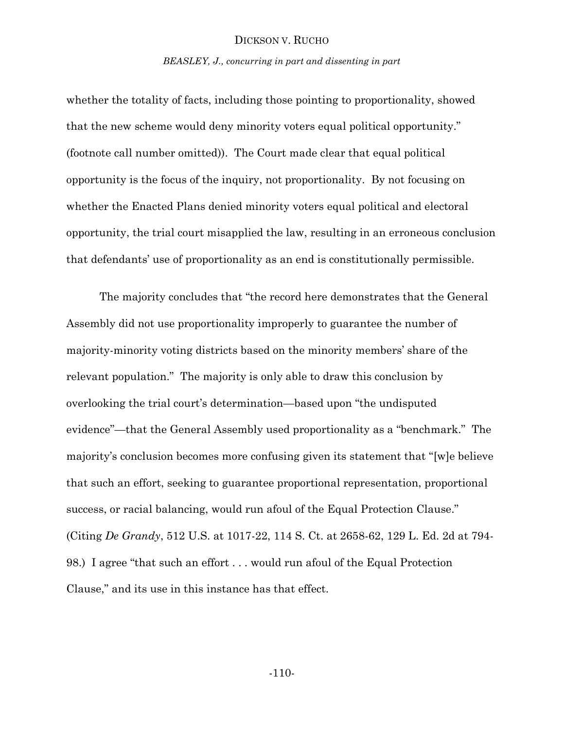*BEASLEY, J., concurring in part and dissenting in part*

whether the totality of facts, including those pointing to proportionality, showed that the new scheme would deny minority voters equal political opportunity." (footnote call number omitted)). The Court made clear that equal political opportunity is the focus of the inquiry, not proportionality. By not focusing on whether the Enacted Plans denied minority voters equal political and electoral opportunity, the trial court misapplied the law, resulting in an erroneous conclusion that defendants' use of proportionality as an end is constitutionally permissible.

The majority concludes that "the record here demonstrates that the General Assembly did not use proportionality improperly to guarantee the number of majority-minority voting districts based on the minority members' share of the relevant population." The majority is only able to draw this conclusion by overlooking the trial court's determination—based upon "the undisputed evidence"—that the General Assembly used proportionality as a "benchmark." The majority's conclusion becomes more confusing given its statement that "[w]e believe that such an effort, seeking to guarantee proportional representation, proportional success, or racial balancing, would run afoul of the Equal Protection Clause." (Citing *De Grandy*, 512 U.S. at 1017-22, 114 S. Ct. at 2658-62, 129 L. Ed. 2d at 794- 98.) I agree "that such an effort . . . would run afoul of the Equal Protection Clause," and its use in this instance has that effect.

-110-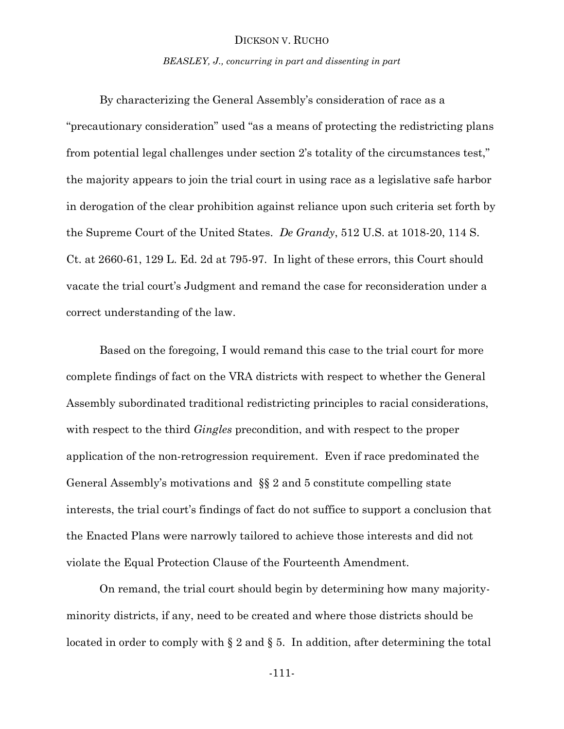*BEASLEY, J., concurring in part and dissenting in part*

By characterizing the General Assembly's consideration of race as a "precautionary consideration" used "as a means of protecting the redistricting plans from potential legal challenges under section 2's totality of the circumstances test," the majority appears to join the trial court in using race as a legislative safe harbor in derogation of the clear prohibition against reliance upon such criteria set forth by the Supreme Court of the United States. *De Grandy*, 512 U.S. at 1018-20, 114 S. Ct. at 2660-61, 129 L. Ed. 2d at 795-97. In light of these errors, this Court should vacate the trial court's Judgment and remand the case for reconsideration under a correct understanding of the law.

Based on the foregoing, I would remand this case to the trial court for more complete findings of fact on the VRA districts with respect to whether the General Assembly subordinated traditional redistricting principles to racial considerations, with respect to the third *Gingles* precondition, and with respect to the proper application of the non-retrogression requirement. Even if race predominated the General Assembly's motivations and §§ 2 and 5 constitute compelling state interests, the trial court's findings of fact do not suffice to support a conclusion that the Enacted Plans were narrowly tailored to achieve those interests and did not violate the Equal Protection Clause of the Fourteenth Amendment.

On remand, the trial court should begin by determining how many majorityminority districts, if any, need to be created and where those districts should be located in order to comply with § 2 and § 5. In addition, after determining the total

-111-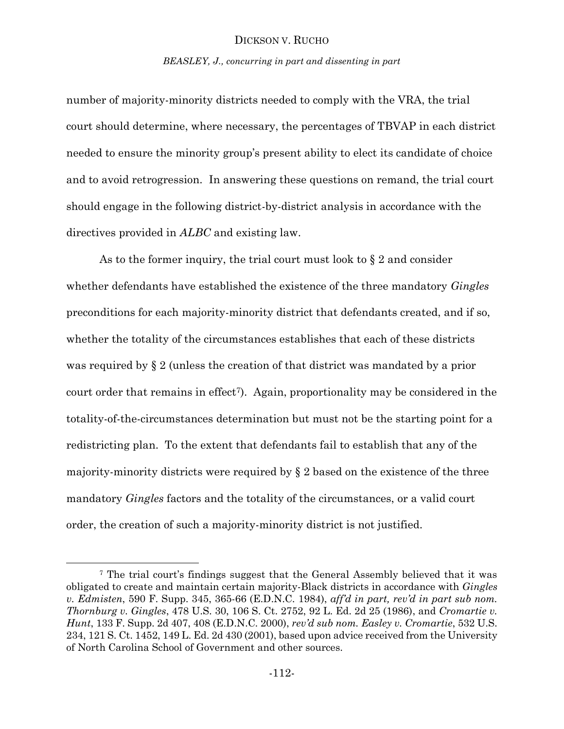*BEASLEY, J., concurring in part and dissenting in part*

number of majority-minority districts needed to comply with the VRA, the trial court should determine, where necessary, the percentages of TBVAP in each district needed to ensure the minority group's present ability to elect its candidate of choice and to avoid retrogression. In answering these questions on remand, the trial court should engage in the following district-by-district analysis in accordance with the directives provided in *ALBC* and existing law.

As to the former inquiry, the trial court must look to  $\S 2$  and consider whether defendants have established the existence of the three mandatory *Gingles*  preconditions for each majority-minority district that defendants created, and if so, whether the totality of the circumstances establishes that each of these districts was required by § 2 (unless the creation of that district was mandated by a prior court order that remains in effect7). Again, proportionality may be considered in the totality-of-the-circumstances determination but must not be the starting point for a redistricting plan. To the extent that defendants fail to establish that any of the majority-minority districts were required by  $\S 2$  based on the existence of the three mandatory *Gingles* factors and the totality of the circumstances, or a valid court order, the creation of such a majority-minority district is not justified.

l

<sup>7</sup> The trial court's findings suggest that the General Assembly believed that it was obligated to create and maintain certain majority-Black districts in accordance with *Gingles v. Edmisten*, 590 F. Supp. 345, 365-66 (E.D.N.C. 1984), *aff'd in part, rev'd in part sub nom. Thornburg v. Gingles*, 478 U.S. 30, 106 S. Ct. 2752, 92 L. Ed. 2d 25 (1986), and *Cromartie v. Hunt*, 133 F. Supp. 2d 407, 408 (E.D.N.C. 2000), *rev'd sub nom. Easley v. Cromartie*, 532 U.S. 234, 121 S. Ct. 1452, 149 L. Ed. 2d 430 (2001), based upon advice received from the University of North Carolina School of Government and other sources.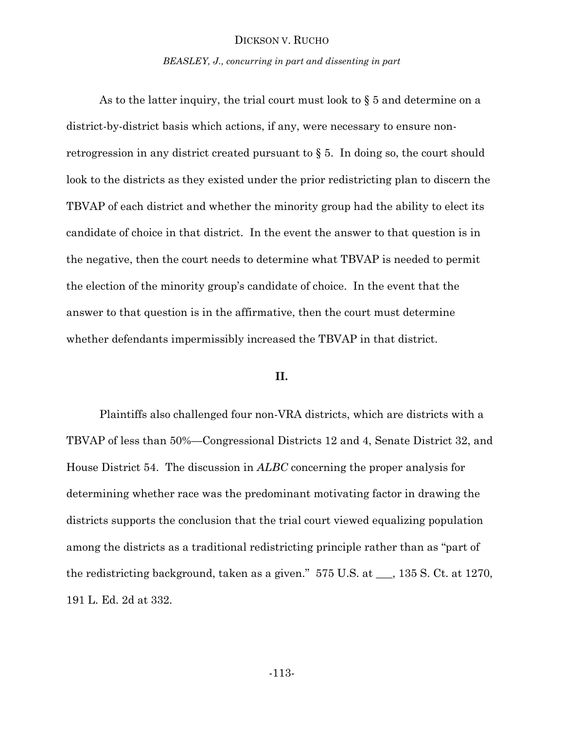*BEASLEY, J., concurring in part and dissenting in part*

As to the latter inquiry, the trial court must look to  $\S 5$  and determine on a district-by-district basis which actions, if any, were necessary to ensure nonretrogression in any district created pursuant to § 5. In doing so, the court should look to the districts as they existed under the prior redistricting plan to discern the TBVAP of each district and whether the minority group had the ability to elect its candidate of choice in that district. In the event the answer to that question is in the negative, then the court needs to determine what TBVAP is needed to permit the election of the minority group's candidate of choice. In the event that the answer to that question is in the affirmative, then the court must determine whether defendants impermissibly increased the TBVAP in that district.

# **II.**

Plaintiffs also challenged four non-VRA districts, which are districts with a TBVAP of less than 50%—Congressional Districts 12 and 4, Senate District 32, and House District 54. The discussion in *ALBC* concerning the proper analysis for determining whether race was the predominant motivating factor in drawing the districts supports the conclusion that the trial court viewed equalizing population among the districts as a traditional redistricting principle rather than as "part of the redistricting background, taken as a given." 575 U.S. at \_\_\_, 135 S. Ct. at 1270, 191 L. Ed. 2d at 332.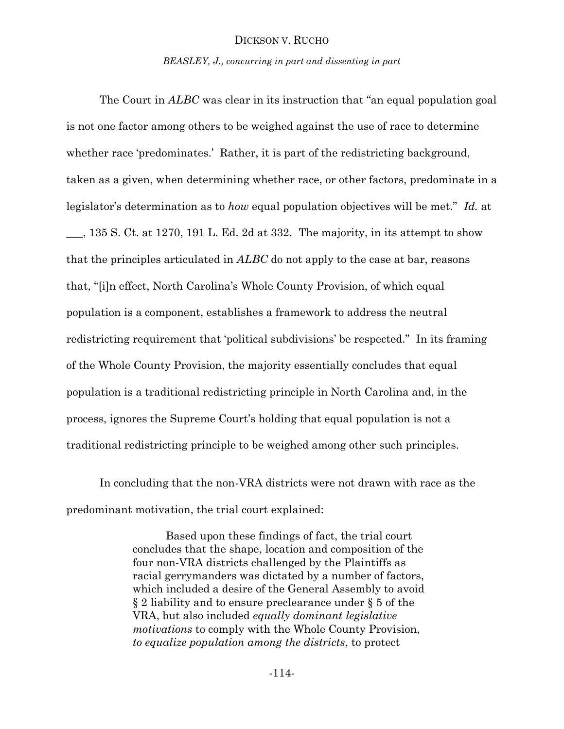*BEASLEY, J., concurring in part and dissenting in part*

The Court in *ALBC* was clear in its instruction that "an equal population goal is not one factor among others to be weighed against the use of race to determine whether race 'predominates.' Rather, it is part of the redistricting background, taken as a given, when determining whether race, or other factors, predominate in a legislator's determination as to *how* equal population objectives will be met." *Id.* at \_\_\_, 135 S. Ct. at 1270, 191 L. Ed. 2d at 332. The majority, in its attempt to show that the principles articulated in *ALBC* do not apply to the case at bar, reasons that, "[i]n effect, North Carolina's Whole County Provision, of which equal population is a component, establishes a framework to address the neutral redistricting requirement that 'political subdivisions' be respected." In its framing of the Whole County Provision, the majority essentially concludes that equal population is a traditional redistricting principle in North Carolina and, in the process, ignores the Supreme Court's holding that equal population is not a traditional redistricting principle to be weighed among other such principles.

In concluding that the non-VRA districts were not drawn with race as the predominant motivation, the trial court explained:

> Based upon these findings of fact, the trial court concludes that the shape, location and composition of the four non-VRA districts challenged by the Plaintiffs as racial gerrymanders was dictated by a number of factors, which included a desire of the General Assembly to avoid § 2 liability and to ensure preclearance under § 5 of the VRA, but also included *equally dominant legislative motivations* to comply with the Whole County Provision, *to equalize population among the districts*, to protect

> > -114-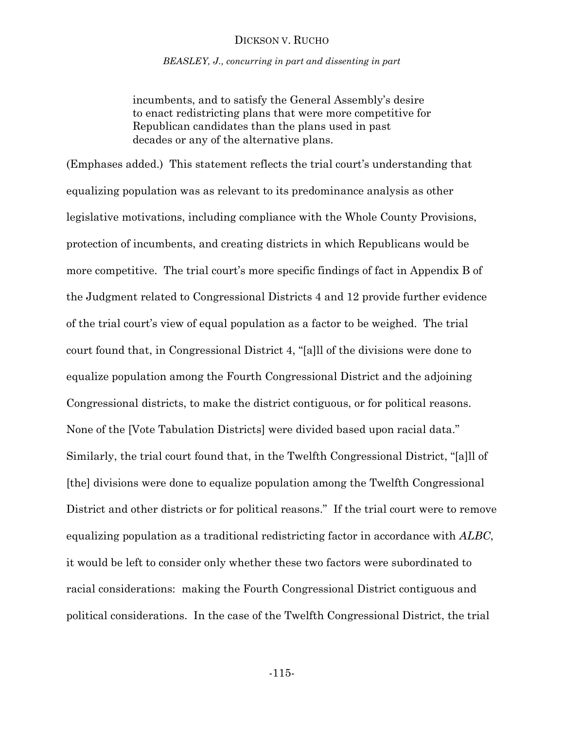*BEASLEY, J., concurring in part and dissenting in part*

incumbents, and to satisfy the General Assembly's desire to enact redistricting plans that were more competitive for Republican candidates than the plans used in past decades or any of the alternative plans.

(Emphases added.) This statement reflects the trial court's understanding that equalizing population was as relevant to its predominance analysis as other legislative motivations, including compliance with the Whole County Provisions, protection of incumbents, and creating districts in which Republicans would be more competitive. The trial court's more specific findings of fact in Appendix B of the Judgment related to Congressional Districts 4 and 12 provide further evidence of the trial court's view of equal population as a factor to be weighed. The trial court found that, in Congressional District 4, "[a]ll of the divisions were done to equalize population among the Fourth Congressional District and the adjoining Congressional districts, to make the district contiguous, or for political reasons. None of the [Vote Tabulation Districts] were divided based upon racial data." Similarly, the trial court found that, in the Twelfth Congressional District, "[a]ll of [the] divisions were done to equalize population among the Twelfth Congressional District and other districts or for political reasons." If the trial court were to remove equalizing population as a traditional redistricting factor in accordance with *ALBC*, it would be left to consider only whether these two factors were subordinated to racial considerations: making the Fourth Congressional District contiguous and political considerations. In the case of the Twelfth Congressional District, the trial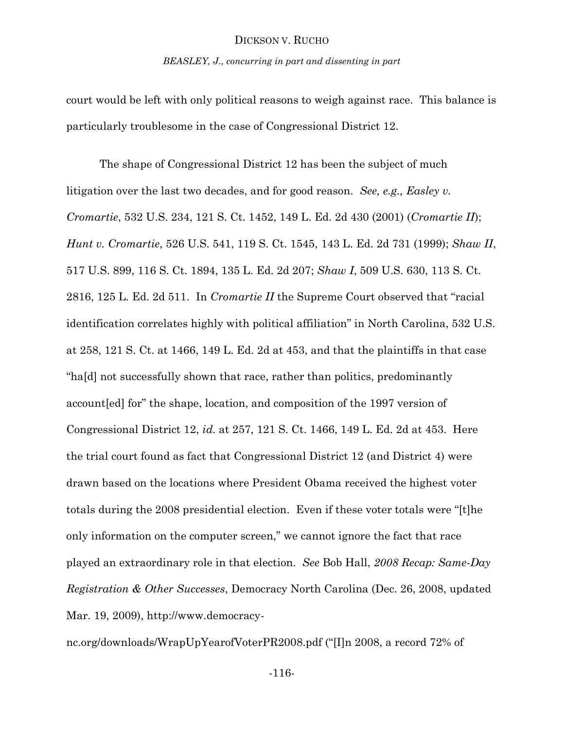*BEASLEY, J., concurring in part and dissenting in part*

court would be left with only political reasons to weigh against race. This balance is particularly troublesome in the case of Congressional District 12.

The shape of Congressional District 12 has been the subject of much litigation over the last two decades, and for good reason. *See, e.g., Easley v. Cromartie*, 532 U.S. 234, 121 S. Ct. 1452, 149 L. Ed. 2d 430 (2001) (*Cromartie II*); *Hunt v. Cromartie*, 526 U.S. 541, 119 S. Ct. 1545, 143 L. Ed. 2d 731 (1999); *Shaw II*, 517 U.S. 899, 116 S. Ct. 1894, 135 L. Ed. 2d 207; *Shaw I*, 509 U.S. 630, 113 S. Ct. 2816, 125 L. Ed. 2d 511. In *Cromartie II* the Supreme Court observed that "racial identification correlates highly with political affiliation" in North Carolina, 532 U.S. at 258, 121 S. Ct. at 1466, 149 L. Ed. 2d at 453, and that the plaintiffs in that case "ha[d] not successfully shown that race, rather than politics, predominantly account[ed] for" the shape, location, and composition of the 1997 version of Congressional District 12, *id.* at 257, 121 S. Ct. 1466, 149 L. Ed. 2d at 453. Here the trial court found as fact that Congressional District 12 (and District 4) were drawn based on the locations where President Obama received the highest voter totals during the 2008 presidential election. Even if these voter totals were "[t]he only information on the computer screen," we cannot ignore the fact that race played an extraordinary role in that election. *See* Bob Hall, *2008 Recap: Same-Day Registration & Other Successes*, Democracy North Carolina (Dec. 26, 2008, updated Mar. 19, 2009), http://www.democracy-

nc.org/downloads/WrapUpYearofVoterPR2008.pdf ("[I]n 2008, a record 72% of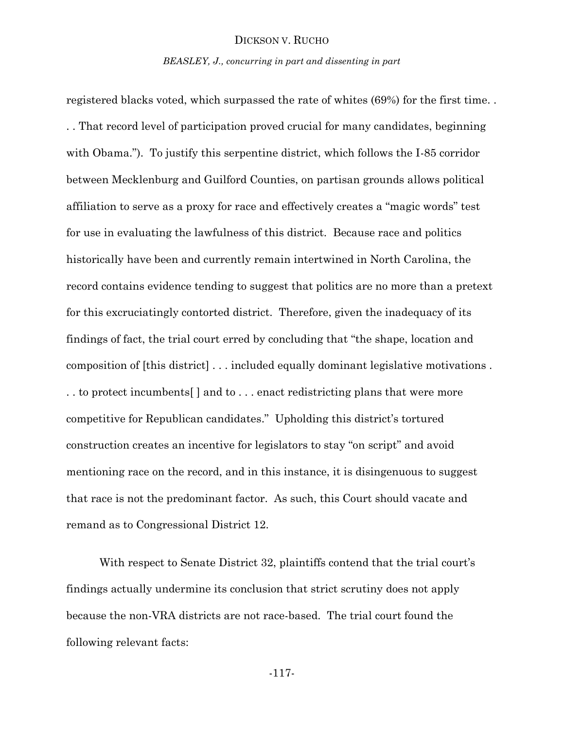*BEASLEY, J., concurring in part and dissenting in part*

registered blacks voted, which surpassed the rate of whites (69%) for the first time. . . . That record level of participation proved crucial for many candidates, beginning with Obama."). To justify this serpentine district, which follows the I-85 corridor between Mecklenburg and Guilford Counties, on partisan grounds allows political affiliation to serve as a proxy for race and effectively creates a "magic words" test for use in evaluating the lawfulness of this district. Because race and politics historically have been and currently remain intertwined in North Carolina, the record contains evidence tending to suggest that politics are no more than a pretext for this excruciatingly contorted district. Therefore, given the inadequacy of its findings of fact, the trial court erred by concluding that "the shape, location and composition of [this district] . . . included equally dominant legislative motivations . . . to protect incumbents[ ] and to . . . enact redistricting plans that were more competitive for Republican candidates." Upholding this district's tortured construction creates an incentive for legislators to stay "on script" and avoid mentioning race on the record, and in this instance, it is disingenuous to suggest that race is not the predominant factor. As such, this Court should vacate and remand as to Congressional District 12.

With respect to Senate District 32, plaintiffs contend that the trial court's findings actually undermine its conclusion that strict scrutiny does not apply because the non-VRA districts are not race-based. The trial court found the following relevant facts:

-117-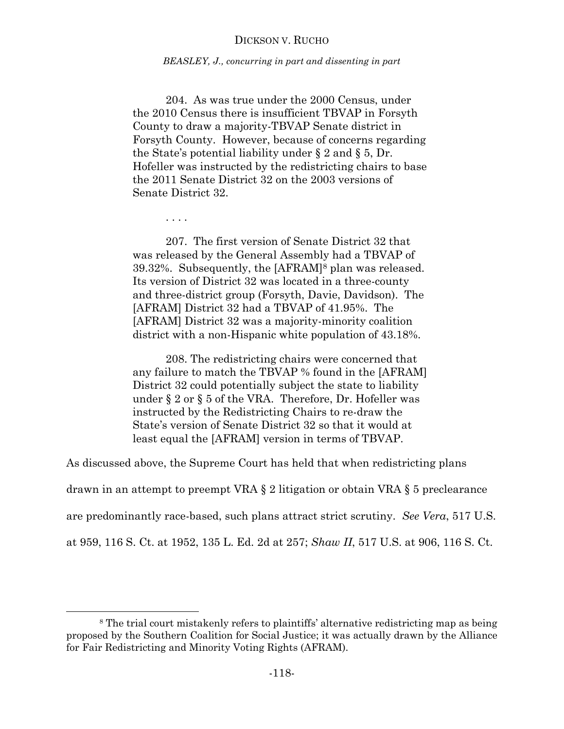#### *BEASLEY, J., concurring in part and dissenting in part*

204. As was true under the 2000 Census, under the 2010 Census there is insufficient TBVAP in Forsyth County to draw a majority-TBVAP Senate district in Forsyth County. However, because of concerns regarding the State's potential liability under § 2 and § 5, Dr. Hofeller was instructed by the redistricting chairs to base the 2011 Senate District 32 on the 2003 versions of Senate District 32.

207. The first version of Senate District 32 that was released by the General Assembly had a TBVAP of 39.32%. Subsequently, the [AFRAM]<sup>8</sup> plan was released. Its version of District 32 was located in a three-county and three-district group (Forsyth, Davie, Davidson). The [AFRAM] District 32 had a TBVAP of 41.95%. The [AFRAM] District 32 was a majority-minority coalition district with a non-Hispanic white population of 43.18%.

. . . .

l

208. The redistricting chairs were concerned that any failure to match the TBVAP % found in the [AFRAM] District 32 could potentially subject the state to liability under § 2 or § 5 of the VRA. Therefore, Dr. Hofeller was instructed by the Redistricting Chairs to re-draw the State's version of Senate District 32 so that it would at least equal the [AFRAM] version in terms of TBVAP.

As discussed above, the Supreme Court has held that when redistricting plans

drawn in an attempt to preempt VRA § 2 litigation or obtain VRA § 5 preclearance

are predominantly race-based, such plans attract strict scrutiny. *See Vera*, 517 U.S.

at 959, 116 S. Ct. at 1952, 135 L. Ed. 2d at 257; *Shaw II*, 517 U.S. at 906, 116 S. Ct.

<sup>8</sup> The trial court mistakenly refers to plaintiffs' alternative redistricting map as being proposed by the Southern Coalition for Social Justice; it was actually drawn by the Alliance for Fair Redistricting and Minority Voting Rights (AFRAM).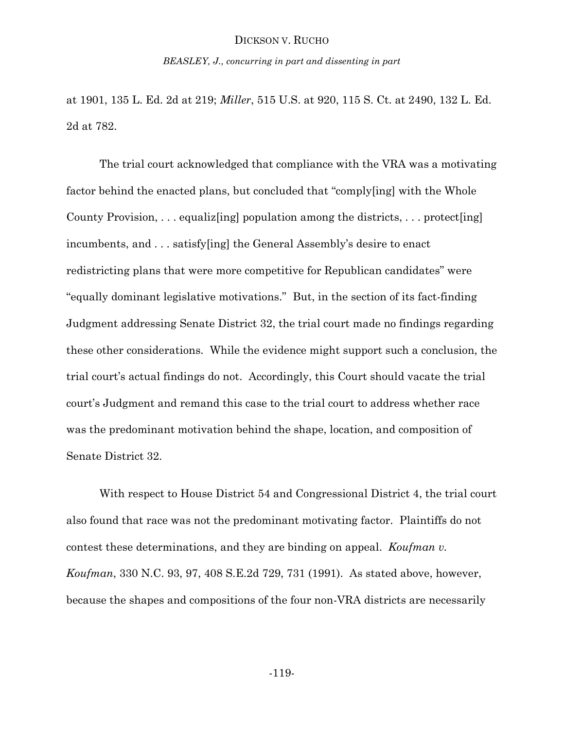*BEASLEY, J., concurring in part and dissenting in part*

at 1901, 135 L. Ed. 2d at 219; *Miller*, 515 U.S. at 920, 115 S. Ct. at 2490, 132 L. Ed. 2d at 782.

The trial court acknowledged that compliance with the VRA was a motivating factor behind the enacted plans, but concluded that "comply[ing] with the Whole County Provision,  $\dots$  equalize ingle population among the districts,  $\dots$  protect [ing] incumbents, and . . . satisfy[ing] the General Assembly's desire to enact redistricting plans that were more competitive for Republican candidates" were "equally dominant legislative motivations." But, in the section of its fact-finding Judgment addressing Senate District 32, the trial court made no findings regarding these other considerations. While the evidence might support such a conclusion, the trial court's actual findings do not. Accordingly, this Court should vacate the trial court's Judgment and remand this case to the trial court to address whether race was the predominant motivation behind the shape, location, and composition of Senate District 32.

With respect to House District 54 and Congressional District 4, the trial court also found that race was not the predominant motivating factor. Plaintiffs do not contest these determinations, and they are binding on appeal. *Koufman v. Koufman*, 330 N.C. 93, 97, 408 S.E.2d 729, 731 (1991). As stated above, however, because the shapes and compositions of the four non-VRA districts are necessarily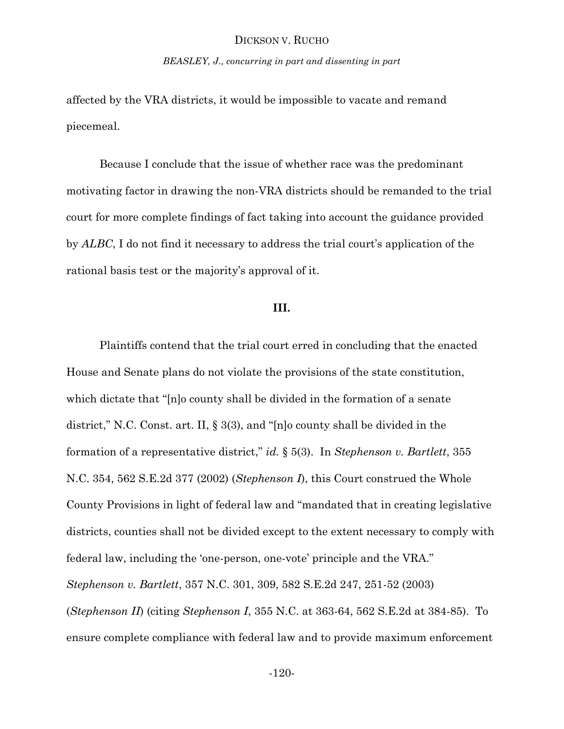*BEASLEY, J., concurring in part and dissenting in part*

affected by the VRA districts, it would be impossible to vacate and remand piecemeal.

Because I conclude that the issue of whether race was the predominant motivating factor in drawing the non-VRA districts should be remanded to the trial court for more complete findings of fact taking into account the guidance provided by *ALBC*, I do not find it necessary to address the trial court's application of the rational basis test or the majority's approval of it.

## **III.**

Plaintiffs contend that the trial court erred in concluding that the enacted House and Senate plans do not violate the provisions of the state constitution, which dictate that "[n]o county shall be divided in the formation of a senate district," N.C. Const. art. II, § 3(3), and "[n]o county shall be divided in the formation of a representative district," *id.* § 5(3). In *Stephenson v. Bartlett*, 355 N.C. 354, 562 S.E.2d 377 (2002) (*Stephenson I*), this Court construed the Whole County Provisions in light of federal law and "mandated that in creating legislative districts, counties shall not be divided except to the extent necessary to comply with federal law, including the 'one-person, one-vote' principle and the VRA." *Stephenson v. Bartlett*, 357 N.C. 301, 309, 582 S.E.2d 247, 251-52 (2003) (*Stephenson II*) (citing *Stephenson I*, 355 N.C. at 363-64, 562 S.E.2d at 384-85). To ensure complete compliance with federal law and to provide maximum enforcement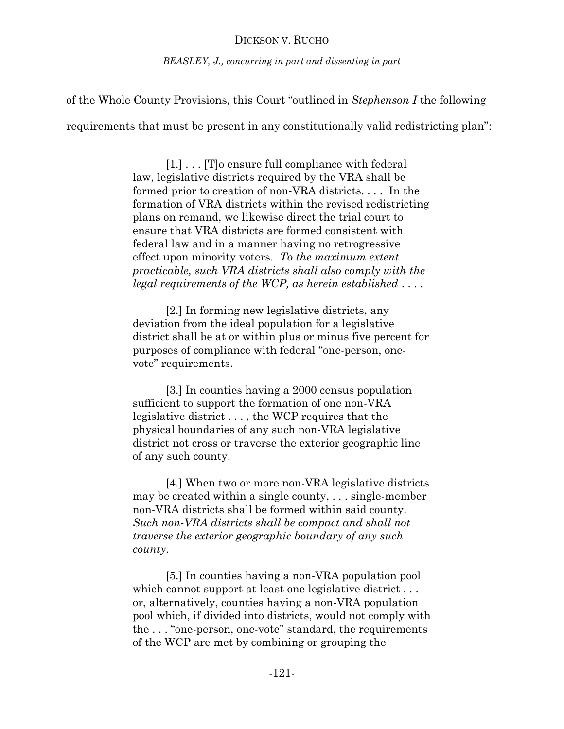*BEASLEY, J., concurring in part and dissenting in part*

of the Whole County Provisions, this Court "outlined in *Stephenson I* the following

requirements that must be present in any constitutionally valid redistricting plan":

[1.] . . . [T]o ensure full compliance with federal law, legislative districts required by the VRA shall be formed prior to creation of non-VRA districts. . . . In the formation of VRA districts within the revised redistricting plans on remand, we likewise direct the trial court to ensure that VRA districts are formed consistent with federal law and in a manner having no retrogressive effect upon minority voters. *To the maximum extent practicable, such VRA districts shall also comply with the legal requirements of the WCP, as herein established* . . . .

[2.] In forming new legislative districts, any deviation from the ideal population for a legislative district shall be at or within plus or minus five percent for purposes of compliance with federal "one-person, onevote" requirements.

[3.] In counties having a 2000 census population sufficient to support the formation of one non-VRA legislative district . . . , the WCP requires that the physical boundaries of any such non-VRA legislative district not cross or traverse the exterior geographic line of any such county.

[4.] When two or more non-VRA legislative districts may be created within a single county, . . . single-member non-VRA districts shall be formed within said county. *Such non-VRA districts shall be compact and shall not traverse the exterior geographic boundary of any such county*.

[5.] In counties having a non-VRA population pool which cannot support at least one legislative district... or, alternatively, counties having a non-VRA population pool which, if divided into districts, would not comply with the . . . "one-person, one-vote" standard, the requirements of the WCP are met by combining or grouping the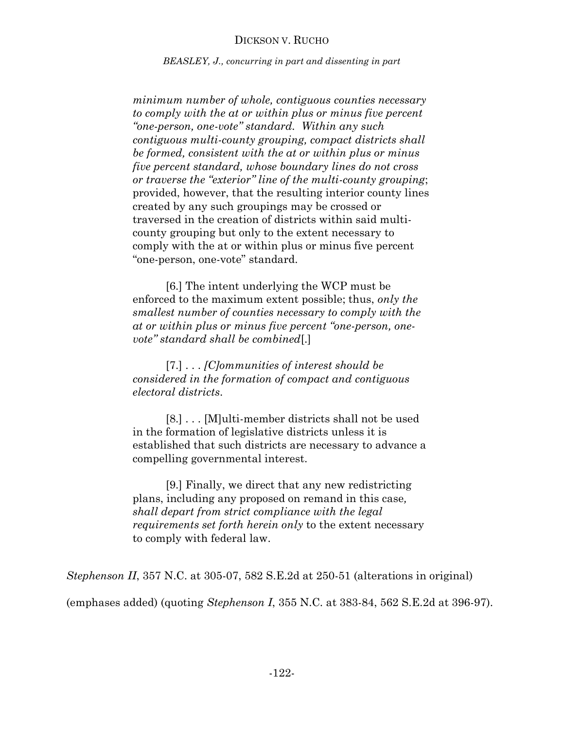*BEASLEY, J., concurring in part and dissenting in part*

*minimum number of whole, contiguous counties necessary to comply with the at or within plus or minus five percent "one-person, one-vote" standard. Within any such contiguous multi-county grouping, compact districts shall be formed, consistent with the at or within plus or minus five percent standard, whose boundary lines do not cross or traverse the "exterior" line of the multi-county grouping*; provided, however, that the resulting interior county lines created by any such groupings may be crossed or traversed in the creation of districts within said multicounty grouping but only to the extent necessary to comply with the at or within plus or minus five percent "one-person, one-vote" standard.

[6.] The intent underlying the WCP must be enforced to the maximum extent possible; thus, *only the smallest number of counties necessary to comply with the at or within plus or minus five percent "one-person, onevote" standard shall be combined*[.]

[7.] . . . *[C]ommunities of interest should be considered in the formation of compact and contiguous electoral districts*.

[8.] . . . [M]ulti-member districts shall not be used in the formation of legislative districts unless it is established that such districts are necessary to advance a compelling governmental interest.

[9.] Finally, we direct that any new redistricting plans, including any proposed on remand in this case*, shall depart from strict compliance with the legal requirements set forth herein only* to the extent necessary to comply with federal law.

*Stephenson II*, 357 N.C. at 305-07, 582 S.E.2d at 250-51 (alterations in original)

(emphases added) (quoting *Stephenson I*, 355 N.C. at 383-84, 562 S.E.2d at 396-97).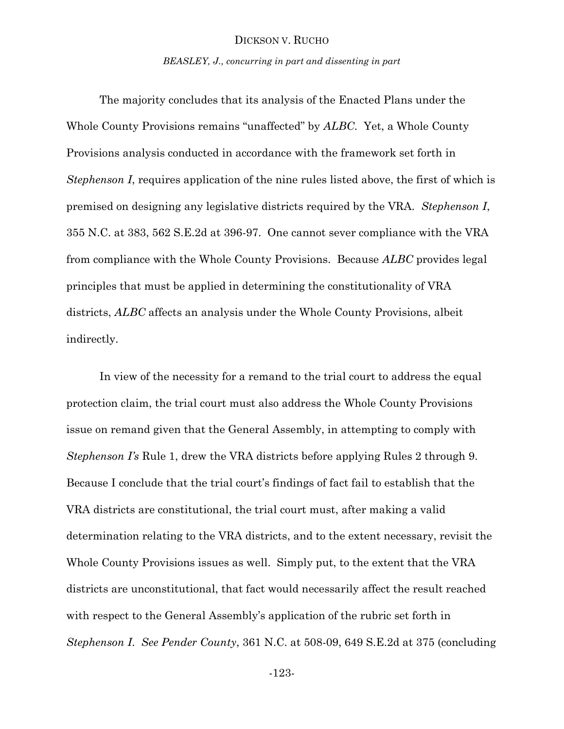*BEASLEY, J., concurring in part and dissenting in part*

The majority concludes that its analysis of the Enacted Plans under the Whole County Provisions remains "unaffected" by *ALBC*. Yet, a Whole County Provisions analysis conducted in accordance with the framework set forth in *Stephenson I*, requires application of the nine rules listed above, the first of which is premised on designing any legislative districts required by the VRA. *Stephenson I*, 355 N.C. at 383, 562 S.E.2d at 396-97. One cannot sever compliance with the VRA from compliance with the Whole County Provisions. Because *ALBC* provides legal principles that must be applied in determining the constitutionality of VRA districts, *ALBC* affects an analysis under the Whole County Provisions, albeit indirectly.

In view of the necessity for a remand to the trial court to address the equal protection claim, the trial court must also address the Whole County Provisions issue on remand given that the General Assembly, in attempting to comply with *Stephenson I's* Rule 1, drew the VRA districts before applying Rules 2 through 9. Because I conclude that the trial court's findings of fact fail to establish that the VRA districts are constitutional, the trial court must, after making a valid determination relating to the VRA districts, and to the extent necessary, revisit the Whole County Provisions issues as well. Simply put, to the extent that the VRA districts are unconstitutional, that fact would necessarily affect the result reached with respect to the General Assembly's application of the rubric set forth in *Stephenson I*. *See Pender County*, 361 N.C. at 508-09, 649 S.E.2d at 375 (concluding

-123-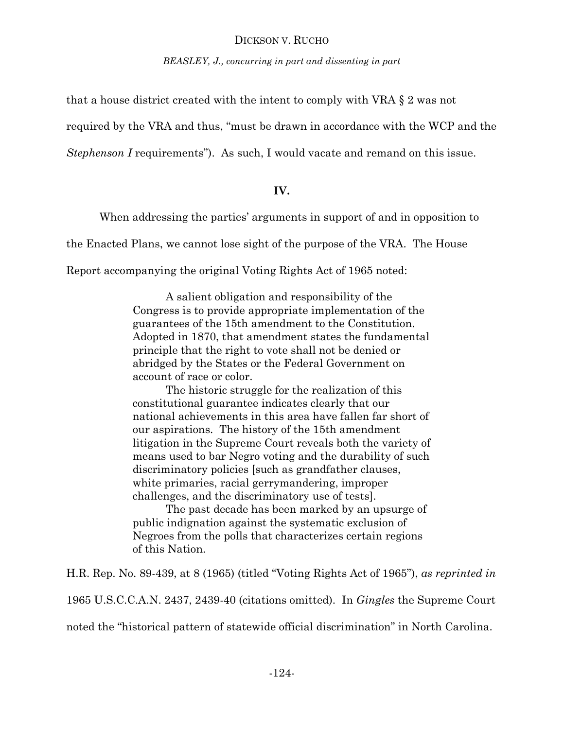*BEASLEY, J., concurring in part and dissenting in part*

that a house district created with the intent to comply with VRA § 2 was not

required by the VRA and thus, "must be drawn in accordance with the WCP and the

*Stephenson I* requirements"). As such, I would vacate and remand on this issue.

## **IV.**

When addressing the parties' arguments in support of and in opposition to

the Enacted Plans, we cannot lose sight of the purpose of the VRA. The House

Report accompanying the original Voting Rights Act of 1965 noted:

A salient obligation and responsibility of the Congress is to provide appropriate implementation of the guarantees of the 15th amendment to the Constitution. Adopted in 1870, that amendment states the fundamental principle that the right to vote shall not be denied or abridged by the States or the Federal Government on account of race or color.

The historic struggle for the realization of this constitutional guarantee indicates clearly that our national achievements in this area have fallen far short of our aspirations. The history of the 15th amendment litigation in the Supreme Court reveals both the variety of means used to bar Negro voting and the durability of such discriminatory policies [such as grandfather clauses, white primaries, racial gerrymandering, improper challenges, and the discriminatory use of tests].

The past decade has been marked by an upsurge of public indignation against the systematic exclusion of Negroes from the polls that characterizes certain regions of this Nation.

H.R. Rep. No. 89-439, at 8 (1965) (titled "Voting Rights Act of 1965"), *as reprinted in* 

1965 U.S.C.C.A.N. 2437, 2439-40 (citations omitted). In *Gingles* the Supreme Court

noted the "historical pattern of statewide official discrimination" in North Carolina.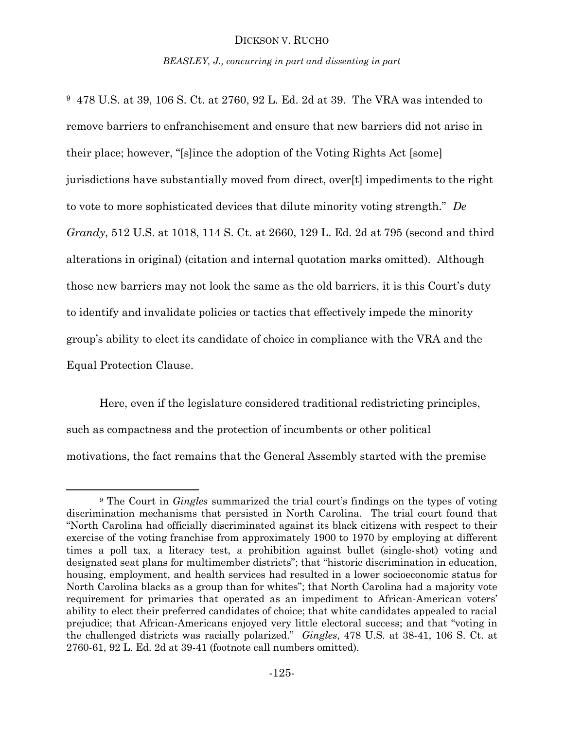*BEASLEY, J., concurring in part and dissenting in part*

<sup>9</sup> 478 U.S. at 39, 106 S. Ct. at 2760, 92 L. Ed. 2d at 39. The VRA was intended to remove barriers to enfranchisement and ensure that new barriers did not arise in their place; however, "[s]ince the adoption of the Voting Rights Act [some] jurisdictions have substantially moved from direct, over[t] impediments to the right to vote to more sophisticated devices that dilute minority voting strength." *De Grandy*, 512 U.S. at 1018, 114 S. Ct. at 2660, 129 L. Ed. 2d at 795 (second and third alterations in original) (citation and internal quotation marks omitted). Although those new barriers may not look the same as the old barriers, it is this Court's duty to identify and invalidate policies or tactics that effectively impede the minority group's ability to elect its candidate of choice in compliance with the VRA and the Equal Protection Clause.

Here, even if the legislature considered traditional redistricting principles, such as compactness and the protection of incumbents or other political motivations, the fact remains that the General Assembly started with the premise

 $\overline{a}$ 

<sup>9</sup> The Court in *Gingles* summarized the trial court's findings on the types of voting discrimination mechanisms that persisted in North Carolina. The trial court found that "North Carolina had officially discriminated against its black citizens with respect to their exercise of the voting franchise from approximately 1900 to 1970 by employing at different times a poll tax, a literacy test, a prohibition against bullet (single-shot) voting and designated seat plans for multimember districts"; that "historic discrimination in education, housing, employment, and health services had resulted in a lower socioeconomic status for North Carolina blacks as a group than for whites"; that North Carolina had a majority vote requirement for primaries that operated as an impediment to African-American voters' ability to elect their preferred candidates of choice; that white candidates appealed to racial prejudice; that African-Americans enjoyed very little electoral success; and that "voting in the challenged districts was racially polarized." *Gingles*, 478 U.S. at 38-41, 106 S. Ct. at 2760-61, 92 L. Ed. 2d at 39-41 (footnote call numbers omitted).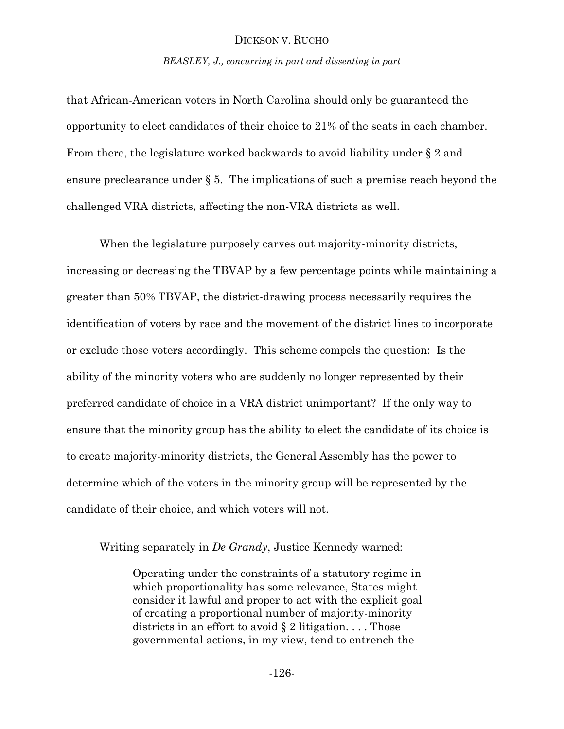*BEASLEY, J., concurring in part and dissenting in part*

that African-American voters in North Carolina should only be guaranteed the opportunity to elect candidates of their choice to 21% of the seats in each chamber. From there, the legislature worked backwards to avoid liability under § 2 and ensure preclearance under § 5. The implications of such a premise reach beyond the challenged VRA districts, affecting the non-VRA districts as well.

When the legislature purposely carves out majority-minority districts, increasing or decreasing the TBVAP by a few percentage points while maintaining a greater than 50% TBVAP, the district-drawing process necessarily requires the identification of voters by race and the movement of the district lines to incorporate or exclude those voters accordingly. This scheme compels the question: Is the ability of the minority voters who are suddenly no longer represented by their preferred candidate of choice in a VRA district unimportant? If the only way to ensure that the minority group has the ability to elect the candidate of its choice is to create majority-minority districts, the General Assembly has the power to determine which of the voters in the minority group will be represented by the candidate of their choice, and which voters will not.

Writing separately in *De Grandy*, Justice Kennedy warned:

Operating under the constraints of a statutory regime in which proportionality has some relevance, States might consider it lawful and proper to act with the explicit goal of creating a proportional number of majority-minority districts in an effort to avoid  $\S 2$  litigation. . . . Those governmental actions, in my view, tend to entrench the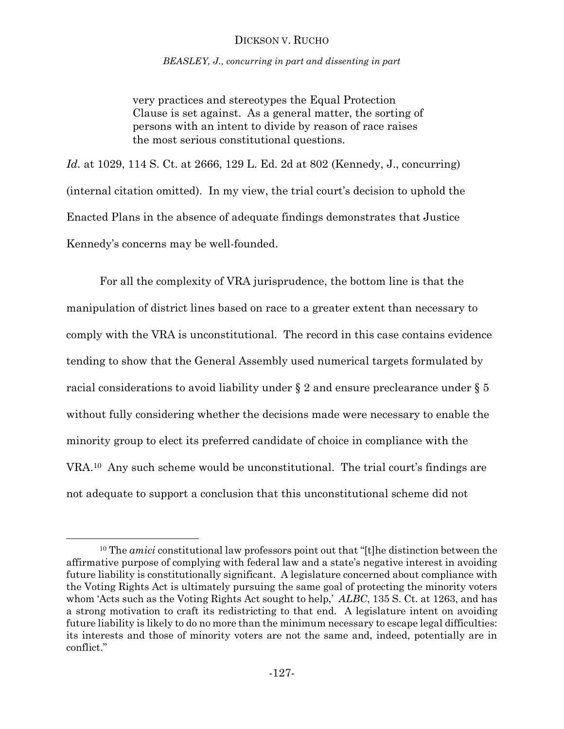*BEASLEY, J., concurring in part and dissenting in part*

very practices and stereotypes the Equal Protection Clause is set against. As a general matter, the sorting of persons with an intent to divide by reason of race raises the most serious constitutional questions.

*Id.* at 1029, 114 S. Ct. at 2666, 129 L. Ed. 2d at 802 (Kennedy, J., concurring) (internal citation omitted). In my view, the trial court's decision to uphold the Enacted Plans in the absence of adequate findings demonstrates that Justice Kennedy's concerns may be well-founded.

For all the complexity of VRA jurisprudence, the bottom line is that the manipulation of district lines based on race to a greater extent than necessary to comply with the VRA is unconstitutional. The record in this case contains evidence tending to show that the General Assembly used numerical targets formulated by racial considerations to avoid liability under § 2 and ensure preclearance under § 5 without fully considering whether the decisions made were necessary to enable the minority group to elect its preferred candidate of choice in compliance with the VRA.10 Any such scheme would be unconstitutional. The trial court's findings are not adequate to support a conclusion that this unconstitutional scheme did not

 $\overline{a}$ 

<sup>10</sup> The *amici* constitutional law professors point out that "[t]he distinction between the affirmative purpose of complying with federal law and a state's negative interest in avoiding future liability is constitutionally significant. A legislature concerned about compliance with the Voting Rights Act is ultimately pursuing the same goal of protecting the minority voters whom 'Acts such as the Voting Rights Act sought to help,' *ALBC*, 135 S. Ct. at 1263, and has a strong motivation to craft its redistricting to that end. A legislature intent on avoiding future liability is likely to do no more than the minimum necessary to escape legal difficulties: its interests and those of minority voters are not the same and, indeed, potentially are in conflict."